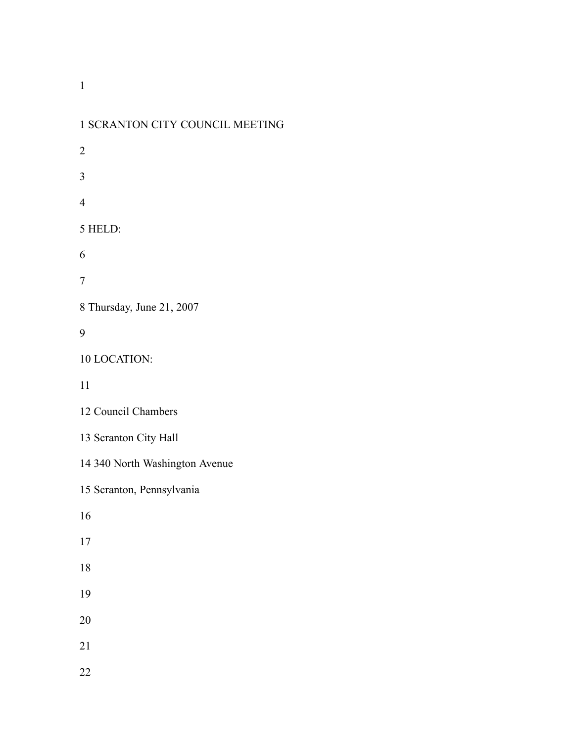| 1 SCRANTON CITY COUNCIL MEETING |
|---------------------------------|
| 2                               |
| 3                               |
| $\overline{4}$                  |
| 5 HELD:                         |
| 6                               |
| 7                               |
| 8 Thursday, June 21, 2007       |
| 9                               |
| 10 LOCATION:                    |
| 11                              |
| 12 Council Chambers             |
| 13 Scranton City Hall           |
| 14 340 North Washington Avenue  |
| 15 Scranton, Pennsylvania       |
| 16                              |
| 17                              |
| 18                              |
| 19                              |
| 20                              |
| 21                              |
| 22                              |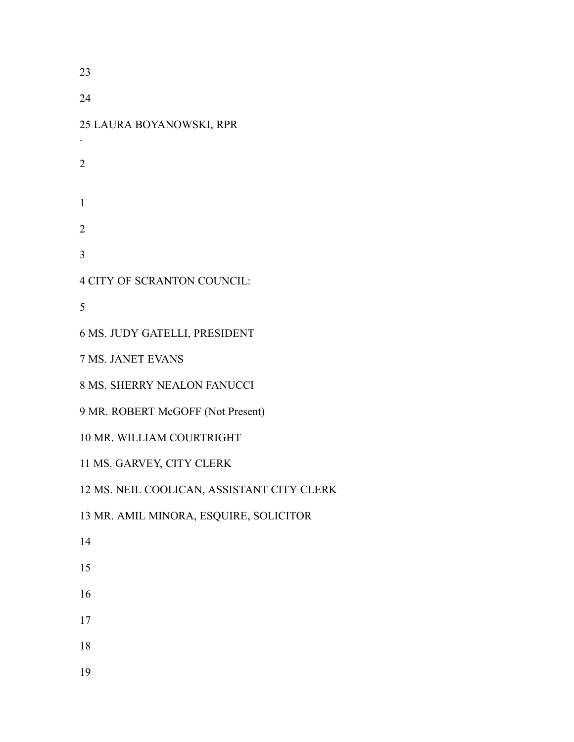LAURA BOYANOWSKI, RPR . CITY OF SCRANTON COUNCIL: MS. JUDY GATELLI, PRESIDENT MS. JANET EVANS MS. SHERRY NEALON FANUCCI MR. ROBERT McGOFF (Not Present) MR. WILLIAM COURTRIGHT MS. GARVEY, CITY CLERK MS. NEIL COOLICAN, ASSISTANT CITY CLERK MR. AMIL MINORA, ESQUIRE, SOLICITOR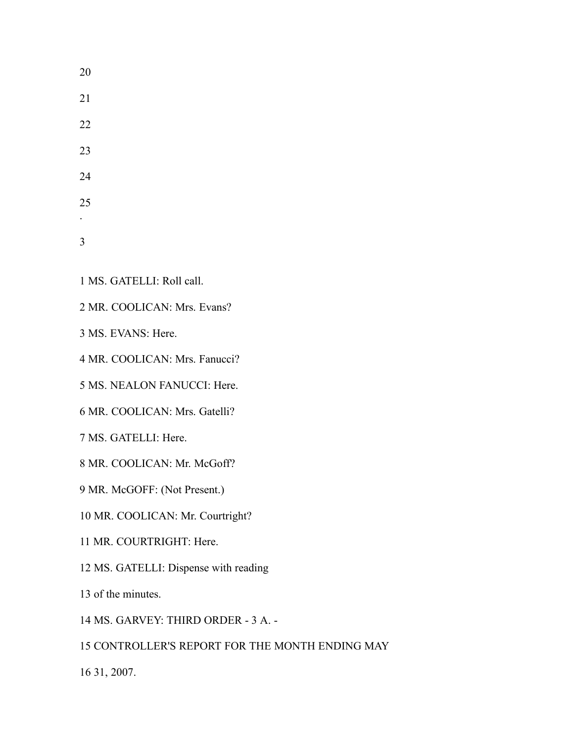| 20 |  |  |
|----|--|--|
| 21 |  |  |
| 22 |  |  |
| 23 |  |  |
| 24 |  |  |
| 25 |  |  |
|    |  |  |
| 3  |  |  |

- MS. GATELLI: Roll call.
- MR. COOLICAN: Mrs. Evans?

MS. EVANS: Here.

MR. COOLICAN: Mrs. Fanucci?

MS. NEALON FANUCCI: Here.

MR. COOLICAN: Mrs. Gatelli?

MS. GATELLI: Here.

MR. COOLICAN: Mr. McGoff?

MR. McGOFF: (Not Present.)

MR. COOLICAN: Mr. Courtright?

- MR. COURTRIGHT: Here.
- MS. GATELLI: Dispense with reading

of the minutes.

MS. GARVEY: THIRD ORDER - 3 A. -

CONTROLLER'S REPORT FOR THE MONTH ENDING MAY

31, 2007.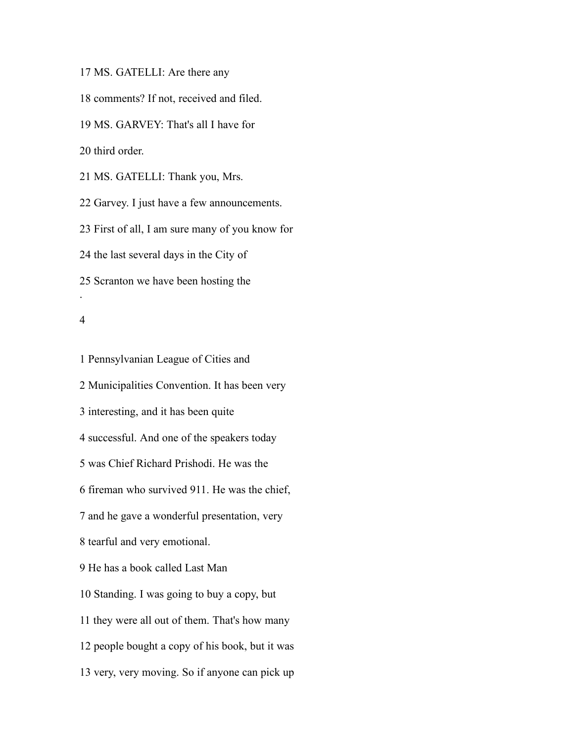MS. GATELLI: Are there any

comments? If not, received and filed.

MS. GARVEY: That's all I have for

third order.

MS. GATELLI: Thank you, Mrs.

Garvey. I just have a few announcements.

First of all, I am sure many of you know for

the last several days in the City of

Scranton we have been hosting the

#### 

.

 Pennsylvanian League of Cities and Municipalities Convention. It has been very interesting, and it has been quite successful. And one of the speakers today was Chief Richard Prishodi. He was the fireman who survived 911. He was the chief, and he gave a wonderful presentation, very tearful and very emotional. He has a book called Last Man Standing. I was going to buy a copy, but they were all out of them. That's how many people bought a copy of his book, but it was very, very moving. So if anyone can pick up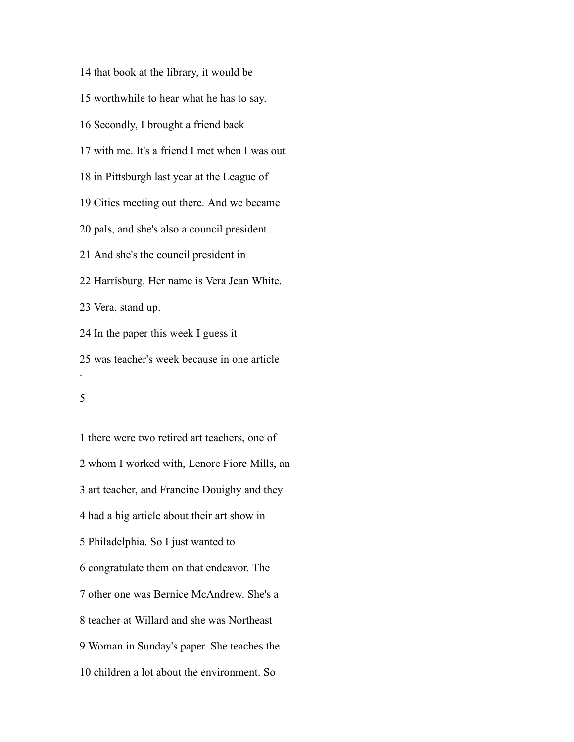that book at the library, it would be worthwhile to hear what he has to say. Secondly, I brought a friend back with me. It's a friend I met when I was out in Pittsburgh last year at the League of Cities meeting out there. And we became pals, and she's also a council president. And she's the council president in Harrisburg. Her name is Vera Jean White. Vera, stand up. In the paper this week I guess it was teacher's week because in one article .

 there were two retired art teachers, one of whom I worked with, Lenore Fiore Mills, an art teacher, and Francine Douighy and they had a big article about their art show in Philadelphia. So I just wanted to congratulate them on that endeavor. The other one was Bernice McAndrew. She's a teacher at Willard and she was Northeast Woman in Sunday's paper. She teaches the children a lot about the environment. So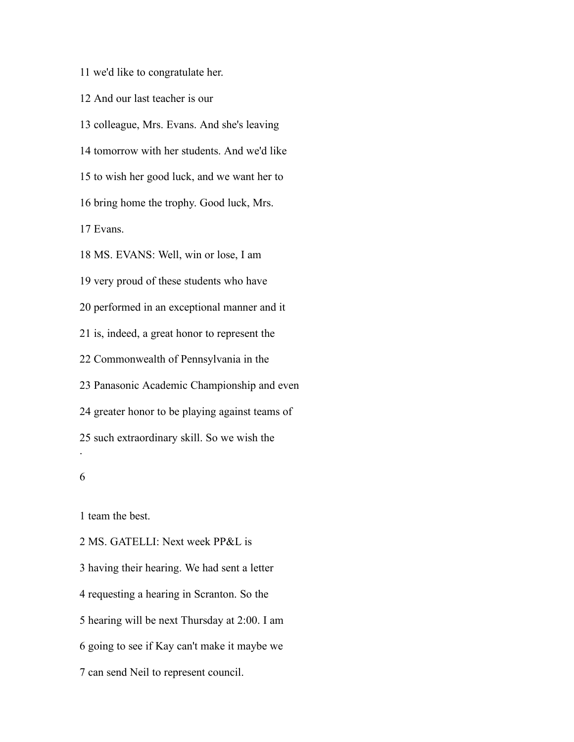we'd like to congratulate her.

And our last teacher is our

 colleague, Mrs. Evans. And she's leaving tomorrow with her students. And we'd like to wish her good luck, and we want her to bring home the trophy. Good luck, Mrs. Evans. MS. EVANS: Well, win or lose, I am very proud of these students who have performed in an exceptional manner and it

is, indeed, a great honor to represent the

Commonwealth of Pennsylvania in the

Panasonic Academic Championship and even

greater honor to be playing against teams of

such extraordinary skill. So we wish the

.

team the best.

 MS. GATELLI: Next week PP&L is having their hearing. We had sent a letter requesting a hearing in Scranton. So the hearing will be next Thursday at 2:00. I am going to see if Kay can't make it maybe we can send Neil to represent council.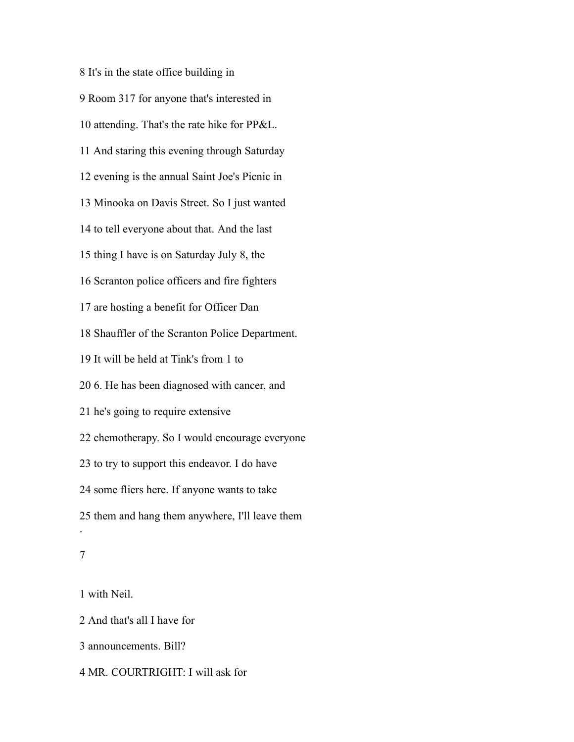It's in the state office building in Room 317 for anyone that's interested in attending. That's the rate hike for PP&L. And staring this evening through Saturday evening is the annual Saint Joe's Picnic in Minooka on Davis Street. So I just wanted to tell everyone about that. And the last thing I have is on Saturday July 8, the Scranton police officers and fire fighters are hosting a benefit for Officer Dan Shauffler of the Scranton Police Department. It will be held at Tink's from 1 to 6. He has been diagnosed with cancer, and he's going to require extensive chemotherapy. So I would encourage everyone to try to support this endeavor. I do have some fliers here. If anyone wants to take them and hang them anywhere, I'll leave them . 

with Neil.

And that's all I have for

announcements. Bill?

MR. COURTRIGHT: I will ask for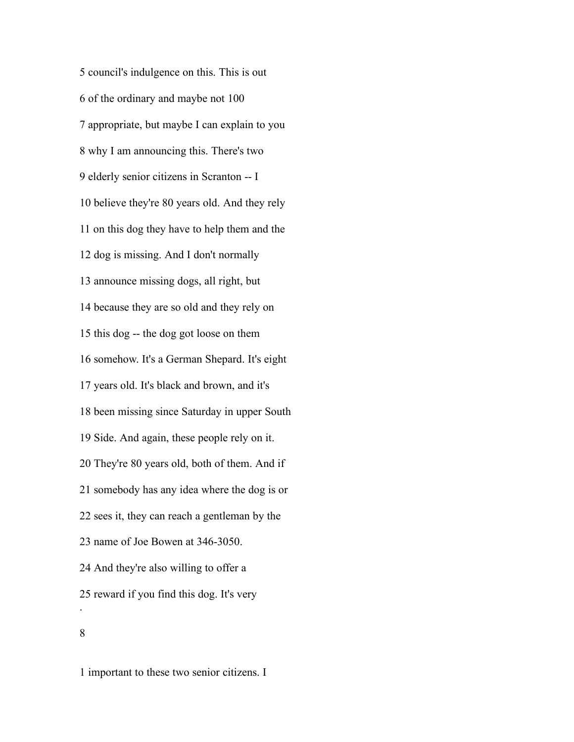council's indulgence on this. This is out of the ordinary and maybe not 100 appropriate, but maybe I can explain to you why I am announcing this. There's two elderly senior citizens in Scranton -- I believe they're 80 years old. And they rely on this dog they have to help them and the dog is missing. And I don't normally announce missing dogs, all right, but because they are so old and they rely on this dog -- the dog got loose on them somehow. It's a German Shepard. It's eight years old. It's black and brown, and it's been missing since Saturday in upper South Side. And again, these people rely on it. They're 80 years old, both of them. And if somebody has any idea where the dog is or sees it, they can reach a gentleman by the name of Joe Bowen at 346-3050. And they're also willing to offer a reward if you find this dog. It's very . 

important to these two senior citizens. I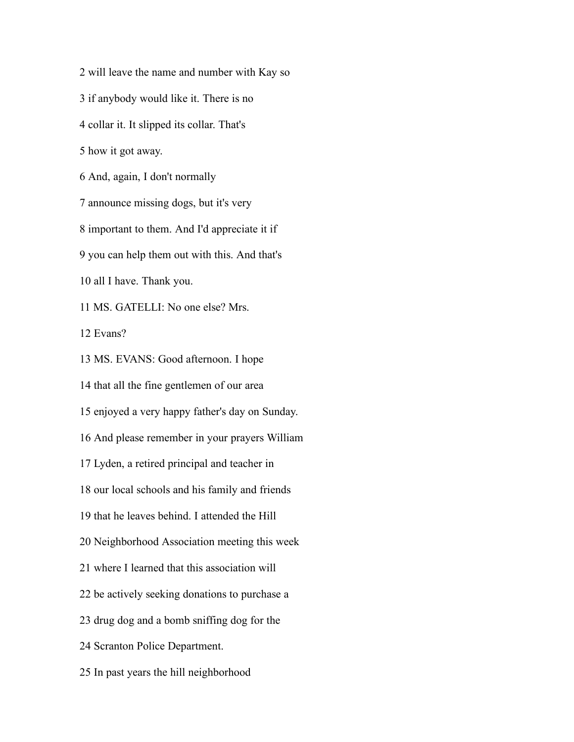will leave the name and number with Kay so if anybody would like it. There is no collar it. It slipped its collar. That's how it got away. And, again, I don't normally announce missing dogs, but it's very important to them. And I'd appreciate it if you can help them out with this. And that's all I have. Thank you. MS. GATELLI: No one else? Mrs. Evans? MS. EVANS: Good afternoon. I hope that all the fine gentlemen of our area enjoyed a very happy father's day on Sunday. And please remember in your prayers William Lyden, a retired principal and teacher in our local schools and his family and friends that he leaves behind. I attended the Hill Neighborhood Association meeting this week where I learned that this association will be actively seeking donations to purchase a drug dog and a bomb sniffing dog for the Scranton Police Department. In past years the hill neighborhood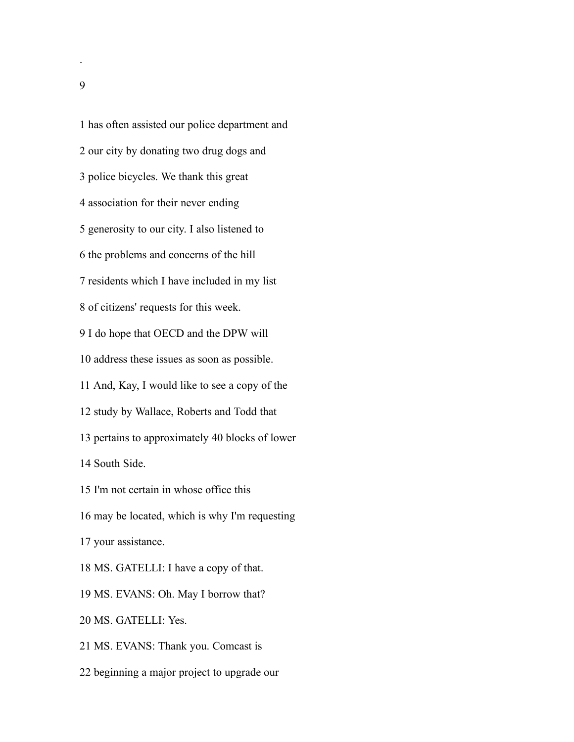has often assisted our police department and our city by donating two drug dogs and police bicycles. We thank this great association for their never ending generosity to our city. I also listened to the problems and concerns of the hill residents which I have included in my list of citizens' requests for this week. I do hope that OECD and the DPW will address these issues as soon as possible. And, Kay, I would like to see a copy of the study by Wallace, Roberts and Todd that pertains to approximately 40 blocks of lower South Side. I'm not certain in whose office this may be located, which is why I'm requesting your assistance. MS. GATELLI: I have a copy of that. MS. EVANS: Oh. May I borrow that? MS. GATELLI: Yes. MS. EVANS: Thank you. Comcast is beginning a major project to upgrade our

.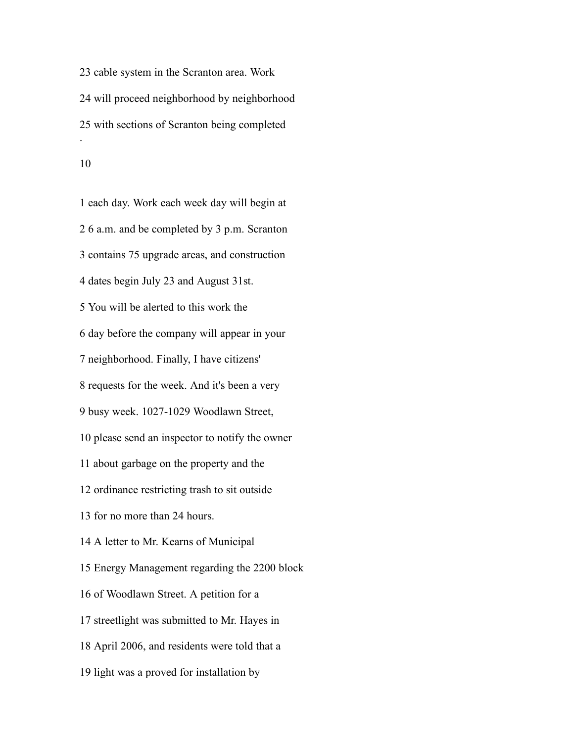cable system in the Scranton area. Work will proceed neighborhood by neighborhood with sections of Scranton being completed . 

 each day. Work each week day will begin at 6 a.m. and be completed by 3 p.m. Scranton contains 75 upgrade areas, and construction dates begin July 23 and August 31st. You will be alerted to this work the day before the company will appear in your neighborhood. Finally, I have citizens' requests for the week. And it's been a very busy week. 1027-1029 Woodlawn Street, please send an inspector to notify the owner about garbage on the property and the ordinance restricting trash to sit outside for no more than 24 hours. A letter to Mr. Kearns of Municipal Energy Management regarding the 2200 block of Woodlawn Street. A petition for a streetlight was submitted to Mr. Hayes in April 2006, and residents were told that a light was a proved for installation by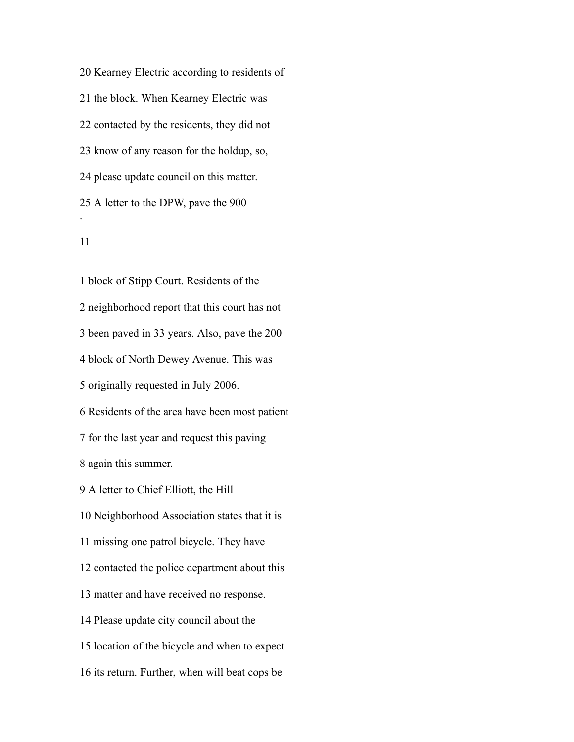Kearney Electric according to residents of the block. When Kearney Electric was contacted by the residents, they did not know of any reason for the holdup, so, please update council on this matter. A letter to the DPW, pave the 900 .

 block of Stipp Court. Residents of the neighborhood report that this court has not been paved in 33 years. Also, pave the 200 block of North Dewey Avenue. This was originally requested in July 2006. Residents of the area have been most patient for the last year and request this paving again this summer. A letter to Chief Elliott, the Hill Neighborhood Association states that it is missing one patrol bicycle. They have contacted the police department about this matter and have received no response. Please update city council about the location of the bicycle and when to expect its return. Further, when will beat cops be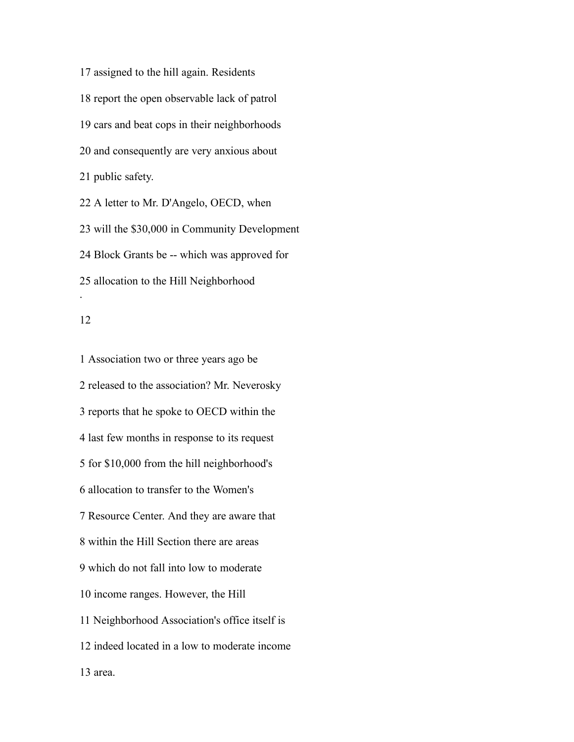assigned to the hill again. Residents report the open observable lack of patrol cars and beat cops in their neighborhoods and consequently are very anxious about public safety. A letter to Mr. D'Angelo, OECD, when

 will the \$30,000 in Community Development Block Grants be -- which was approved for allocation to the Hill Neighborhood .

#### 

 Association two or three years ago be released to the association? Mr. Neverosky reports that he spoke to OECD within the last few months in response to its request for \$10,000 from the hill neighborhood's allocation to transfer to the Women's Resource Center. And they are aware that within the Hill Section there are areas which do not fall into low to moderate income ranges. However, the Hill Neighborhood Association's office itself is indeed located in a low to moderate income area.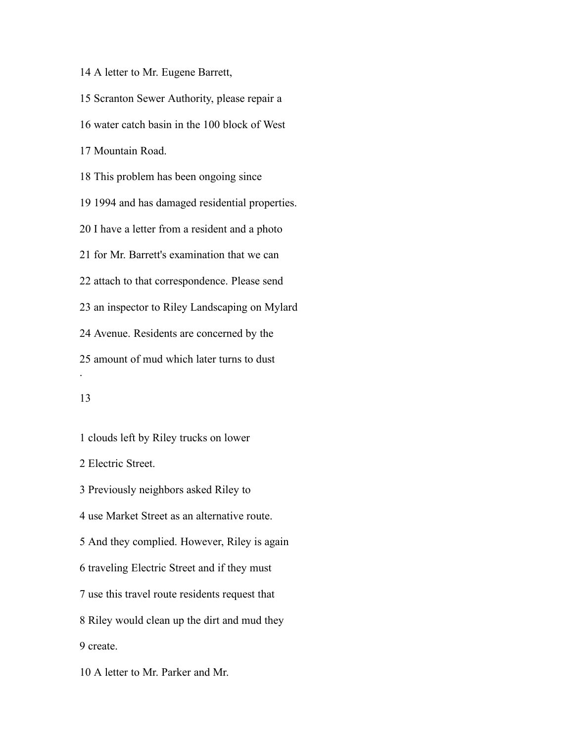A letter to Mr. Eugene Barrett,

 Scranton Sewer Authority, please repair a water catch basin in the 100 block of West Mountain Road. This problem has been ongoing since 1994 and has damaged residential properties. I have a letter from a resident and a photo for Mr. Barrett's examination that we can attach to that correspondence. Please send an inspector to Riley Landscaping on Mylard Avenue. Residents are concerned by the amount of mud which later turns to dust .

## 

 Electric Street. Previously neighbors asked Riley to use Market Street as an alternative route. And they complied. However, Riley is again traveling Electric Street and if they must use this travel route residents request that Riley would clean up the dirt and mud they create.

clouds left by Riley trucks on lower

A letter to Mr. Parker and Mr.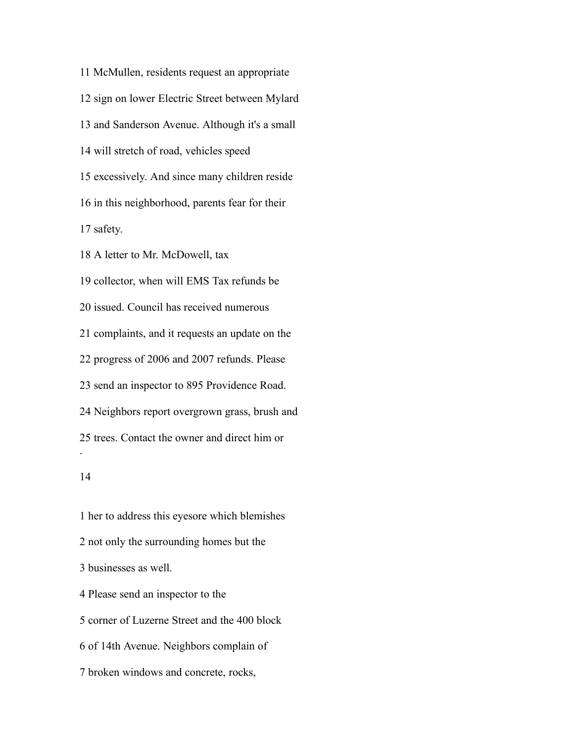McMullen, residents request an appropriate sign on lower Electric Street between Mylard and Sanderson Avenue. Although it's a small will stretch of road, vehicles speed excessively. And since many children reside in this neighborhood, parents fear for their safety. A letter to Mr. McDowell, tax collector, when will EMS Tax refunds be issued. Council has received numerous complaints, and it requests an update on the progress of 2006 and 2007 refunds. Please

send an inspector to 895 Providence Road.

Neighbors report overgrown grass, brush and

trees. Contact the owner and direct him or

#### 

.

 her to address this eyesore which blemishes not only the surrounding homes but the businesses as well. Please send an inspector to the corner of Luzerne Street and the 400 block of 14th Avenue. Neighbors complain of broken windows and concrete, rocks,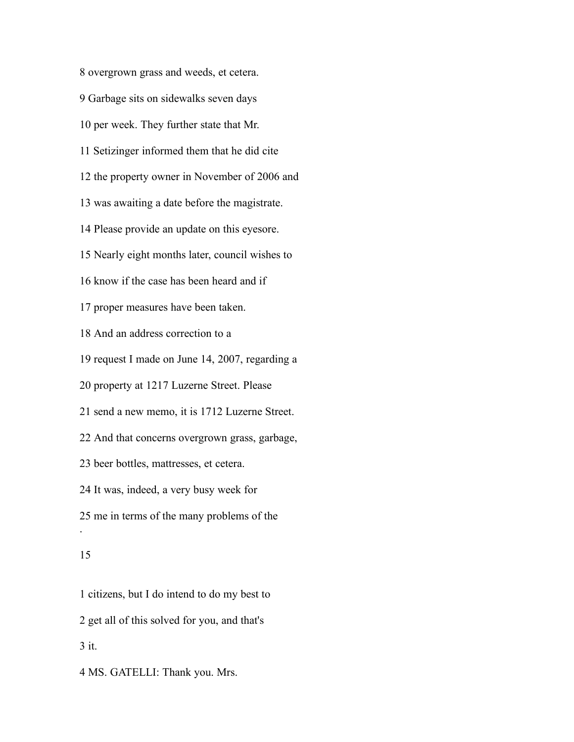overgrown grass and weeds, et cetera. Garbage sits on sidewalks seven days per week. They further state that Mr. Setizinger informed them that he did cite the property owner in November of 2006 and was awaiting a date before the magistrate. Please provide an update on this eyesore. Nearly eight months later, council wishes to know if the case has been heard and if proper measures have been taken. And an address correction to a request I made on June 14, 2007, regarding a property at 1217 Luzerne Street. Please send a new memo, it is 1712 Luzerne Street. And that concerns overgrown grass, garbage, beer bottles, mattresses, et cetera. It was, indeed, a very busy week for me in terms of the many problems of the . 

 citizens, but I do intend to do my best to get all of this solved for you, and that's it. MS. GATELLI: Thank you. Mrs.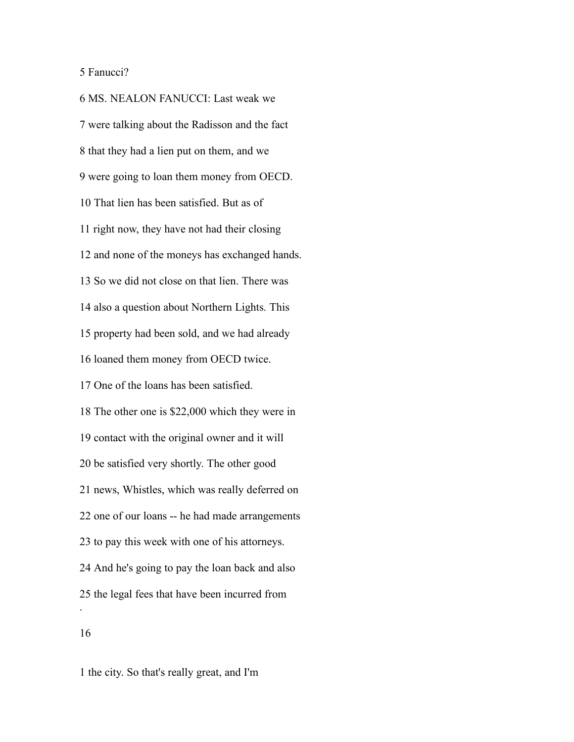## Fanucci?

 MS. NEALON FANUCCI: Last weak we were talking about the Radisson and the fact that they had a lien put on them, and we were going to loan them money from OECD. That lien has been satisfied. But as of right now, they have not had their closing and none of the moneys has exchanged hands. So we did not close on that lien. There was also a question about Northern Lights. This property had been sold, and we had already loaned them money from OECD twice. One of the loans has been satisfied. The other one is \$22,000 which they were in contact with the original owner and it will be satisfied very shortly. The other good news, Whistles, which was really deferred on one of our loans -- he had made arrangements to pay this week with one of his attorneys. And he's going to pay the loan back and also the legal fees that have been incurred from . 

the city. So that's really great, and I'm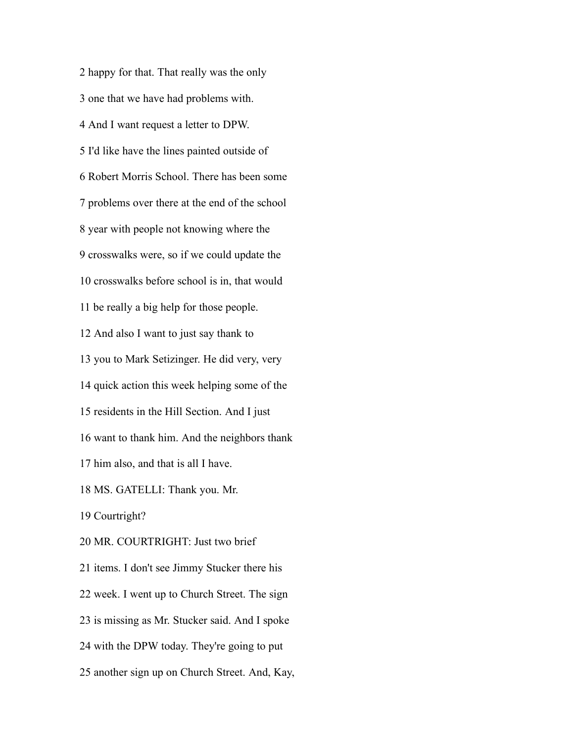happy for that. That really was the only one that we have had problems with. And I want request a letter to DPW. I'd like have the lines painted outside of Robert Morris School. There has been some problems over there at the end of the school year with people not knowing where the crosswalks were, so if we could update the crosswalks before school is in, that would be really a big help for those people. And also I want to just say thank to you to Mark Setizinger. He did very, very quick action this week helping some of the residents in the Hill Section. And I just want to thank him. And the neighbors thank him also, and that is all I have. MS. GATELLI: Thank you. Mr. Courtright? MR. COURTRIGHT: Just two brief items. I don't see Jimmy Stucker there his week. I went up to Church Street. The sign is missing as Mr. Stucker said. And I spoke with the DPW today. They're going to put another sign up on Church Street. And, Kay,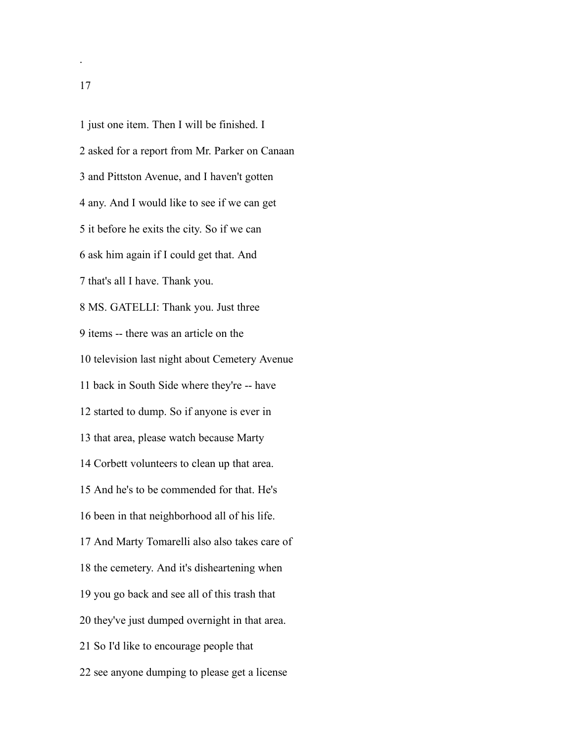just one item. Then I will be finished. I asked for a report from Mr. Parker on Canaan and Pittston Avenue, and I haven't gotten any. And I would like to see if we can get it before he exits the city. So if we can ask him again if I could get that. And that's all I have. Thank you. MS. GATELLI: Thank you. Just three items -- there was an article on the television last night about Cemetery Avenue back in South Side where they're -- have started to dump. So if anyone is ever in that area, please watch because Marty Corbett volunteers to clean up that area. And he's to be commended for that. He's been in that neighborhood all of his life. And Marty Tomarelli also also takes care of the cemetery. And it's disheartening when you go back and see all of this trash that they've just dumped overnight in that area. So I'd like to encourage people that see anyone dumping to please get a license

.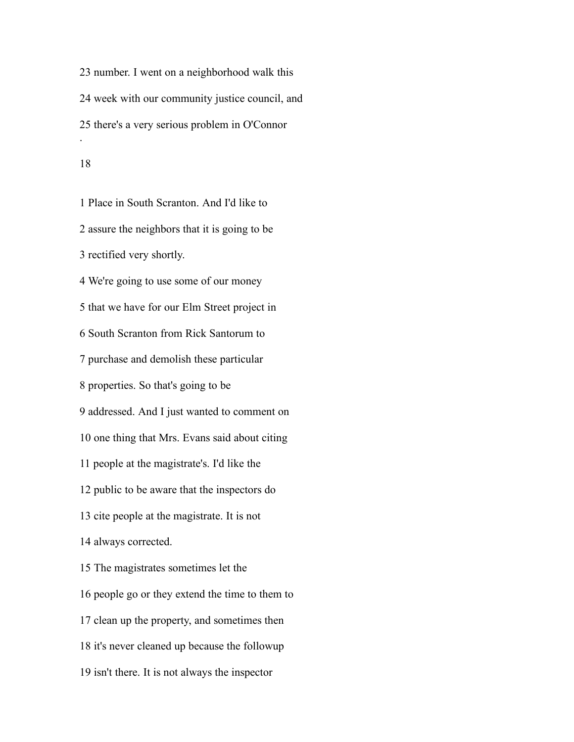number. I went on a neighborhood walk this week with our community justice council, and there's a very serious problem in O'Connor .

#### 

 Place in South Scranton. And I'd like to assure the neighbors that it is going to be rectified very shortly. We're going to use some of our money that we have for our Elm Street project in South Scranton from Rick Santorum to purchase and demolish these particular properties. So that's going to be addressed. And I just wanted to comment on one thing that Mrs. Evans said about citing people at the magistrate's. I'd like the public to be aware that the inspectors do cite people at the magistrate. It is not always corrected. The magistrates sometimes let the people go or they extend the time to them to clean up the property, and sometimes then it's never cleaned up because the followup isn't there. It is not always the inspector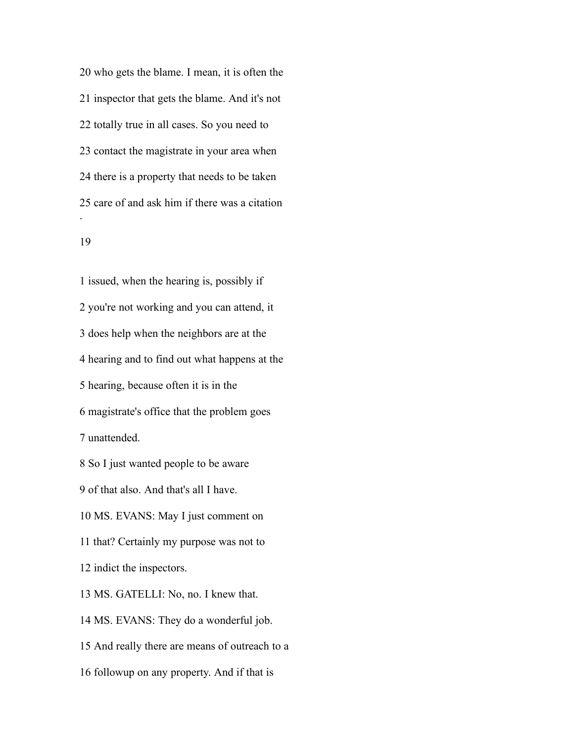who gets the blame. I mean, it is often the inspector that gets the blame. And it's not totally true in all cases. So you need to contact the magistrate in your area when there is a property that needs to be taken care of and ask him if there was a citation .

#### 

 issued, when the hearing is, possibly if you're not working and you can attend, it does help when the neighbors are at the hearing and to find out what happens at the hearing, because often it is in the magistrate's office that the problem goes unattended. So I just wanted people to be aware of that also. And that's all I have. MS. EVANS: May I just comment on that? Certainly my purpose was not to indict the inspectors. MS. GATELLI: No, no. I knew that. MS. EVANS: They do a wonderful job. And really there are means of outreach to a followup on any property. And if that is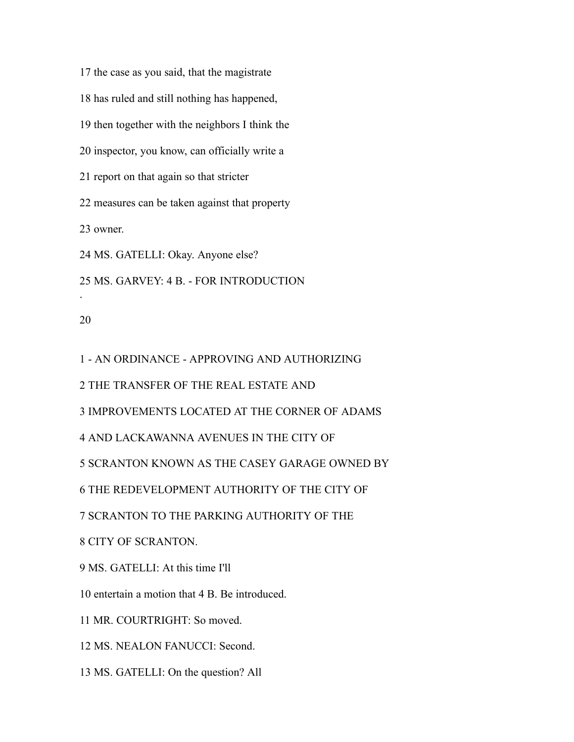the case as you said, that the magistrate

has ruled and still nothing has happened,

then together with the neighbors I think the

inspector, you know, can officially write a

report on that again so that stricter

measures can be taken against that property

owner.

MS. GATELLI: Okay. Anyone else?

MS. GARVEY: 4 B. - FOR INTRODUCTION

## 

.

- AN ORDINANCE - APPROVING AND AUTHORIZING

THE TRANSFER OF THE REAL ESTATE AND

IMPROVEMENTS LOCATED AT THE CORNER OF ADAMS

AND LACKAWANNA AVENUES IN THE CITY OF

SCRANTON KNOWN AS THE CASEY GARAGE OWNED BY

THE REDEVELOPMENT AUTHORITY OF THE CITY OF

SCRANTON TO THE PARKING AUTHORITY OF THE

CITY OF SCRANTON.

MS. GATELLI: At this time I'll

entertain a motion that 4 B. Be introduced.

MR. COURTRIGHT: So moved.

MS. NEALON FANUCCI: Second.

MS. GATELLI: On the question? All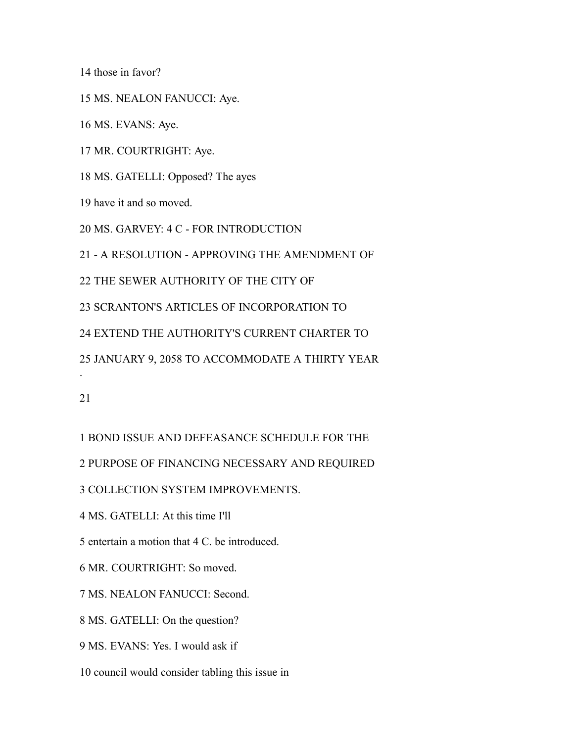those in favor?

MS. NEALON FANUCCI: Aye.

MS. EVANS: Aye.

MR. COURTRIGHT: Aye.

MS. GATELLI: Opposed? The ayes

have it and so moved.

MS. GARVEY: 4 C - FOR INTRODUCTION

- A RESOLUTION - APPROVING THE AMENDMENT OF

THE SEWER AUTHORITY OF THE CITY OF

SCRANTON'S ARTICLES OF INCORPORATION TO

EXTEND THE AUTHORITY'S CURRENT CHARTER TO

JANUARY 9, 2058 TO ACCOMMODATE A THIRTY YEAR

.

BOND ISSUE AND DEFEASANCE SCHEDULE FOR THE

PURPOSE OF FINANCING NECESSARY AND REQUIRED

COLLECTION SYSTEM IMPROVEMENTS.

MS. GATELLI: At this time I'll

entertain a motion that 4 C. be introduced.

MR. COURTRIGHT: So moved.

MS. NEALON FANUCCI: Second.

MS. GATELLI: On the question?

MS. EVANS: Yes. I would ask if

council would consider tabling this issue in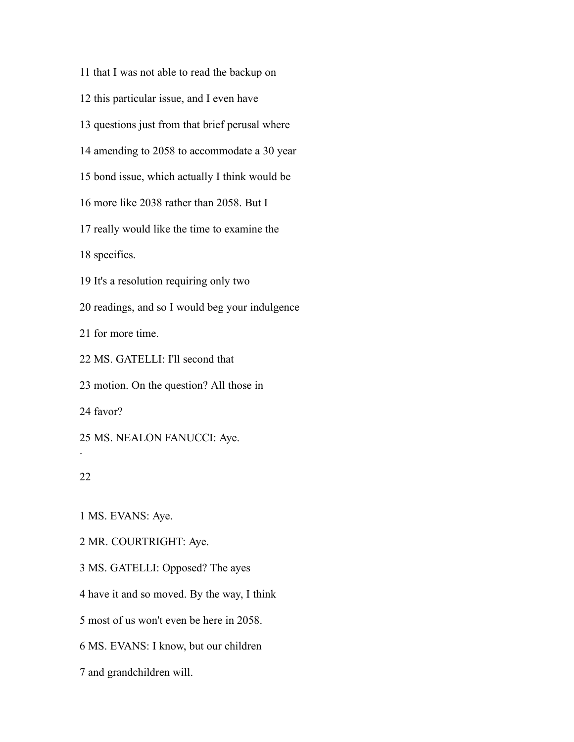that I was not able to read the backup on

this particular issue, and I even have

questions just from that brief perusal where

amending to 2058 to accommodate a 30 year

bond issue, which actually I think would be

more like 2038 rather than 2058. But I

really would like the time to examine the

specifics.

It's a resolution requiring only two

readings, and so I would beg your indulgence

for more time.

MS. GATELLI: I'll second that

motion. On the question? All those in

favor?

MS. NEALON FANUCCI: Aye.

## 

.

MS. EVANS: Aye.

MR. COURTRIGHT: Aye.

MS. GATELLI: Opposed? The ayes

have it and so moved. By the way, I think

most of us won't even be here in 2058.

MS. EVANS: I know, but our children

and grandchildren will.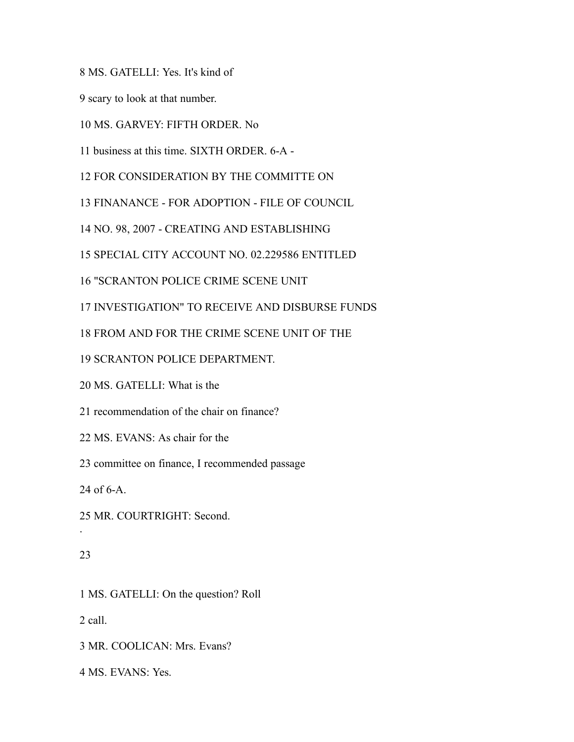MS. GATELLI: Yes. It's kind of

scary to look at that number.

MS. GARVEY: FIFTH ORDER. No

business at this time. SIXTH ORDER. 6-A -

FOR CONSIDERATION BY THE COMMITTE ON

FINANANCE - FOR ADOPTION - FILE OF COUNCIL

NO. 98, 2007 - CREATING AND ESTABLISHING

SPECIAL CITY ACCOUNT NO. 02.229586 ENTITLED

"SCRANTON POLICE CRIME SCENE UNIT

INVESTIGATION" TO RECEIVE AND DISBURSE FUNDS

FROM AND FOR THE CRIME SCENE UNIT OF THE

SCRANTON POLICE DEPARTMENT.

MS. GATELLI: What is the

recommendation of the chair on finance?

MS. EVANS: As chair for the

committee on finance, I recommended passage

of 6-A.

MR. COURTRIGHT: Second.

#### 

.

MS. GATELLI: On the question? Roll

call.

MR. COOLICAN: Mrs. Evans?

MS. EVANS: Yes.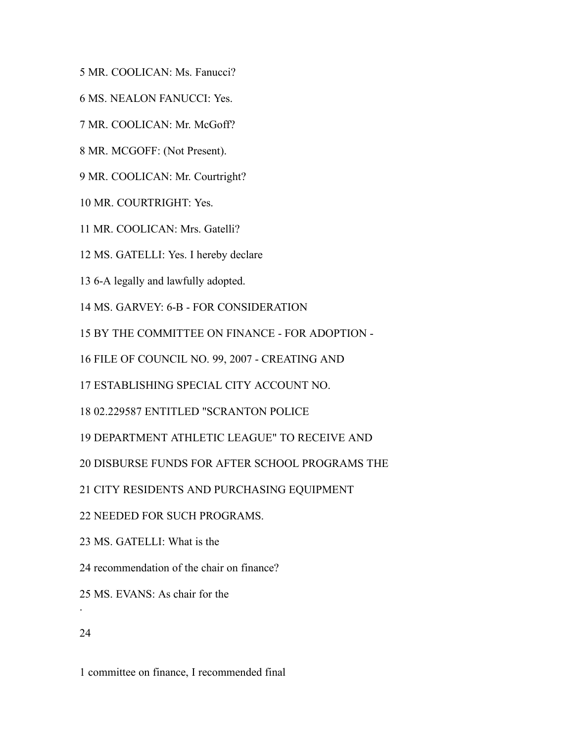- MR. COOLICAN: Ms. Fanucci?
- MS. NEALON FANUCCI: Yes.
- MR. COOLICAN: Mr. McGoff?
- MR. MCGOFF: (Not Present).
- MR. COOLICAN: Mr. Courtright?
- MR. COURTRIGHT: Yes.
- MR. COOLICAN: Mrs. Gatelli?
- MS. GATELLI: Yes. I hereby declare
- 6-A legally and lawfully adopted.
- MS. GARVEY: 6-B FOR CONSIDERATION
- BY THE COMMITTEE ON FINANCE FOR ADOPTION -
- FILE OF COUNCIL NO. 99, 2007 CREATING AND
- ESTABLISHING SPECIAL CITY ACCOUNT NO.
- 02.229587 ENTITLED "SCRANTON POLICE
- DEPARTMENT ATHLETIC LEAGUE" TO RECEIVE AND
- DISBURSE FUNDS FOR AFTER SCHOOL PROGRAMS THE
- CITY RESIDENTS AND PURCHASING EQUIPMENT
- NEEDED FOR SUCH PROGRAMS.
- MS. GATELLI: What is the
- recommendation of the chair on finance?
- MS. EVANS: As chair for the
- 

.

committee on finance, I recommended final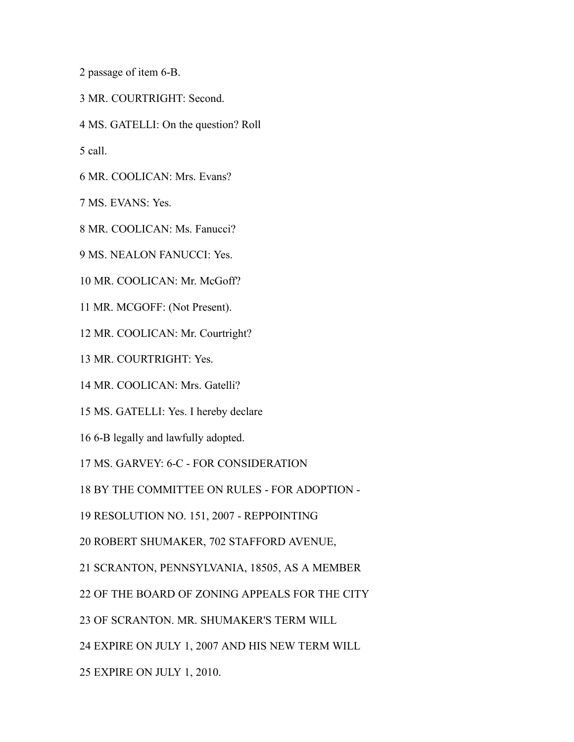passage of item 6-B.

MR. COURTRIGHT: Second.

MS. GATELLI: On the question? Roll

call.

MR. COOLICAN: Mrs. Evans?

MS. EVANS: Yes.

MR. COOLICAN: Ms. Fanucci?

MS. NEALON FANUCCI: Yes.

MR. COOLICAN: Mr. McGoff?

MR. MCGOFF: (Not Present).

MR. COOLICAN: Mr. Courtright?

MR. COURTRIGHT: Yes.

MR. COOLICAN: Mrs. Gatelli?

MS. GATELLI: Yes. I hereby declare

6-B legally and lawfully adopted.

MS. GARVEY: 6-C - FOR CONSIDERATION

BY THE COMMITTEE ON RULES - FOR ADOPTION -

RESOLUTION NO. 151, 2007 - REPPOINTING

ROBERT SHUMAKER, 702 STAFFORD AVENUE,

SCRANTON, PENNSYLVANIA, 18505, AS A MEMBER

OF THE BOARD OF ZONING APPEALS FOR THE CITY

OF SCRANTON. MR. SHUMAKER'S TERM WILL

EXPIRE ON JULY 1, 2007 AND HIS NEW TERM WILL

EXPIRE ON JULY 1, 2010.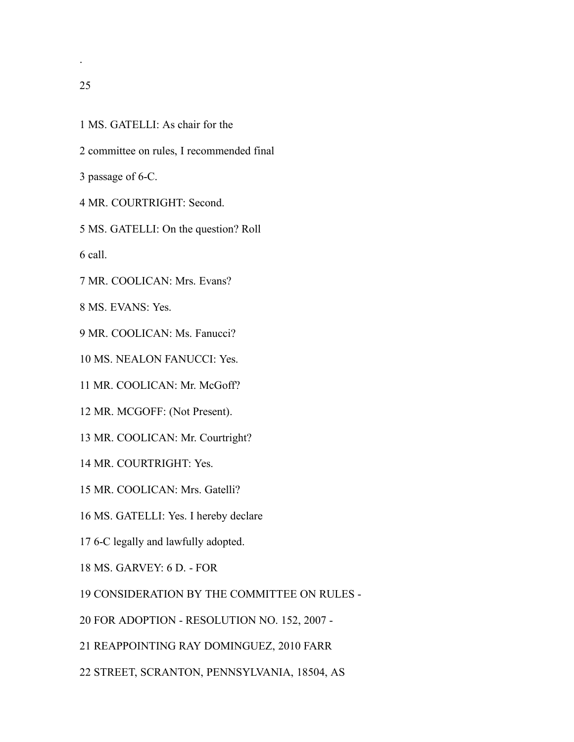.

- MS. GATELLI: As chair for the
- committee on rules, I recommended final
- passage of 6-C.
- MR. COURTRIGHT: Second.

MS. GATELLI: On the question? Roll

call.

MR. COOLICAN: Mrs. Evans?

MS. EVANS: Yes.

MR. COOLICAN: Ms. Fanucci?

MS. NEALON FANUCCI: Yes.

MR. COOLICAN: Mr. McGoff?

- MR. MCGOFF: (Not Present).
- MR. COOLICAN: Mr. Courtright?

MR. COURTRIGHT: Yes.

- MR. COOLICAN: Mrs. Gatelli?
- MS. GATELLI: Yes. I hereby declare
- 6-C legally and lawfully adopted.
- MS. GARVEY: 6 D. FOR

CONSIDERATION BY THE COMMITTEE ON RULES -

FOR ADOPTION - RESOLUTION NO. 152, 2007 -

REAPPOINTING RAY DOMINGUEZ, 2010 FARR

STREET, SCRANTON, PENNSYLVANIA, 18504, AS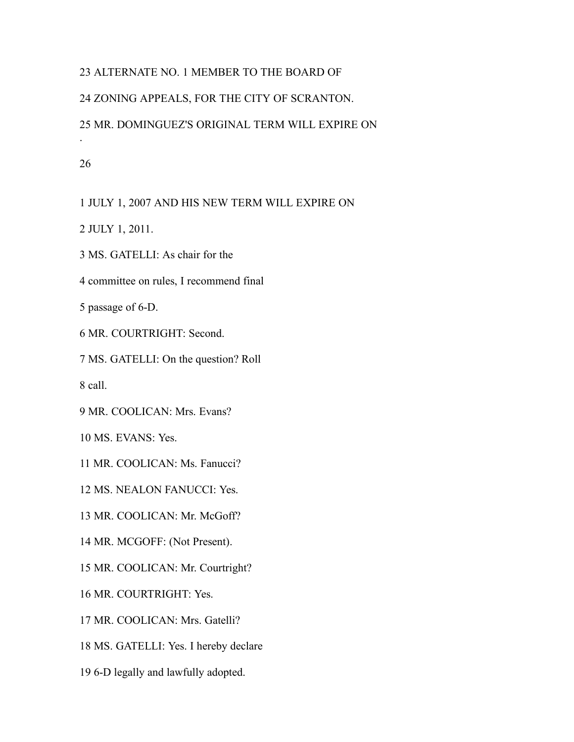# ALTERNATE NO. 1 MEMBER TO THE BOARD OF ZONING APPEALS, FOR THE CITY OF SCRANTON. MR. DOMINGUEZ'S ORIGINAL TERM WILL EXPIRE ON .

JULY 1, 2007 AND HIS NEW TERM WILL EXPIRE ON

JULY 1, 2011.

MS. GATELLI: As chair for the

committee on rules, I recommend final

passage of 6-D.

MR. COURTRIGHT: Second.

MS. GATELLI: On the question? Roll

call.

MR. COOLICAN: Mrs. Evans?

MS. EVANS: Yes.

MR. COOLICAN: Ms. Fanucci?

MS. NEALON FANUCCI: Yes.

MR. COOLICAN: Mr. McGoff?

MR. MCGOFF: (Not Present).

MR. COOLICAN: Mr. Courtright?

MR. COURTRIGHT: Yes.

MR. COOLICAN: Mrs. Gatelli?

MS. GATELLI: Yes. I hereby declare

6-D legally and lawfully adopted.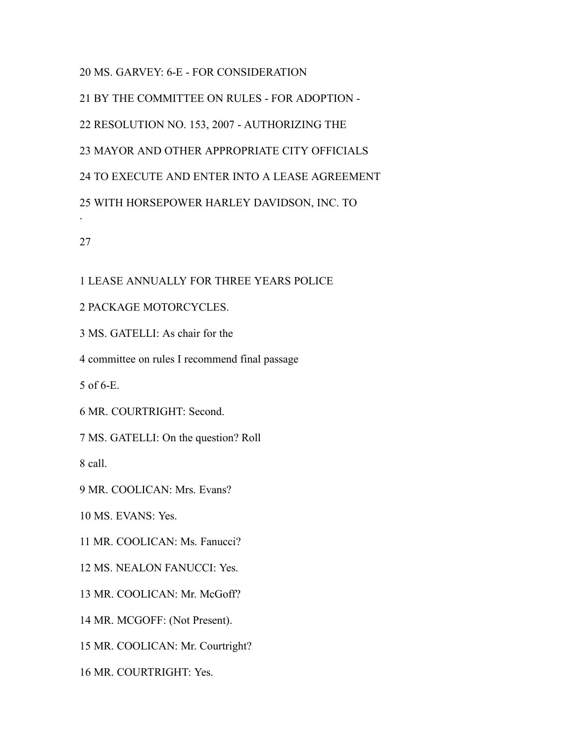MS. GARVEY: 6-E - FOR CONSIDERATION

 BY THE COMMITTEE ON RULES - FOR ADOPTION - RESOLUTION NO. 153, 2007 - AUTHORIZING THE MAYOR AND OTHER APPROPRIATE CITY OFFICIALS TO EXECUTE AND ENTER INTO A LEASE AGREEMENT WITH HORSEPOWER HARLEY DAVIDSON, INC. TO .

# LEASE ANNUALLY FOR THREE YEARS POLICE

## PACKAGE MOTORCYCLES.

MS. GATELLI: As chair for the

committee on rules I recommend final passage

of 6-E.

MR. COURTRIGHT: Second.

MS. GATELLI: On the question? Roll

call.

MR. COOLICAN: Mrs. Evans?

MS. EVANS: Yes.

MR. COOLICAN: Ms. Fanucci?

MS. NEALON FANUCCI: Yes.

MR. COOLICAN: Mr. McGoff?

MR. MCGOFF: (Not Present).

MR. COOLICAN: Mr. Courtright?

MR. COURTRIGHT: Yes.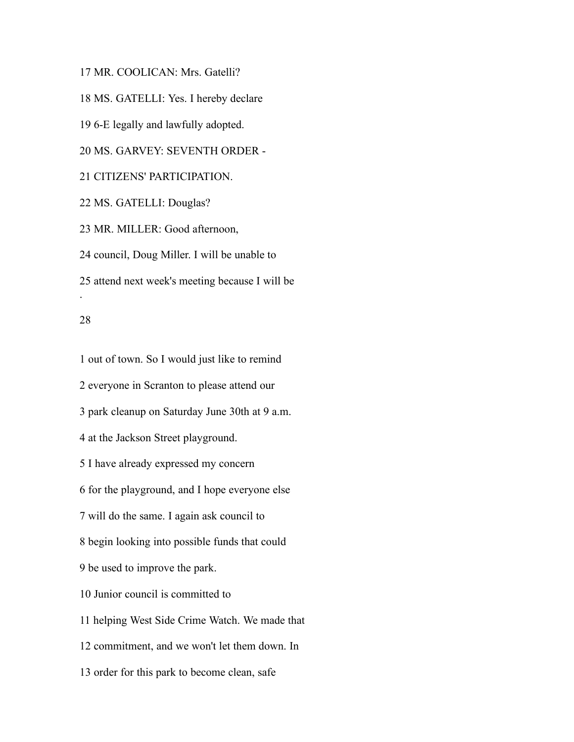MR. COOLICAN: Mrs. Gatelli?

MS. GATELLI: Yes. I hereby declare

6-E legally and lawfully adopted.

MS. GARVEY: SEVENTH ORDER -

## CITIZENS' PARTICIPATION.

MS. GATELLI: Douglas?

MR. MILLER: Good afternoon,

council, Doug Miller. I will be unable to

attend next week's meeting because I will be

#### 

.

 out of town. So I would just like to remind everyone in Scranton to please attend our park cleanup on Saturday June 30th at 9 a.m. at the Jackson Street playground. I have already expressed my concern for the playground, and I hope everyone else will do the same. I again ask council to begin looking into possible funds that could be used to improve the park. Junior council is committed to helping West Side Crime Watch. We made that commitment, and we won't let them down. In order for this park to become clean, safe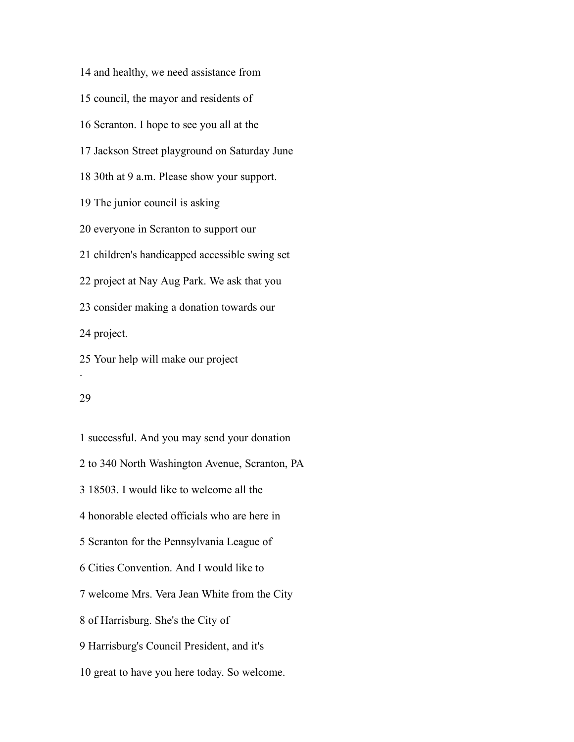and healthy, we need assistance from council, the mayor and residents of Scranton. I hope to see you all at the Jackson Street playground on Saturday June 30th at 9 a.m. Please show your support. The junior council is asking everyone in Scranton to support our children's handicapped accessible swing set project at Nay Aug Park. We ask that you consider making a donation towards our project. Your help will make our project .

#### 

 successful. And you may send your donation to 340 North Washington Avenue, Scranton, PA 18503. I would like to welcome all the honorable elected officials who are here in Scranton for the Pennsylvania League of Cities Convention. And I would like to welcome Mrs. Vera Jean White from the City of Harrisburg. She's the City of Harrisburg's Council President, and it's great to have you here today. So welcome.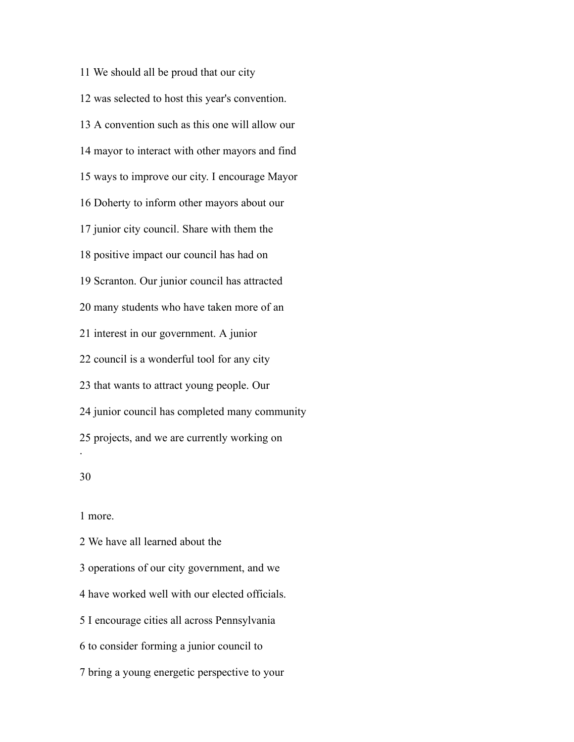We should all be proud that our city was selected to host this year's convention. A convention such as this one will allow our mayor to interact with other mayors and find ways to improve our city. I encourage Mayor Doherty to inform other mayors about our junior city council. Share with them the positive impact our council has had on Scranton. Our junior council has attracted many students who have taken more of an interest in our government. A junior council is a wonderful tool for any city that wants to attract young people. Our junior council has completed many community projects, and we are currently working on .

more.

 We have all learned about the operations of our city government, and we have worked well with our elected officials. I encourage cities all across Pennsylvania to consider forming a junior council to bring a young energetic perspective to your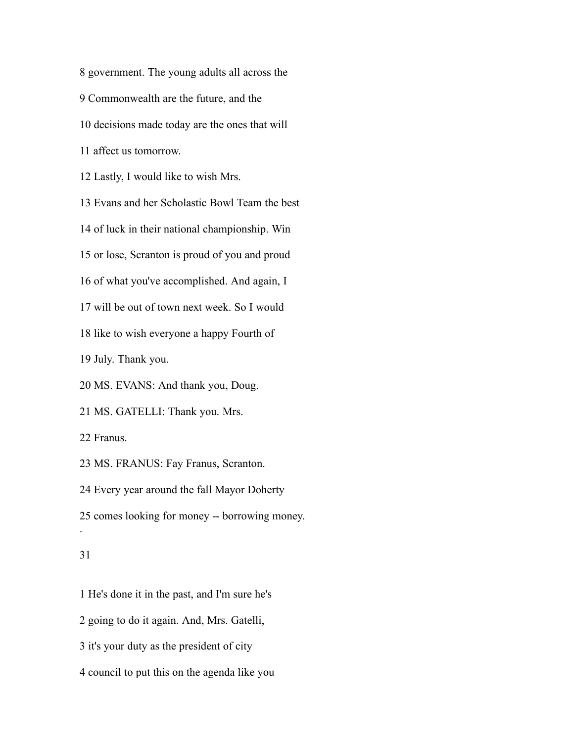government. The young adults all across the Commonwealth are the future, and the decisions made today are the ones that will affect us tomorrow. Lastly, I would like to wish Mrs. Evans and her Scholastic Bowl Team the best of luck in their national championship. Win or lose, Scranton is proud of you and proud of what you've accomplished. And again, I will be out of town next week. So I would like to wish everyone a happy Fourth of July. Thank you. MS. EVANS: And thank you, Doug. MS. GATELLI: Thank you. Mrs. Franus. MS. FRANUS: Fay Franus, Scranton. Every year around the fall Mayor Doherty comes looking for money -- borrowing money. .

## 

 He's done it in the past, and I'm sure he's going to do it again. And, Mrs. Gatelli, it's your duty as the president of city

council to put this on the agenda like you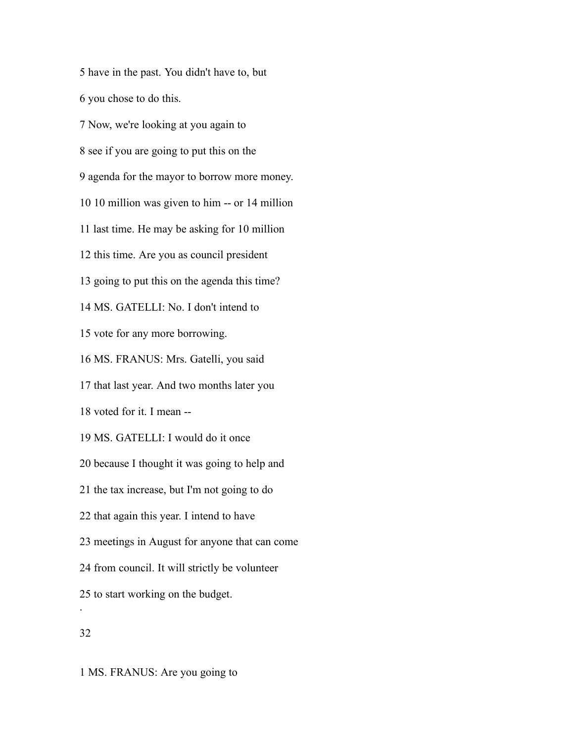have in the past. You didn't have to, but you chose to do this.

 Now, we're looking at you again to see if you are going to put this on the agenda for the mayor to borrow more money. 10 million was given to him -- or 14 million last time. He may be asking for 10 million this time. Are you as council president going to put this on the agenda this time? MS. GATELLI: No. I don't intend to vote for any more borrowing. MS. FRANUS: Mrs. Gatelli, you said that last year. And two months later you voted for it. I mean -- MS. GATELLI: I would do it once because I thought it was going to help and the tax increase, but I'm not going to do that again this year. I intend to have meetings in August for anyone that can come from council. It will strictly be volunteer to start working on the budget. .

MS. FRANUS: Are you going to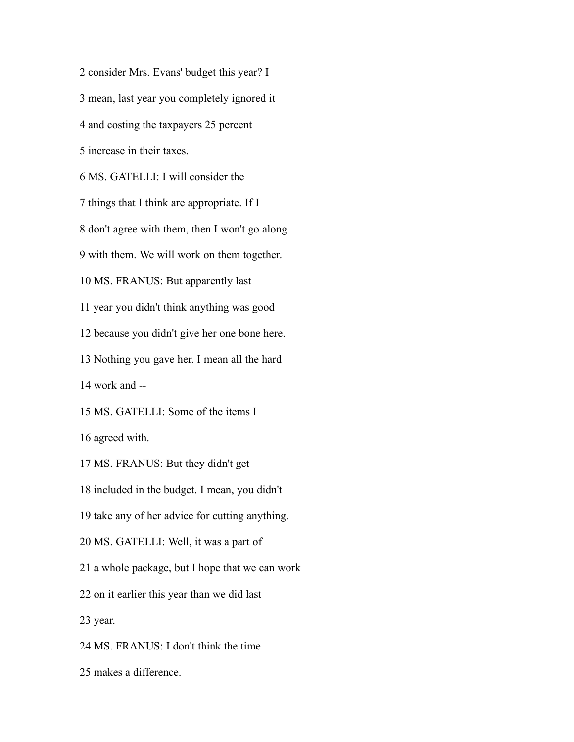consider Mrs. Evans' budget this year? I mean, last year you completely ignored it and costing the taxpayers 25 percent increase in their taxes. MS. GATELLI: I will consider the things that I think are appropriate. If I don't agree with them, then I won't go along with them. We will work on them together. MS. FRANUS: But apparently last year you didn't think anything was good because you didn't give her one bone here. Nothing you gave her. I mean all the hard work and -- MS. GATELLI: Some of the items I agreed with. MS. FRANUS: But they didn't get included in the budget. I mean, you didn't take any of her advice for cutting anything. MS. GATELLI: Well, it was a part of a whole package, but I hope that we can work on it earlier this year than we did last year. MS. FRANUS: I don't think the time makes a difference.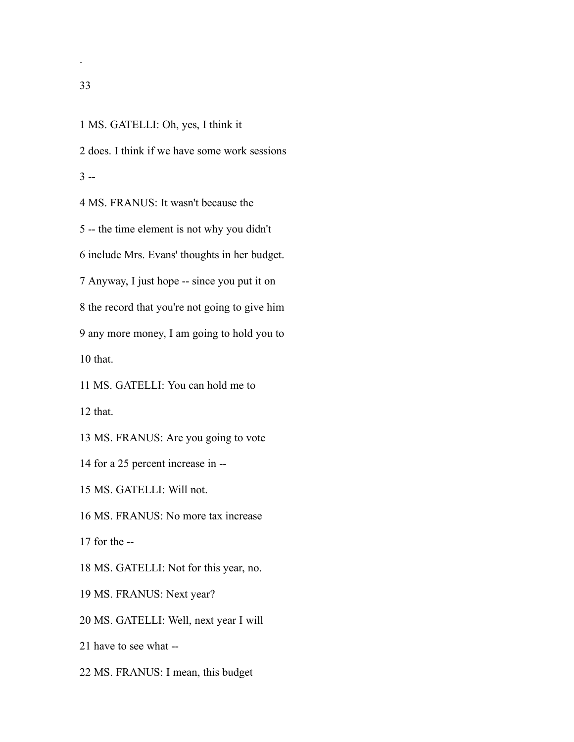.

 MS. GATELLI: Oh, yes, I think it does. I think if we have some work sessions  $3 -$  MS. FRANUS: It wasn't because the -- the time element is not why you didn't include Mrs. Evans' thoughts in her budget. Anyway, I just hope -- since you put it on the record that you're not going to give him any more money, I am going to hold you to that. MS. GATELLI: You can hold me to that. MS. FRANUS: Are you going to vote for a 25 percent increase in -- MS. GATELLI: Will not. MS. FRANUS: No more tax increase for the -- MS. GATELLI: Not for this year, no. MS. FRANUS: Next year? MS. GATELLI: Well, next year I will have to see what -- MS. FRANUS: I mean, this budget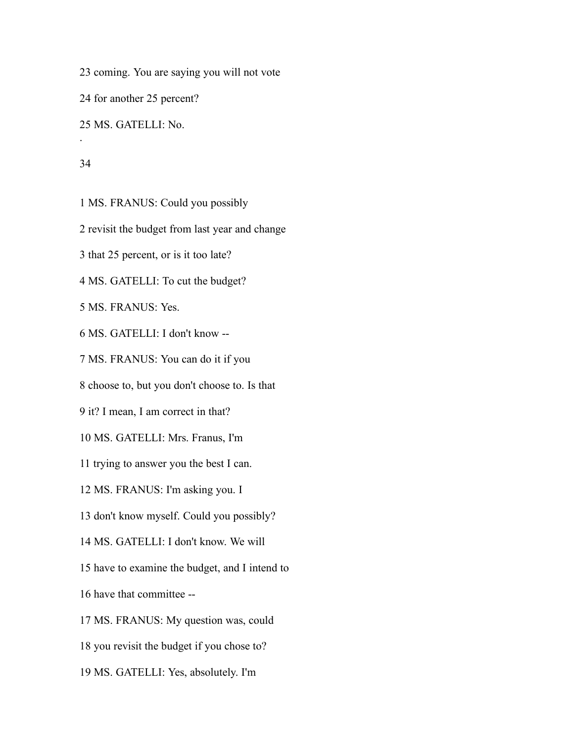coming. You are saying you will not vote

for another 25 percent?

MS. GATELLI: No.

#### 

.

MS. FRANUS: Could you possibly

revisit the budget from last year and change

that 25 percent, or is it too late?

MS. GATELLI: To cut the budget?

MS. FRANUS: Yes.

MS. GATELLI: I don't know --

MS. FRANUS: You can do it if you

choose to, but you don't choose to. Is that

it? I mean, I am correct in that?

MS. GATELLI: Mrs. Franus, I'm

trying to answer you the best I can.

MS. FRANUS: I'm asking you. I

don't know myself. Could you possibly?

MS. GATELLI: I don't know. We will

have to examine the budget, and I intend to

have that committee --

MS. FRANUS: My question was, could

you revisit the budget if you chose to?

MS. GATELLI: Yes, absolutely. I'm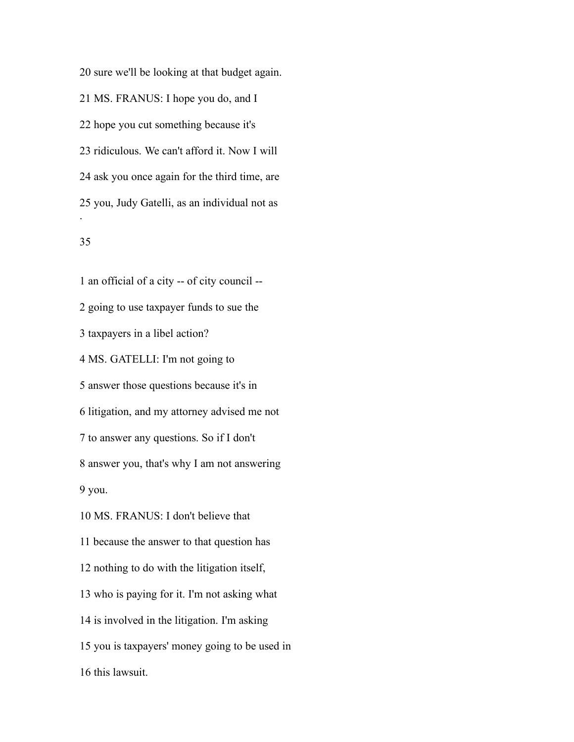sure we'll be looking at that budget again. MS. FRANUS: I hope you do, and I hope you cut something because it's ridiculous. We can't afford it. Now I will ask you once again for the third time, are you, Judy Gatelli, as an individual not as .

# 

 an official of a city -- of city council -- going to use taxpayer funds to sue the taxpayers in a libel action? MS. GATELLI: I'm not going to answer those questions because it's in litigation, and my attorney advised me not to answer any questions. So if I don't answer you, that's why I am not answering you. MS. FRANUS: I don't believe that because the answer to that question has nothing to do with the litigation itself, who is paying for it. I'm not asking what is involved in the litigation. I'm asking you is taxpayers' money going to be used in this lawsuit.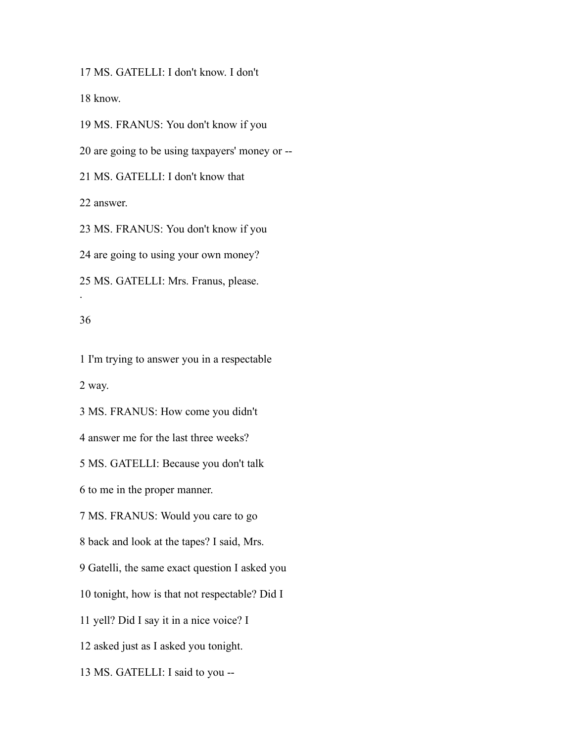MS. GATELLI: I don't know. I don't

know.

 MS. FRANUS: You don't know if you are going to be using taxpayers' money or -- MS. GATELLI: I don't know that answer. MS. FRANUS: You don't know if you are going to using your own money? MS. GATELLI: Mrs. Franus, please. .

## 

 I'm trying to answer you in a respectable way.

MS. FRANUS: How come you didn't

answer me for the last three weeks?

MS. GATELLI: Because you don't talk

to me in the proper manner.

MS. FRANUS: Would you care to go

back and look at the tapes? I said, Mrs.

Gatelli, the same exact question I asked you

tonight, how is that not respectable? Did I

yell? Did I say it in a nice voice? I

asked just as I asked you tonight.

MS. GATELLI: I said to you --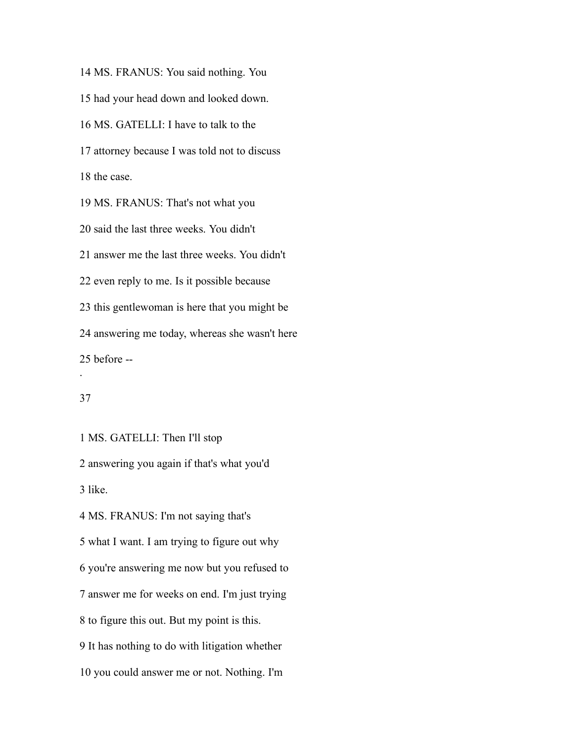MS. FRANUS: You said nothing. You had your head down and looked down. MS. GATELLI: I have to talk to the attorney because I was told not to discuss the case. MS. FRANUS: That's not what you said the last three weeks. You didn't answer me the last three weeks. You didn't even reply to me. Is it possible because this gentlewoman is here that you might be answering me today, whereas she wasn't here before -- .

# 

MS. GATELLI: Then I'll stop

 answering you again if that's what you'd like.

 MS. FRANUS: I'm not saying that's what I want. I am trying to figure out why you're answering me now but you refused to answer me for weeks on end. I'm just trying to figure this out. But my point is this. It has nothing to do with litigation whether

you could answer me or not. Nothing. I'm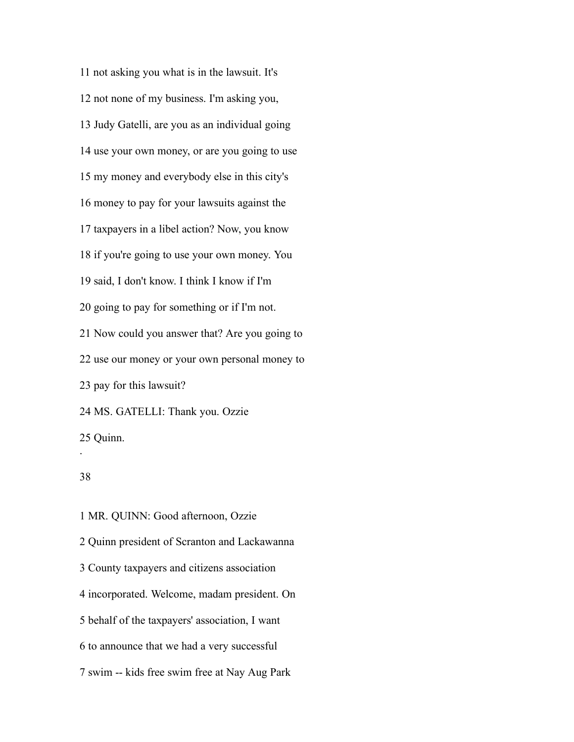not asking you what is in the lawsuit. It's not none of my business. I'm asking you, Judy Gatelli, are you as an individual going use your own money, or are you going to use my money and everybody else in this city's money to pay for your lawsuits against the taxpayers in a libel action? Now, you know if you're going to use your own money. You said, I don't know. I think I know if I'm going to pay for something or if I'm not. Now could you answer that? Are you going to use our money or your own personal money to pay for this lawsuit? MS. GATELLI: Thank you. Ozzie Quinn. .

## 

 MR. QUINN: Good afternoon, Ozzie Quinn president of Scranton and Lackawanna County taxpayers and citizens association incorporated. Welcome, madam president. On behalf of the taxpayers' association, I want to announce that we had a very successful swim -- kids free swim free at Nay Aug Park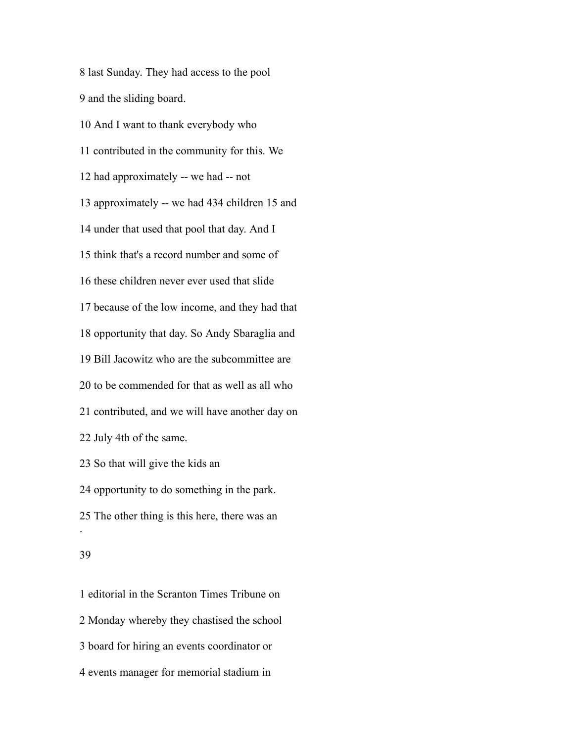last Sunday. They had access to the pool and the sliding board. And I want to thank everybody who contributed in the community for this. We had approximately -- we had -- not approximately -- we had 434 children 15 and under that used that pool that day. And I think that's a record number and some of these children never ever used that slide because of the low income, and they had that opportunity that day. So Andy Sbaraglia and Bill Jacowitz who are the subcommittee are to be commended for that as well as all who contributed, and we will have another day on July 4th of the same. So that will give the kids an opportunity to do something in the park. The other thing is this here, there was an .

 editorial in the Scranton Times Tribune on Monday whereby they chastised the school board for hiring an events coordinator or events manager for memorial stadium in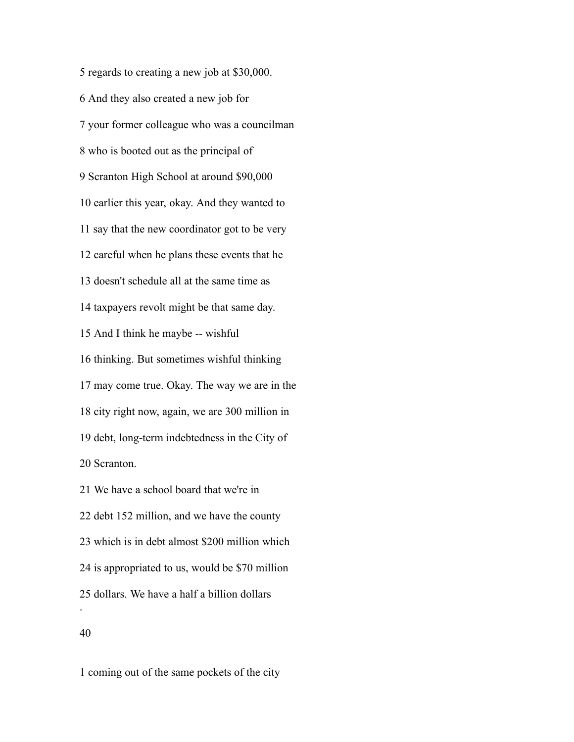regards to creating a new job at \$30,000. And they also created a new job for your former colleague who was a councilman who is booted out as the principal of Scranton High School at around \$90,000 earlier this year, okay. And they wanted to say that the new coordinator got to be very careful when he plans these events that he doesn't schedule all at the same time as taxpayers revolt might be that same day. And I think he maybe -- wishful thinking. But sometimes wishful thinking may come true. Okay. The way we are in the city right now, again, we are 300 million in debt, long-term indebtedness in the City of Scranton. We have a school board that we're in debt 152 million, and we have the county

is appropriated to us, would be \$70 million

dollars. We have a half a billion dollars

which is in debt almost \$200 million which

#### 

.

coming out of the same pockets of the city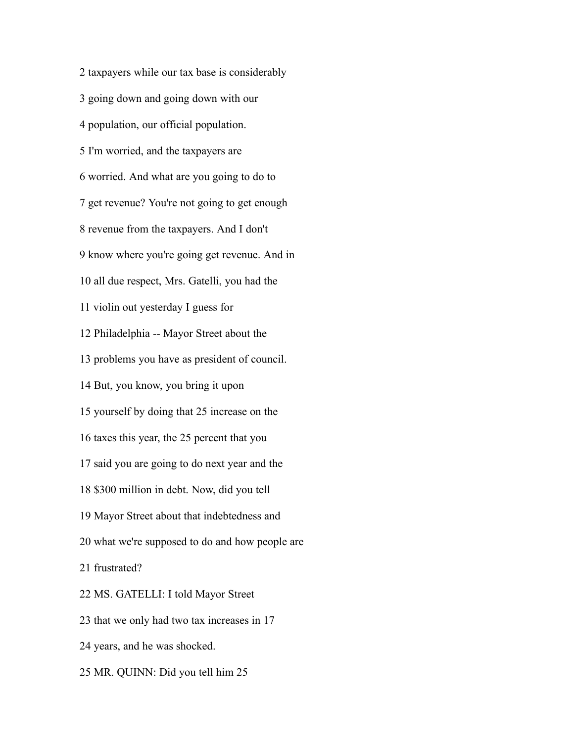taxpayers while our tax base is considerably going down and going down with our population, our official population. I'm worried, and the taxpayers are worried. And what are you going to do to get revenue? You're not going to get enough revenue from the taxpayers. And I don't know where you're going get revenue. And in all due respect, Mrs. Gatelli, you had the violin out yesterday I guess for Philadelphia -- Mayor Street about the problems you have as president of council. But, you know, you bring it upon yourself by doing that 25 increase on the taxes this year, the 25 percent that you said you are going to do next year and the \$300 million in debt. Now, did you tell Mayor Street about that indebtedness and what we're supposed to do and how people are frustrated? MS. GATELLI: I told Mayor Street that we only had two tax increases in 17 years, and he was shocked. MR. QUINN: Did you tell him 25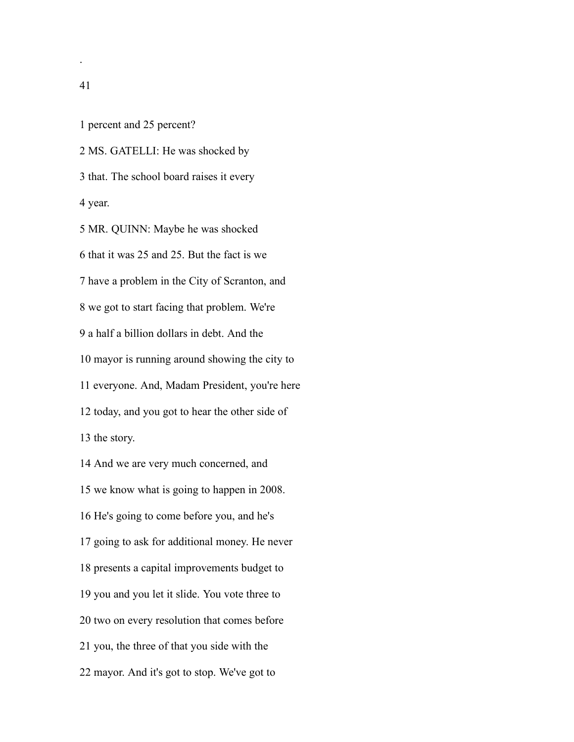percent and 25 percent?

 MS. GATELLI: He was shocked by that. The school board raises it every year.

 MR. QUINN: Maybe he was shocked that it was 25 and 25. But the fact is we have a problem in the City of Scranton, and we got to start facing that problem. We're a half a billion dollars in debt. And the mayor is running around showing the city to everyone. And, Madam President, you're here today, and you got to hear the other side of the story.

 And we are very much concerned, and we know what is going to happen in 2008. He's going to come before you, and he's going to ask for additional money. He never presents a capital improvements budget to you and you let it slide. You vote three to two on every resolution that comes before you, the three of that you side with the mayor. And it's got to stop. We've got to

.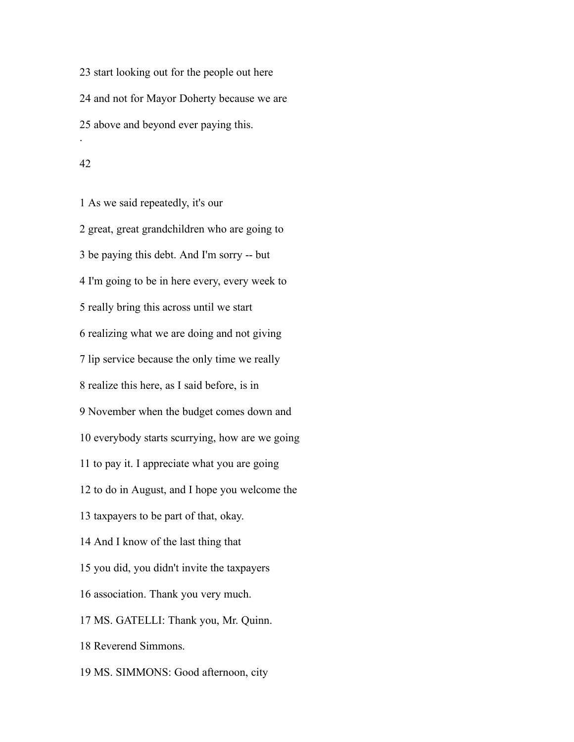start looking out for the people out here and not for Mayor Doherty because we are above and beyond ever paying this. .

#### 

 As we said repeatedly, it's our great, great grandchildren who are going to be paying this debt. And I'm sorry -- but I'm going to be in here every, every week to really bring this across until we start realizing what we are doing and not giving lip service because the only time we really realize this here, as I said before, is in November when the budget comes down and everybody starts scurrying, how are we going to pay it. I appreciate what you are going to do in August, and I hope you welcome the taxpayers to be part of that, okay. And I know of the last thing that you did, you didn't invite the taxpayers association. Thank you very much. MS. GATELLI: Thank you, Mr. Quinn. Reverend Simmons. MS. SIMMONS: Good afternoon, city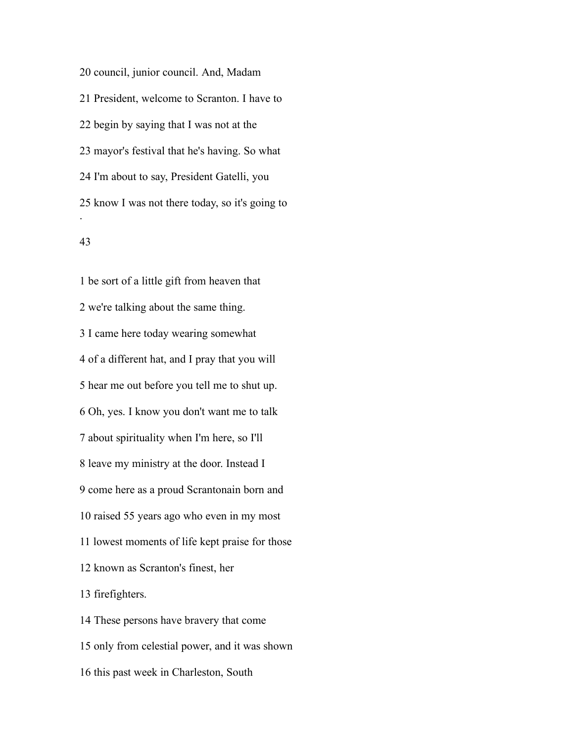council, junior council. And, Madam President, welcome to Scranton. I have to begin by saying that I was not at the mayor's festival that he's having. So what I'm about to say, President Gatelli, you know I was not there today, so it's going to .

## 

 be sort of a little gift from heaven that we're talking about the same thing. I came here today wearing somewhat of a different hat, and I pray that you will hear me out before you tell me to shut up. Oh, yes. I know you don't want me to talk about spirituality when I'm here, so I'll leave my ministry at the door. Instead I come here as a proud Scrantonain born and raised 55 years ago who even in my most lowest moments of life kept praise for those known as Scranton's finest, her firefighters. These persons have bravery that come only from celestial power, and it was shown this past week in Charleston, South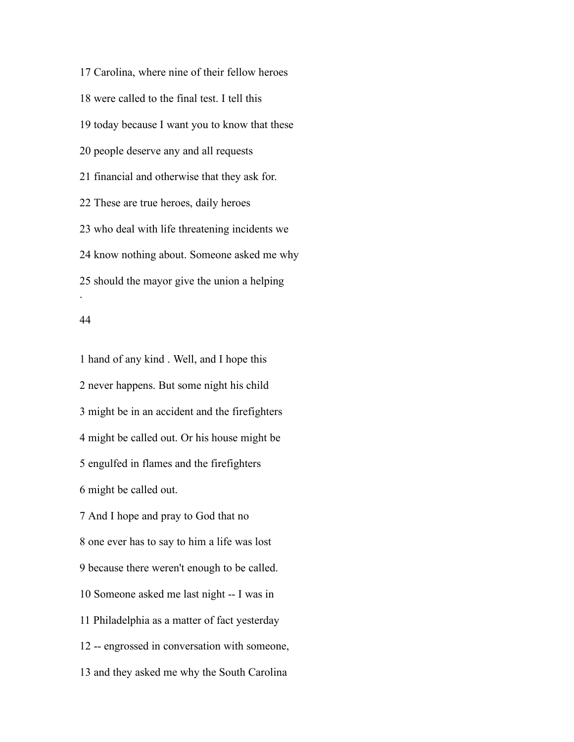Carolina, where nine of their fellow heroes were called to the final test. I tell this today because I want you to know that these people deserve any and all requests financial and otherwise that they ask for. These are true heroes, daily heroes who deal with life threatening incidents we know nothing about. Someone asked me why should the mayor give the union a helping .

#### 

 hand of any kind . Well, and I hope this never happens. But some night his child might be in an accident and the firefighters might be called out. Or his house might be engulfed in flames and the firefighters might be called out.

 And I hope and pray to God that no one ever has to say to him a life was lost because there weren't enough to be called. Someone asked me last night -- I was in Philadelphia as a matter of fact yesterday -- engrossed in conversation with someone, and they asked me why the South Carolina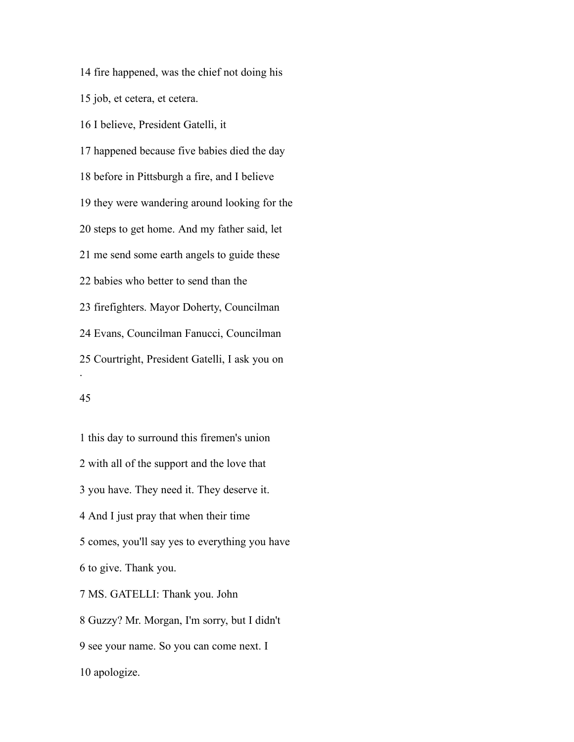fire happened, was the chief not doing his job, et cetera, et cetera. I believe, President Gatelli, it happened because five babies died the day before in Pittsburgh a fire, and I believe they were wandering around looking for the steps to get home. And my father said, let me send some earth angels to guide these babies who better to send than the firefighters. Mayor Doherty, Councilman Evans, Councilman Fanucci, Councilman Courtright, President Gatelli, I ask you on .

## 

 this day to surround this firemen's union with all of the support and the love that you have. They need it. They deserve it. And I just pray that when their time comes, you'll say yes to everything you have to give. Thank you. MS. GATELLI: Thank you. John Guzzy? Mr. Morgan, I'm sorry, but I didn't see your name. So you can come next. I apologize.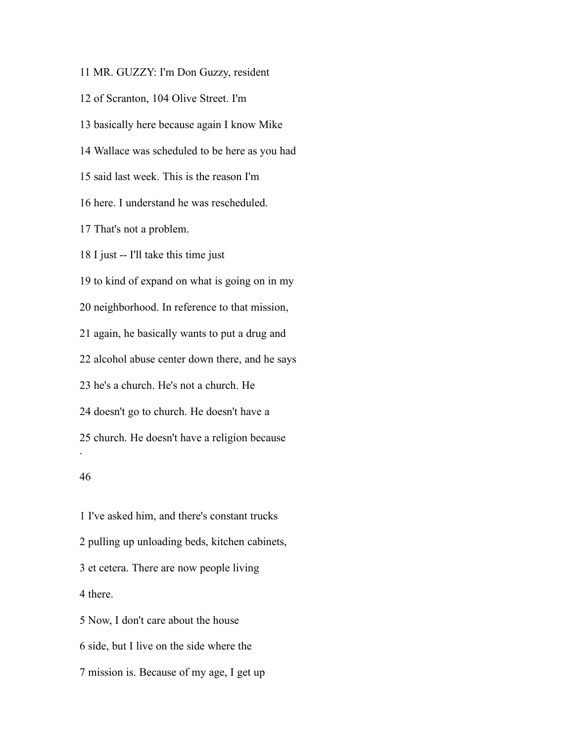MR. GUZZY: I'm Don Guzzy, resident of Scranton, 104 Olive Street. I'm basically here because again I know Mike Wallace was scheduled to be here as you had said last week. This is the reason I'm here. I understand he was rescheduled. That's not a problem. I just -- I'll take this time just to kind of expand on what is going on in my neighborhood. In reference to that mission, again, he basically wants to put a drug and alcohol abuse center down there, and he says he's a church. He's not a church. He doesn't go to church. He doesn't have a church. He doesn't have a religion because . 

 I've asked him, and there's constant trucks pulling up unloading beds, kitchen cabinets, et cetera. There are now people living there. Now, I don't care about the house side, but I live on the side where the

mission is. Because of my age, I get up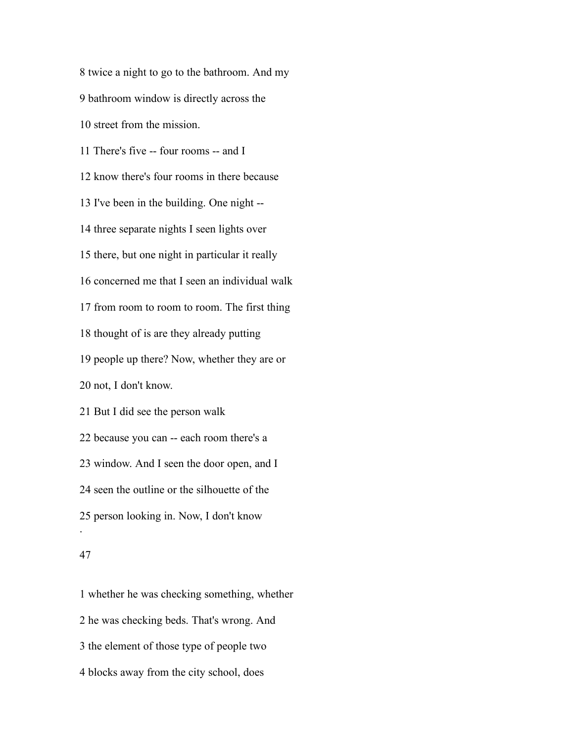twice a night to go to the bathroom. And my bathroom window is directly across the street from the mission. There's five -- four rooms -- and I know there's four rooms in there because I've been in the building. One night -- three separate nights I seen lights over there, but one night in particular it really concerned me that I seen an individual walk from room to room to room. The first thing thought of is are they already putting people up there? Now, whether they are or not, I don't know. But I did see the person walk because you can -- each room there's a window. And I seen the door open, and I seen the outline or the silhouette of the person looking in. Now, I don't know . 

 whether he was checking something, whether he was checking beds. That's wrong. And the element of those type of people two blocks away from the city school, does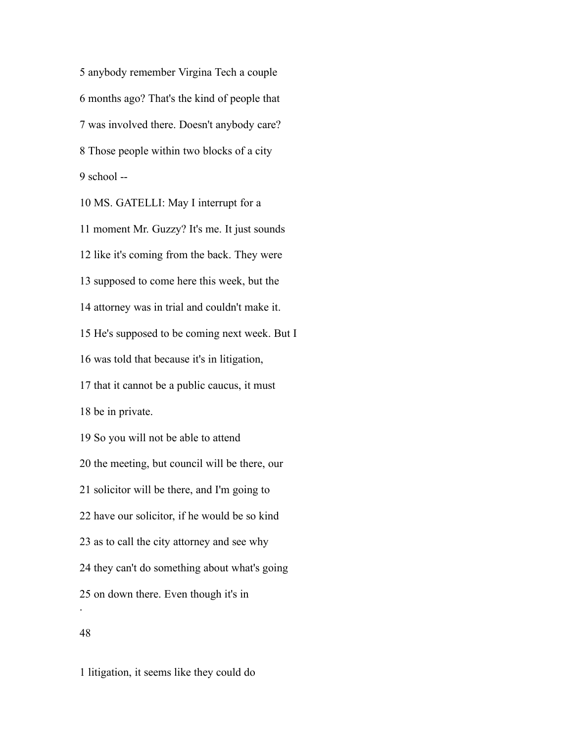anybody remember Virgina Tech a couple months ago? That's the kind of people that was involved there. Doesn't anybody care? Those people within two blocks of a city school  $-$ 

 MS. GATELLI: May I interrupt for a moment Mr. Guzzy? It's me. It just sounds like it's coming from the back. They were supposed to come here this week, but the attorney was in trial and couldn't make it. He's supposed to be coming next week. But I was told that because it's in litigation, that it cannot be a public caucus, it must be in private. So you will not be able to attend the meeting, but council will be there, our solicitor will be there, and I'm going to have our solicitor, if he would be so kind as to call the city attorney and see why they can't do something about what's going on down there. Even though it's in .

litigation, it seems like they could do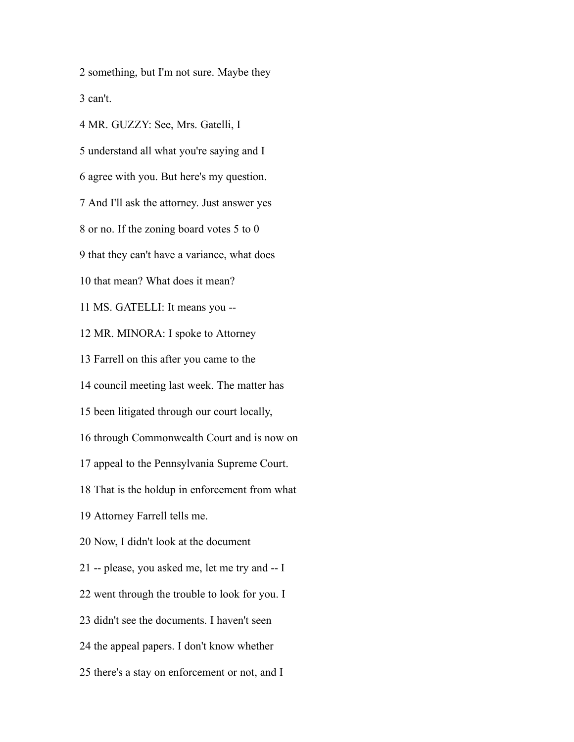something, but I'm not sure. Maybe they can't.

 MR. GUZZY: See, Mrs. Gatelli, I understand all what you're saying and I agree with you. But here's my question. And I'll ask the attorney. Just answer yes or no. If the zoning board votes 5 to 0 that they can't have a variance, what does that mean? What does it mean? MS. GATELLI: It means you -- MR. MINORA: I spoke to Attorney Farrell on this after you came to the council meeting last week. The matter has been litigated through our court locally, through Commonwealth Court and is now on appeal to the Pennsylvania Supreme Court. That is the holdup in enforcement from what Attorney Farrell tells me. Now, I didn't look at the document -- please, you asked me, let me try and -- I went through the trouble to look for you. I didn't see the documents. I haven't seen the appeal papers. I don't know whether there's a stay on enforcement or not, and I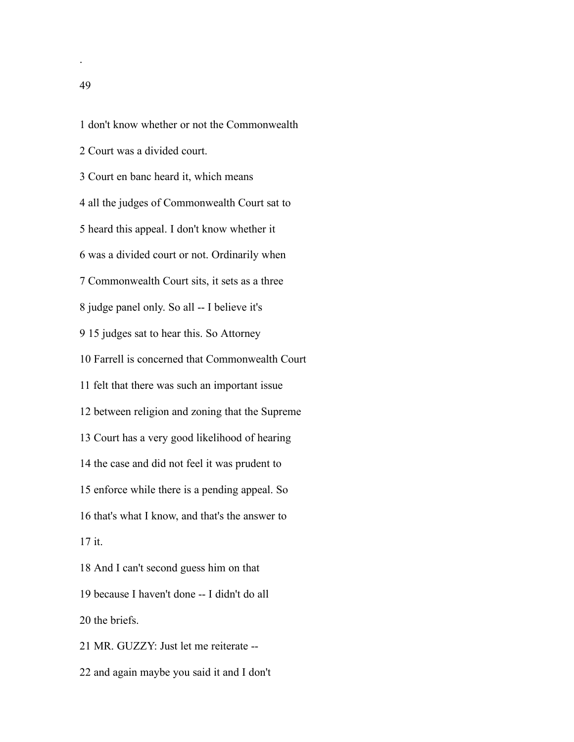don't know whether or not the Commonwealth Court was a divided court. Court en banc heard it, which means all the judges of Commonwealth Court sat to heard this appeal. I don't know whether it was a divided court or not. Ordinarily when Commonwealth Court sits, it sets as a three judge panel only. So all -- I believe it's 15 judges sat to hear this. So Attorney Farrell is concerned that Commonwealth Court felt that there was such an important issue between religion and zoning that the Supreme Court has a very good likelihood of hearing the case and did not feel it was prudent to enforce while there is a pending appeal. So that's what I know, and that's the answer to it. And I can't second guess him on that because I haven't done -- I didn't do all the briefs. MR. GUZZY: Just let me reiterate --

and again maybe you said it and I don't

.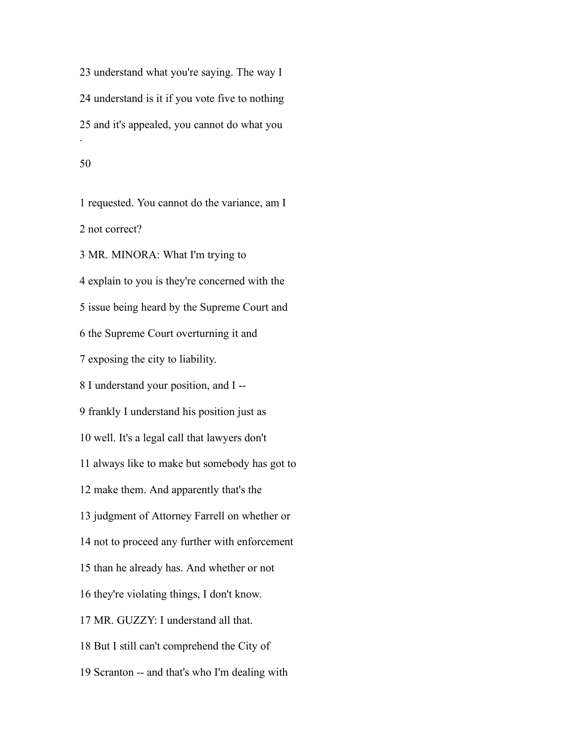understand what you're saying. The way I understand is it if you vote five to nothing and it's appealed, you cannot do what you .

#### 

 requested. You cannot do the variance, am I not correct? MR. MINORA: What I'm trying to explain to you is they're concerned with the issue being heard by the Supreme Court and the Supreme Court overturning it and exposing the city to liability. I understand your position, and I -- frankly I understand his position just as well. It's a legal call that lawyers don't always like to make but somebody has got to make them. And apparently that's the judgment of Attorney Farrell on whether or not to proceed any further with enforcement than he already has. And whether or not they're violating things, I don't know. MR. GUZZY: I understand all that. But I still can't comprehend the City of Scranton -- and that's who I'm dealing with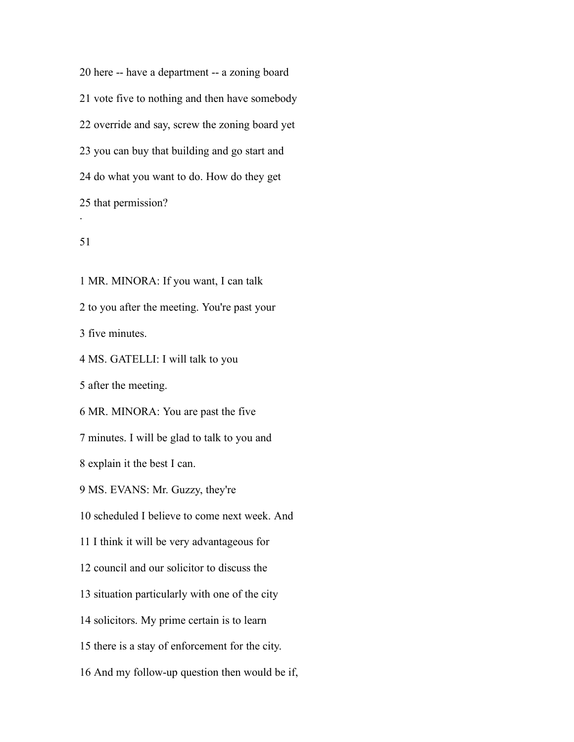here -- have a department -- a zoning board vote five to nothing and then have somebody override and say, screw the zoning board yet you can buy that building and go start and do what you want to do. How do they get that permission? .

## 

 MR. MINORA: If you want, I can talk to you after the meeting. You're past your five minutes. MS. GATELLI: I will talk to you after the meeting. MR. MINORA: You are past the five minutes. I will be glad to talk to you and explain it the best I can. MS. EVANS: Mr. Guzzy, they're scheduled I believe to come next week. And I think it will be very advantageous for council and our solicitor to discuss the situation particularly with one of the city solicitors. My prime certain is to learn there is a stay of enforcement for the city.

And my follow-up question then would be if,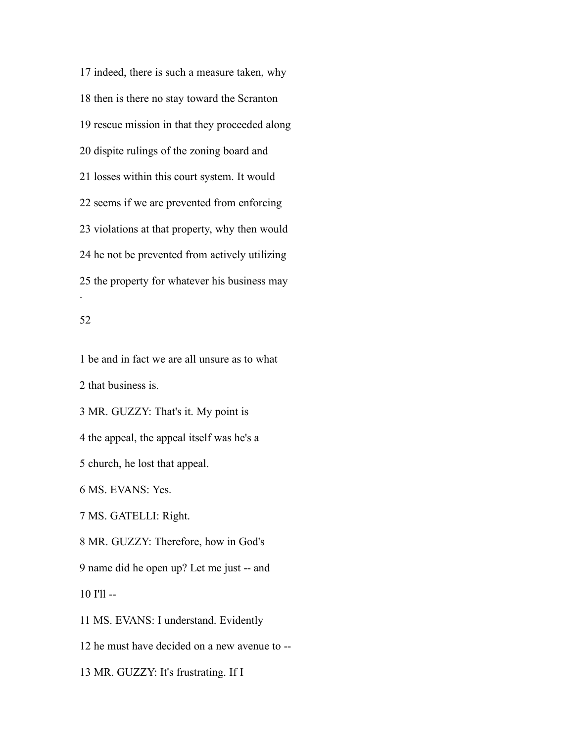indeed, there is such a measure taken, why then is there no stay toward the Scranton rescue mission in that they proceeded along dispite rulings of the zoning board and losses within this court system. It would seems if we are prevented from enforcing violations at that property, why then would he not be prevented from actively utilizing the property for whatever his business may .

#### 

 be and in fact we are all unsure as to what that business is.

MR. GUZZY: That's it. My point is

the appeal, the appeal itself was he's a

church, he lost that appeal.

MS. EVANS: Yes.

MS. GATELLI: Right.

MR. GUZZY: Therefore, how in God's

name did he open up? Let me just -- and

I'll --

MS. EVANS: I understand. Evidently

he must have decided on a new avenue to --

MR. GUZZY: It's frustrating. If I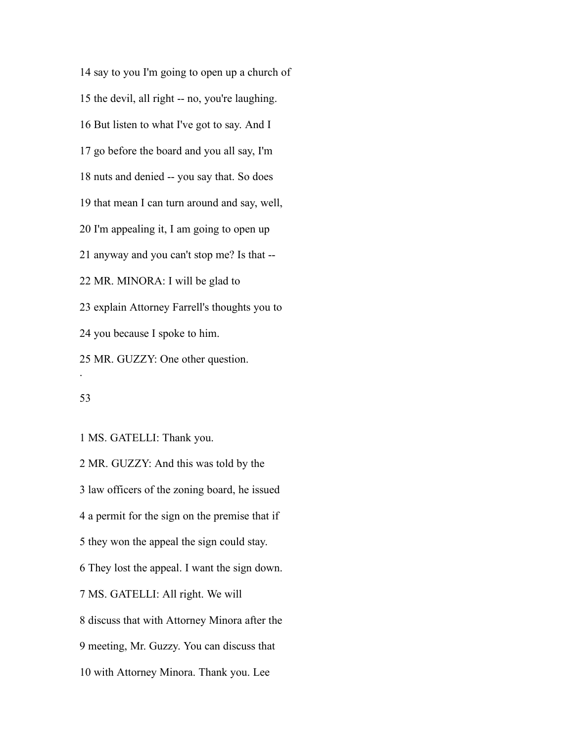say to you I'm going to open up a church of the devil, all right -- no, you're laughing. But listen to what I've got to say. And I go before the board and you all say, I'm nuts and denied -- you say that. So does that mean I can turn around and say, well, I'm appealing it, I am going to open up anyway and you can't stop me? Is that -- MR. MINORA: I will be glad to explain Attorney Farrell's thoughts you to you because I spoke to him. MR. GUZZY: One other question. .

MS. GATELLI: Thank you.

 MR. GUZZY: And this was told by the law officers of the zoning board, he issued a permit for the sign on the premise that if they won the appeal the sign could stay. They lost the appeal. I want the sign down. MS. GATELLI: All right. We will discuss that with Attorney Minora after the meeting, Mr. Guzzy. You can discuss that with Attorney Minora. Thank you. Lee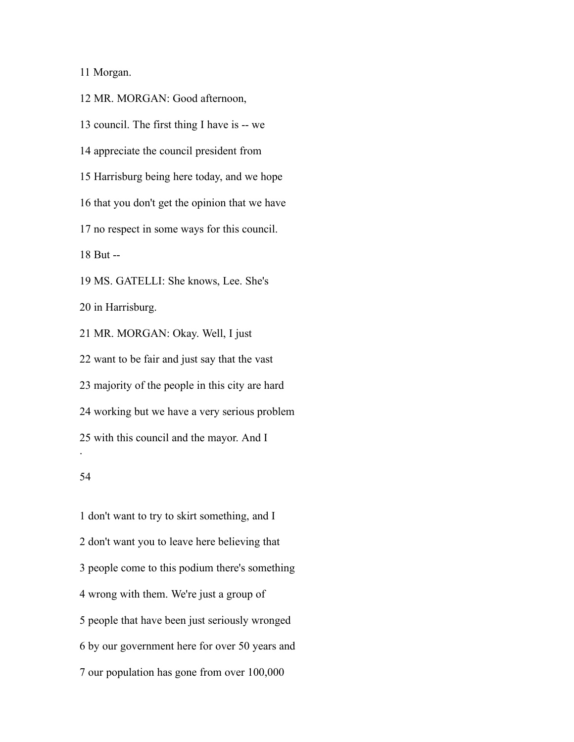Morgan.

 MR. MORGAN: Good afternoon, council. The first thing I have is -- we appreciate the council president from Harrisburg being here today, and we hope that you don't get the opinion that we have no respect in some ways for this council. But -- MS. GATELLI: She knows, Lee. She's in Harrisburg. MR. MORGAN: Okay. Well, I just want to be fair and just say that the vast majority of the people in this city are hard working but we have a very serious problem with this council and the mayor. And I .

### 

 don't want to try to skirt something, and I don't want you to leave here believing that people come to this podium there's something wrong with them. We're just a group of people that have been just seriously wronged by our government here for over 50 years and our population has gone from over 100,000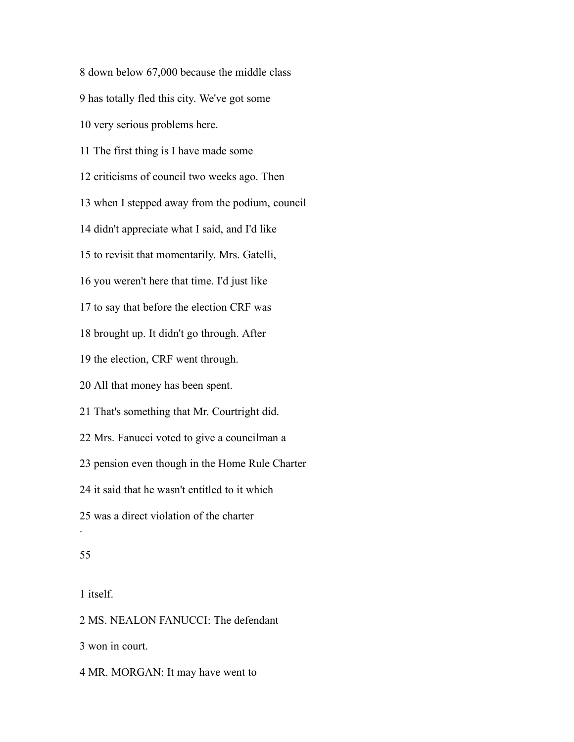down below 67,000 because the middle class has totally fled this city. We've got some very serious problems here. The first thing is I have made some criticisms of council two weeks ago. Then when I stepped away from the podium, council didn't appreciate what I said, and I'd like to revisit that momentarily. Mrs. Gatelli, you weren't here that time. I'd just like to say that before the election CRF was brought up. It didn't go through. After the election, CRF went through. All that money has been spent. That's something that Mr. Courtright did. Mrs. Fanucci voted to give a councilman a pension even though in the Home Rule Charter it said that he wasn't entitled to it which was a direct violation of the charter . 

itself.

MS. NEALON FANUCCI: The defendant

won in court.

MR. MORGAN: It may have went to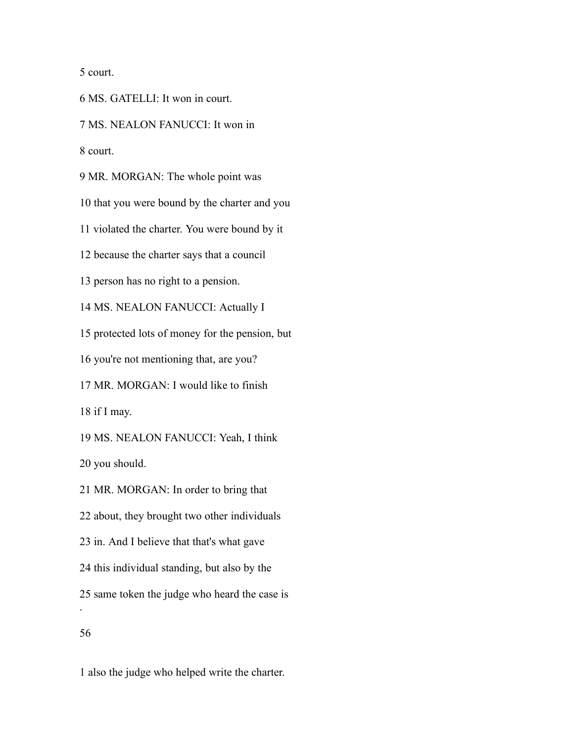court.

MS. GATELLI: It won in court.

MS. NEALON FANUCCI: It won in

court.

MR. MORGAN: The whole point was

that you were bound by the charter and you

violated the charter. You were bound by it

because the charter says that a council

person has no right to a pension.

MS. NEALON FANUCCI: Actually I

protected lots of money for the pension, but

you're not mentioning that, are you?

MR. MORGAN: I would like to finish

if I may.

MS. NEALON FANUCCI: Yeah, I think

you should.

MR. MORGAN: In order to bring that

about, they brought two other individuals

in. And I believe that that's what gave

this individual standing, but also by the

same token the judge who heard the case is

.

also the judge who helped write the charter.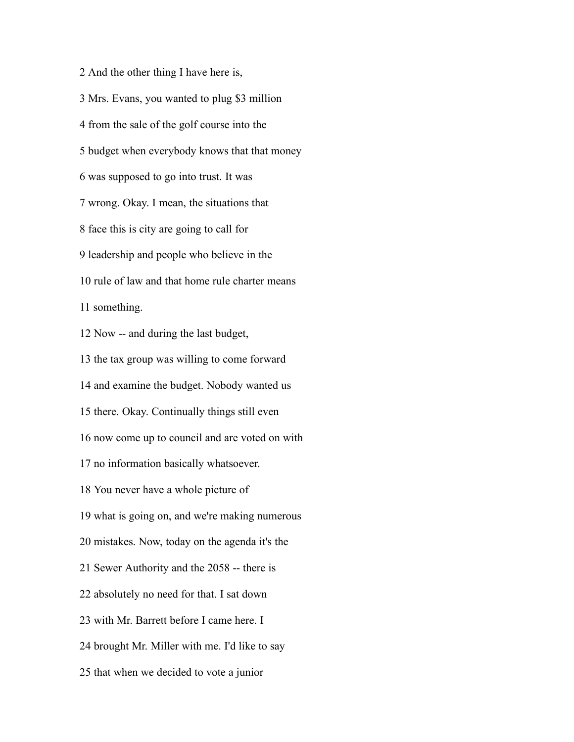And the other thing I have here is, Mrs. Evans, you wanted to plug \$3 million from the sale of the golf course into the budget when everybody knows that that money was supposed to go into trust. It was wrong. Okay. I mean, the situations that face this is city are going to call for leadership and people who believe in the rule of law and that home rule charter means something. Now -- and during the last budget, the tax group was willing to come forward and examine the budget. Nobody wanted us there. Okay. Continually things still even now come up to council and are voted on with no information basically whatsoever. You never have a whole picture of what is going on, and we're making numerous mistakes. Now, today on the agenda it's the Sewer Authority and the 2058 -- there is absolutely no need for that. I sat down with Mr. Barrett before I came here. I brought Mr. Miller with me. I'd like to say that when we decided to vote a junior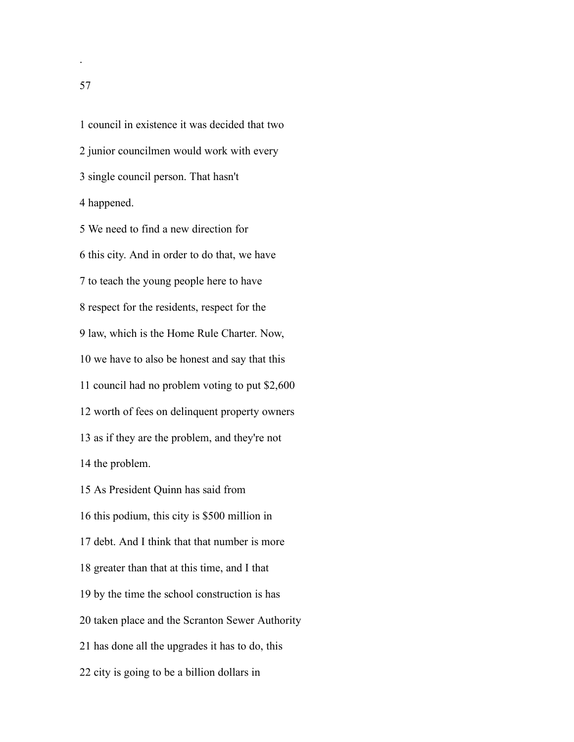council in existence it was decided that two junior councilmen would work with every single council person. That hasn't happened.

 We need to find a new direction for this city. And in order to do that, we have to teach the young people here to have respect for the residents, respect for the law, which is the Home Rule Charter. Now, we have to also be honest and say that this council had no problem voting to put \$2,600 worth of fees on delinquent property owners as if they are the problem, and they're not the problem.

 As President Quinn has said from this podium, this city is \$500 million in debt. And I think that that number is more greater than that at this time, and I that by the time the school construction is has taken place and the Scranton Sewer Authority has done all the upgrades it has to do, this city is going to be a billion dollars in

.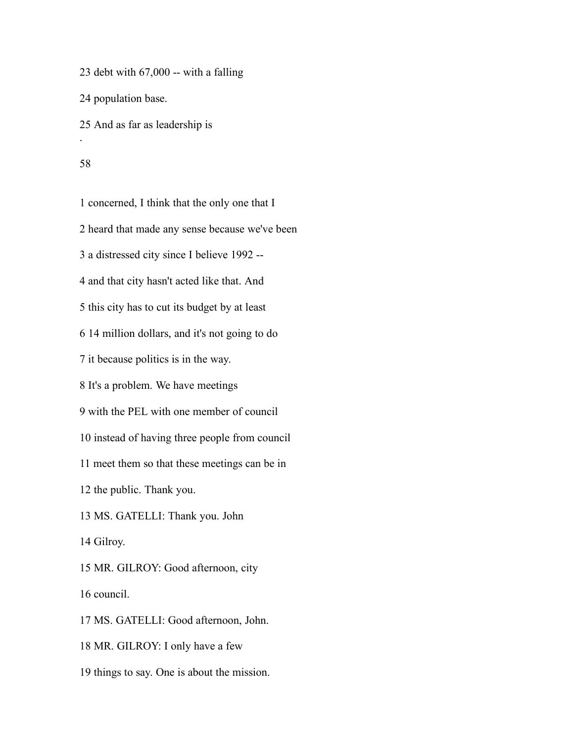23 debt with  $67,000$  -- with a falling

population base.

And as far as leadership is

#### 

.

 concerned, I think that the only one that I heard that made any sense because we've been a distressed city since I believe 1992 -- and that city hasn't acted like that. And this city has to cut its budget by at least 14 million dollars, and it's not going to do it because politics is in the way. It's a problem. We have meetings with the PEL with one member of council instead of having three people from council meet them so that these meetings can be in the public. Thank you. MS. GATELLI: Thank you. John Gilroy. MR. GILROY: Good afternoon, city council. MS. GATELLI: Good afternoon, John. MR. GILROY: I only have a few

things to say. One is about the mission.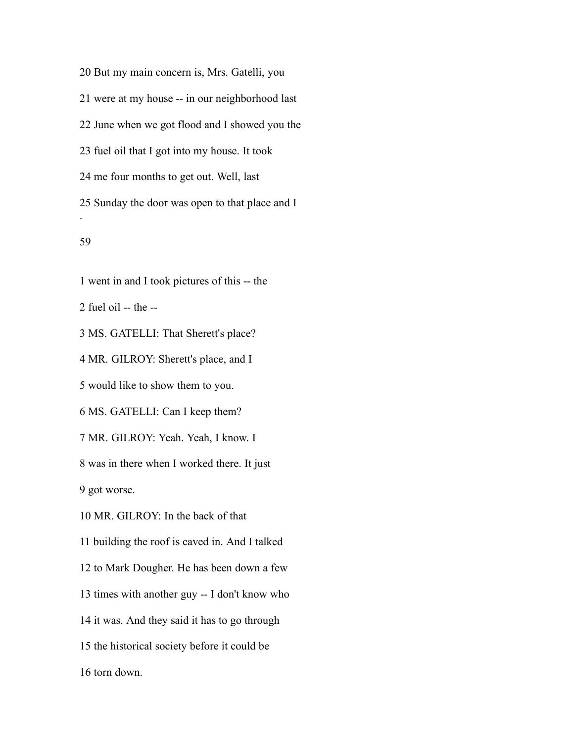But my main concern is, Mrs. Gatelli, you were at my house -- in our neighborhood last June when we got flood and I showed you the fuel oil that I got into my house. It took me four months to get out. Well, last Sunday the door was open to that place and I . 

went in and I took pictures of this -- the

fuel oil -- the --

MS. GATELLI: That Sherett's place?

MR. GILROY: Sherett's place, and I

would like to show them to you.

MS. GATELLI: Can I keep them?

MR. GILROY: Yeah. Yeah, I know. I

was in there when I worked there. It just

got worse.

MR. GILROY: In the back of that

building the roof is caved in. And I talked

to Mark Dougher. He has been down a few

times with another guy -- I don't know who

it was. And they said it has to go through

the historical society before it could be

torn down.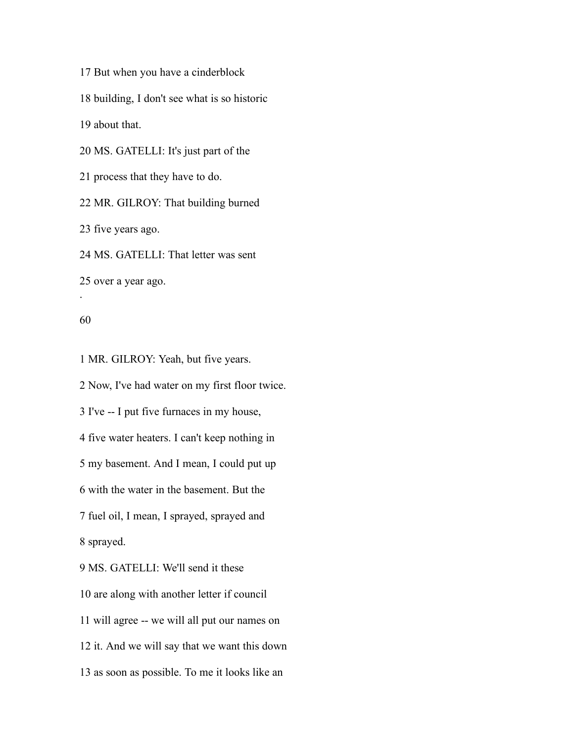But when you have a cinderblock

building, I don't see what is so historic

about that.

MS. GATELLI: It's just part of the

process that they have to do.

MR. GILROY: That building burned

five years ago.

MS. GATELLI: That letter was sent

over a year ago.

.

MR. GILROY: Yeah, but five years.

 Now, I've had water on my first floor twice. I've -- I put five furnaces in my house, five water heaters. I can't keep nothing in my basement. And I mean, I could put up with the water in the basement. But the fuel oil, I mean, I sprayed, sprayed and sprayed. MS. GATELLI: We'll send it these are along with another letter if council

will agree -- we will all put our names on

it. And we will say that we want this down

as soon as possible. To me it looks like an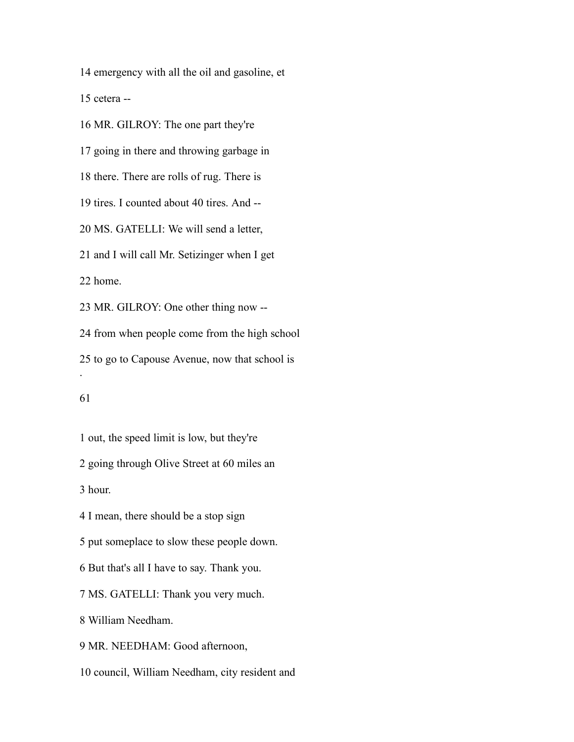emergency with all the oil and gasoline, et

cetera --

 MR. GILROY: The one part they're going in there and throwing garbage in there. There are rolls of rug. There is tires. I counted about 40 tires. And -- MS. GATELLI: We will send a letter, and I will call Mr. Setizinger when I get home. MR. GILROY: One other thing now -- from when people come from the high school to go to Capouse Avenue, now that school is . 

 out, the speed limit is low, but they're going through Olive Street at 60 miles an

hour.

I mean, there should be a stop sign

put someplace to slow these people down.

But that's all I have to say. Thank you.

MS. GATELLI: Thank you very much.

William Needham.

MR. NEEDHAM: Good afternoon,

council, William Needham, city resident and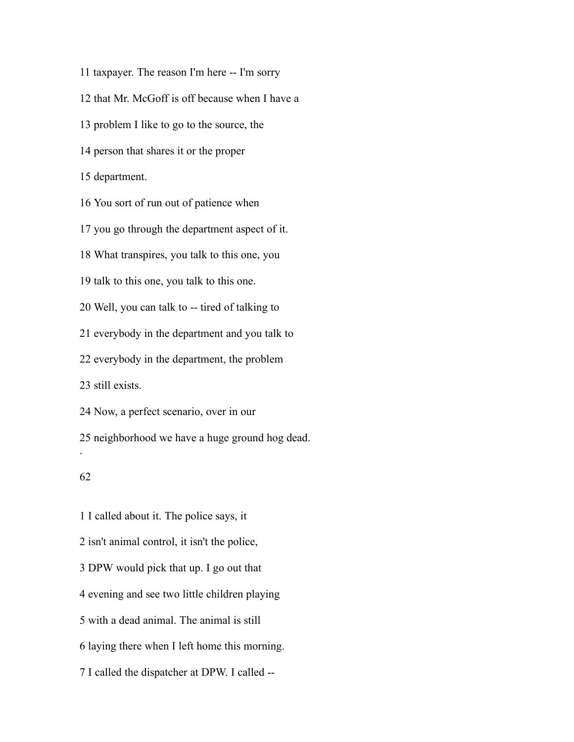taxpayer. The reason I'm here -- I'm sorry that Mr. McGoff is off because when I have a problem I like to go to the source, the person that shares it or the proper department. You sort of run out of patience when you go through the department aspect of it. What transpires, you talk to this one, you talk to this one, you talk to this one. Well, you can talk to -- tired of talking to everybody in the department and you talk to everybody in the department, the problem still exists. Now, a perfect scenario, over in our neighborhood we have a huge ground hog dead. . 

 I called about it. The police says, it isn't animal control, it isn't the police, DPW would pick that up. I go out that evening and see two little children playing with a dead animal. The animal is still laying there when I left home this morning. I called the dispatcher at DPW. I called --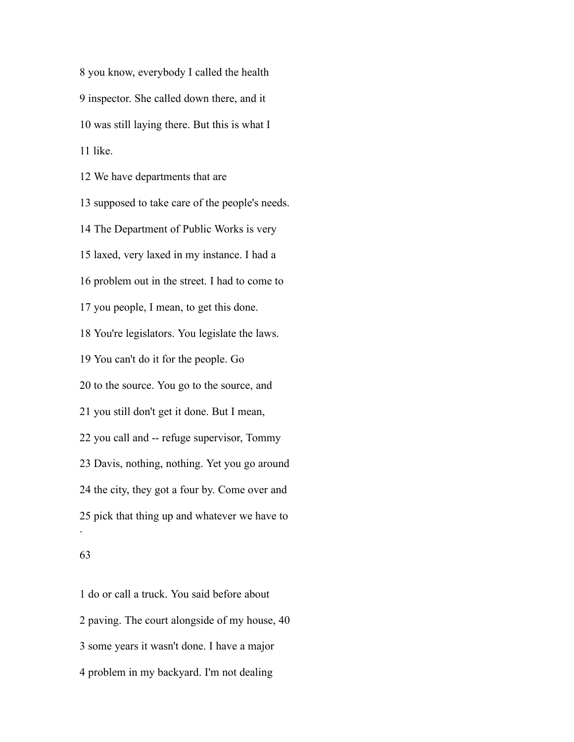you know, everybody I called the health inspector. She called down there, and it was still laying there. But this is what I like.

 We have departments that are supposed to take care of the people's needs. The Department of Public Works is very laxed, very laxed in my instance. I had a problem out in the street. I had to come to you people, I mean, to get this done. You're legislators. You legislate the laws. You can't do it for the people. Go to the source. You go to the source, and you still don't get it done. But I mean, you call and -- refuge supervisor, Tommy Davis, nothing, nothing. Yet you go around the city, they got a four by. Come over and pick that thing up and whatever we have to .

### 

 do or call a truck. You said before about paving. The court alongside of my house, 40 some years it wasn't done. I have a major problem in my backyard. I'm not dealing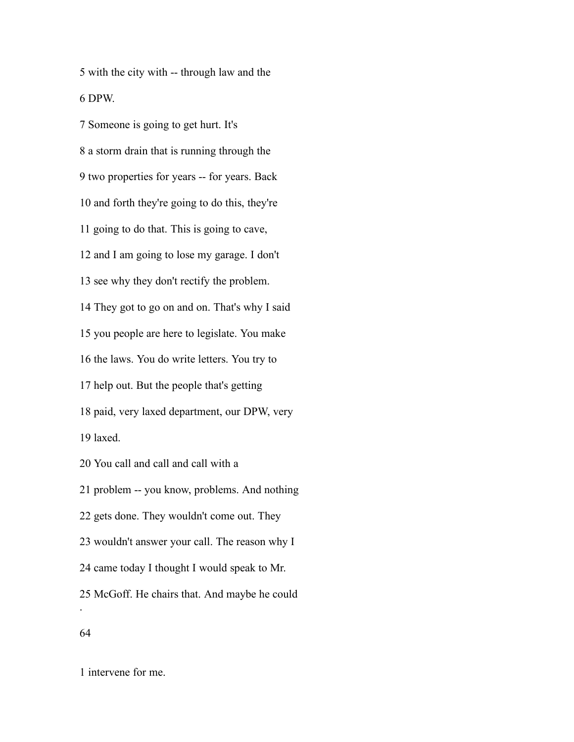with the city with -- through law and the DPW.

 Someone is going to get hurt. It's a storm drain that is running through the two properties for years -- for years. Back and forth they're going to do this, they're going to do that. This is going to cave, and I am going to lose my garage. I don't see why they don't rectify the problem. They got to go on and on. That's why I said you people are here to legislate. You make the laws. You do write letters. You try to help out. But the people that's getting paid, very laxed department, our DPW, very laxed. You call and call and call with a problem -- you know, problems. And nothing

gets done. They wouldn't come out. They

wouldn't answer your call. The reason why I

came today I thought I would speak to Mr.

McGoff. He chairs that. And maybe he could

# 

.

intervene for me.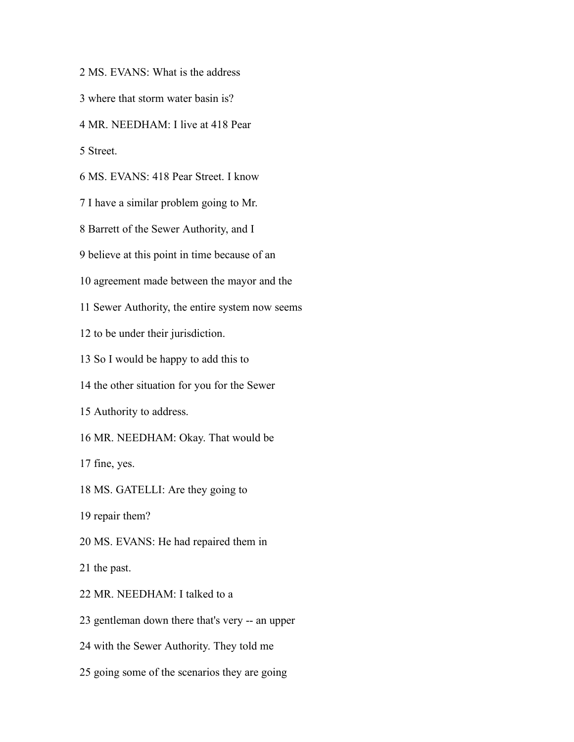MS. EVANS: What is the address

where that storm water basin is?

MR. NEEDHAM: I live at 418 Pear

Street.

MS. EVANS: 418 Pear Street. I know

I have a similar problem going to Mr.

Barrett of the Sewer Authority, and I

believe at this point in time because of an

agreement made between the mayor and the

Sewer Authority, the entire system now seems

to be under their jurisdiction.

So I would be happy to add this to

the other situation for you for the Sewer

Authority to address.

MR. NEEDHAM: Okay. That would be

fine, yes.

MS. GATELLI: Are they going to

repair them?

MS. EVANS: He had repaired them in

the past.

MR. NEEDHAM: I talked to a

gentleman down there that's very -- an upper

with the Sewer Authority. They told me

going some of the scenarios they are going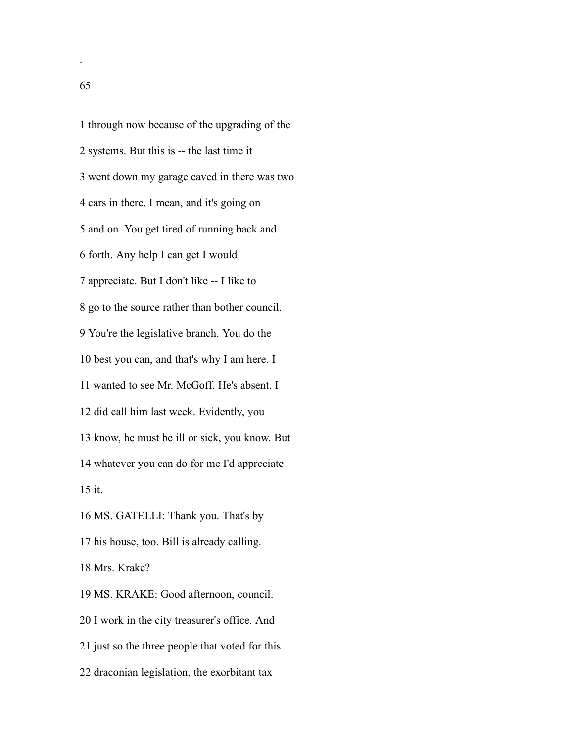through now because of the upgrading of the systems. But this is -- the last time it went down my garage caved in there was two cars in there. I mean, and it's going on and on. You get tired of running back and forth. Any help I can get I would appreciate. But I don't like -- I like to go to the source rather than bother council. You're the legislative branch. You do the best you can, and that's why I am here. I wanted to see Mr. McGoff. He's absent. I did call him last week. Evidently, you know, he must be ill or sick, you know. But whatever you can do for me I'd appreciate it. MS. GATELLI: Thank you. That's by his house, too. Bill is already calling. Mrs. Krake? MS. KRAKE: Good afternoon, council. I work in the city treasurer's office. And just so the three people that voted for this

draconian legislation, the exorbitant tax

.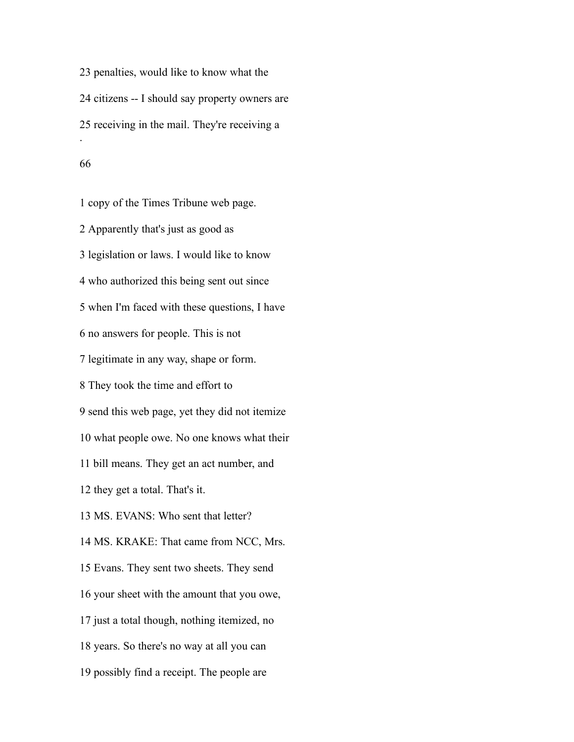penalties, would like to know what the citizens -- I should say property owners are receiving in the mail. They're receiving a . 

 copy of the Times Tribune web page. Apparently that's just as good as legislation or laws. I would like to know who authorized this being sent out since when I'm faced with these questions, I have no answers for people. This is not legitimate in any way, shape or form. They took the time and effort to send this web page, yet they did not itemize what people owe. No one knows what their bill means. They get an act number, and they get a total. That's it. MS. EVANS: Who sent that letter? MS. KRAKE: That came from NCC, Mrs. Evans. They sent two sheets. They send your sheet with the amount that you owe, just a total though, nothing itemized, no years. So there's no way at all you can possibly find a receipt. The people are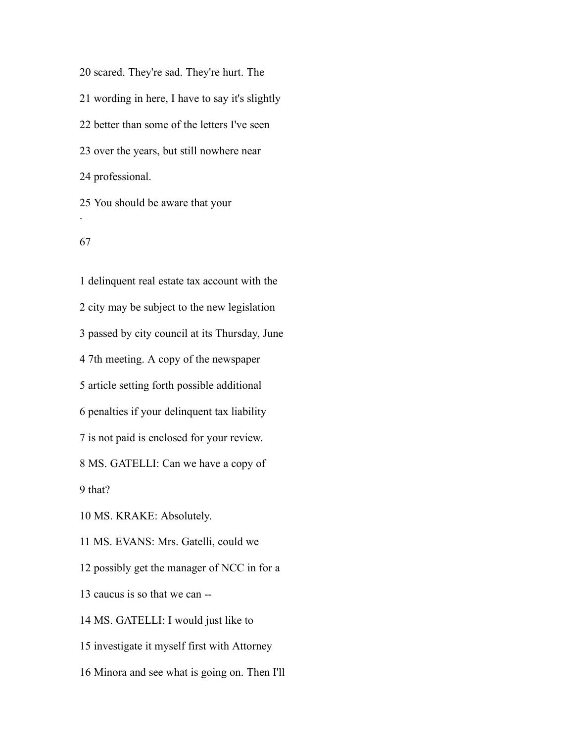scared. They're sad. They're hurt. The wording in here, I have to say it's slightly better than some of the letters I've seen over the years, but still nowhere near professional. You should be aware that your

#### 

.

 delinquent real estate tax account with the city may be subject to the new legislation passed by city council at its Thursday, June 7th meeting. A copy of the newspaper article setting forth possible additional penalties if your delinquent tax liability is not paid is enclosed for your review. MS. GATELLI: Can we have a copy of that? MS. KRAKE: Absolutely. MS. EVANS: Mrs. Gatelli, could we possibly get the manager of NCC in for a caucus is so that we can -- MS. GATELLI: I would just like to investigate it myself first with Attorney

Minora and see what is going on. Then I'll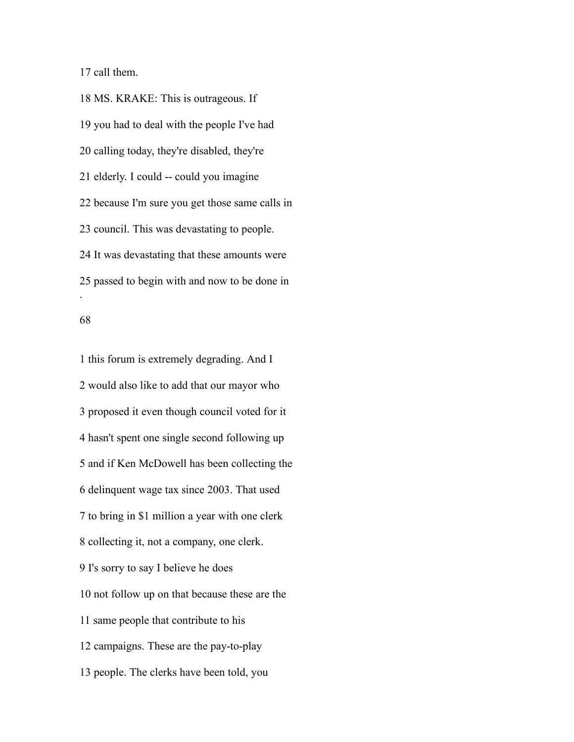call them.

 MS. KRAKE: This is outrageous. If you had to deal with the people I've had calling today, they're disabled, they're elderly. I could -- could you imagine because I'm sure you get those same calls in council. This was devastating to people. It was devastating that these amounts were passed to begin with and now to be done in .

### 

 this forum is extremely degrading. And I would also like to add that our mayor who proposed it even though council voted for it hasn't spent one single second following up and if Ken McDowell has been collecting the delinquent wage tax since 2003. That used to bring in \$1 million a year with one clerk collecting it, not a company, one clerk. I's sorry to say I believe he does not follow up on that because these are the same people that contribute to his campaigns. These are the pay-to-play people. The clerks have been told, you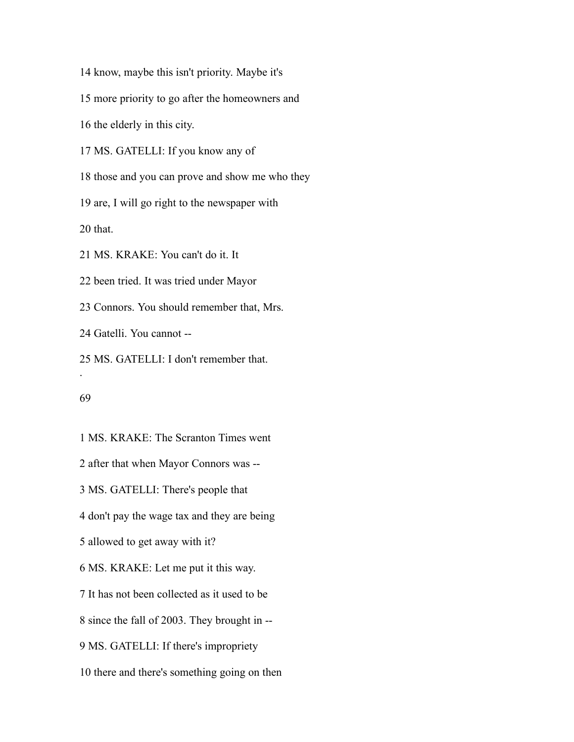know, maybe this isn't priority. Maybe it's

more priority to go after the homeowners and

the elderly in this city.

MS. GATELLI: If you know any of

those and you can prove and show me who they

are, I will go right to the newspaper with

that.

MS. KRAKE: You can't do it. It

been tried. It was tried under Mayor

Connors. You should remember that, Mrs.

Gatelli. You cannot --

 MS. GATELLI: I don't remember that. .

## 

 MS. KRAKE: The Scranton Times went after that when Mayor Connors was -- MS. GATELLI: There's people that don't pay the wage tax and they are being allowed to get away with it? MS. KRAKE: Let me put it this way. It has not been collected as it used to be since the fall of 2003. They brought in -- MS. GATELLI: If there's impropriety there and there's something going on then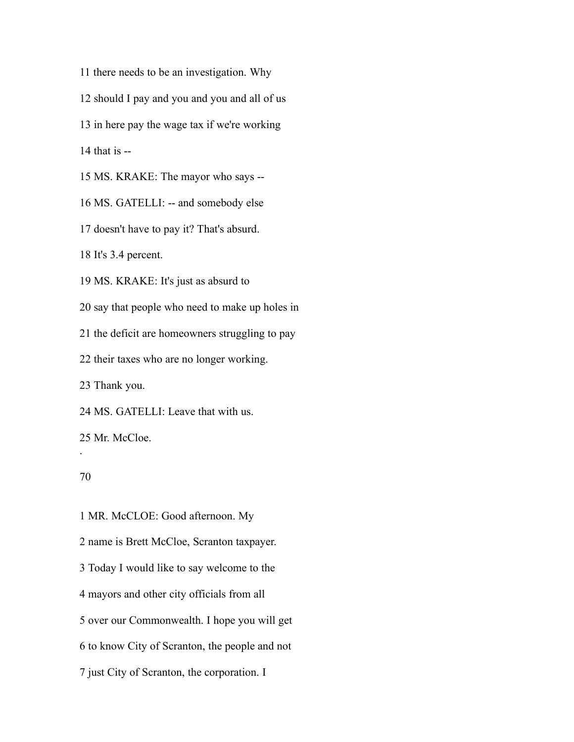there needs to be an investigation. Why

should I pay and you and you and all of us

in here pay the wage tax if we're working

14 that is  $-$ 

MS. KRAKE: The mayor who says --

MS. GATELLI: -- and somebody else

doesn't have to pay it? That's absurd.

It's 3.4 percent.

MS. KRAKE: It's just as absurd to

say that people who need to make up holes in

the deficit are homeowners struggling to pay

their taxes who are no longer working.

Thank you.

MS. GATELLI: Leave that with us.

Mr. McCloe.

## 

.

 MR. McCLOE: Good afternoon. My name is Brett McCloe, Scranton taxpayer. Today I would like to say welcome to the mayors and other city officials from all over our Commonwealth. I hope you will get to know City of Scranton, the people and not just City of Scranton, the corporation. I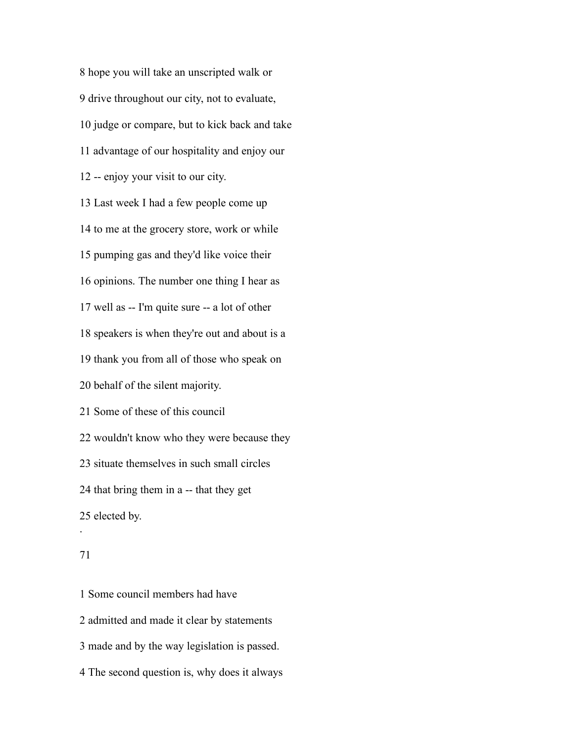hope you will take an unscripted walk or drive throughout our city, not to evaluate, judge or compare, but to kick back and take advantage of our hospitality and enjoy our -- enjoy your visit to our city. Last week I had a few people come up to me at the grocery store, work or while pumping gas and they'd like voice their opinions. The number one thing I hear as well as -- I'm quite sure -- a lot of other speakers is when they're out and about is a thank you from all of those who speak on behalf of the silent majority. Some of these of this council wouldn't know who they were because they situate themselves in such small circles that bring them in a -- that they get elected by.

### 

.

 Some council members had have admitted and made it clear by statements made and by the way legislation is passed. The second question is, why does it always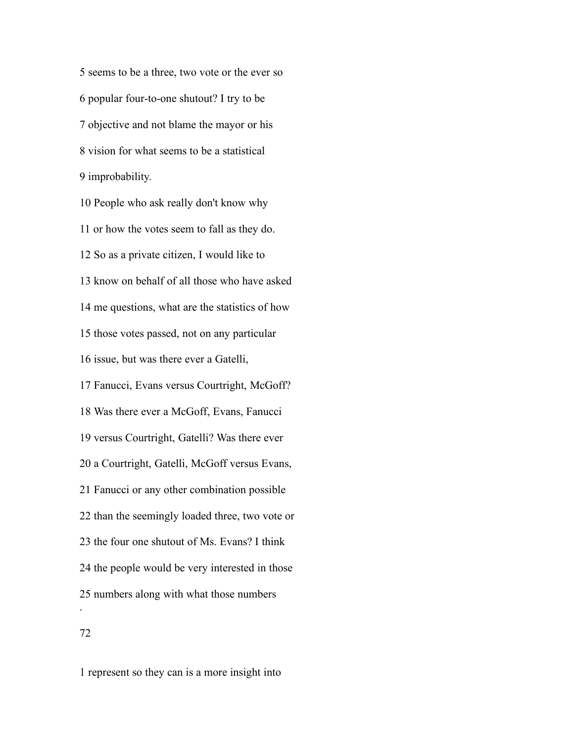seems to be a three, two vote or the ever so popular four-to-one shutout? I try to be objective and not blame the mayor or his vision for what seems to be a statistical improbability.

 People who ask really don't know why or how the votes seem to fall as they do. So as a private citizen, I would like to know on behalf of all those who have asked me questions, what are the statistics of how those votes passed, not on any particular issue, but was there ever a Gatelli, Fanucci, Evans versus Courtright, McGoff? Was there ever a McGoff, Evans, Fanucci versus Courtright, Gatelli? Was there ever a Courtright, Gatelli, McGoff versus Evans, Fanucci or any other combination possible than the seemingly loaded three, two vote or the four one shutout of Ms. Evans? I think the people would be very interested in those numbers along with what those numbers .

represent so they can is a more insight into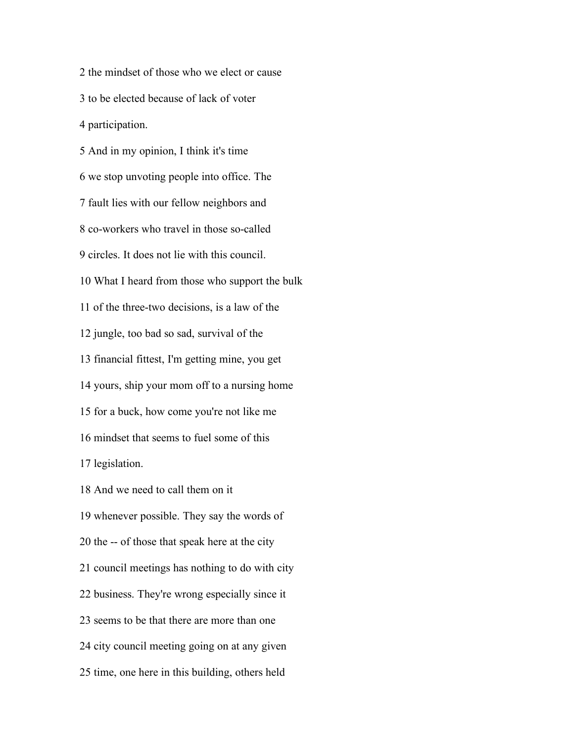the mindset of those who we elect or cause to be elected because of lack of voter participation. And in my opinion, I think it's time we stop unvoting people into office. The fault lies with our fellow neighbors and co-workers who travel in those so-called circles. It does not lie with this council. What I heard from those who support the bulk of the three-two decisions, is a law of the jungle, too bad so sad, survival of the financial fittest, I'm getting mine, you get yours, ship your mom off to a nursing home for a buck, how come you're not like me mindset that seems to fuel some of this legislation. And we need to call them on it whenever possible. They say the words of the -- of those that speak here at the city council meetings has nothing to do with city

business. They're wrong especially since it

seems to be that there are more than one

city council meeting going on at any given

time, one here in this building, others held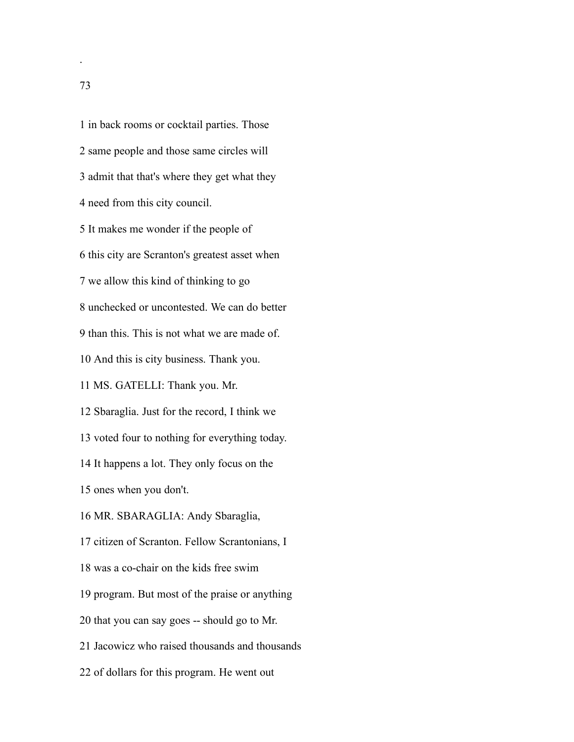in back rooms or cocktail parties. Those same people and those same circles will admit that that's where they get what they need from this city council. It makes me wonder if the people of this city are Scranton's greatest asset when we allow this kind of thinking to go unchecked or uncontested. We can do better than this. This is not what we are made of. And this is city business. Thank you. MS. GATELLI: Thank you. Mr. Sbaraglia. Just for the record, I think we voted four to nothing for everything today. It happens a lot. They only focus on the ones when you don't. MR. SBARAGLIA: Andy Sbaraglia, citizen of Scranton. Fellow Scrantonians, I was a co-chair on the kids free swim program. But most of the praise or anything that you can say goes -- should go to Mr. Jacowicz who raised thousands and thousands of dollars for this program. He went out

.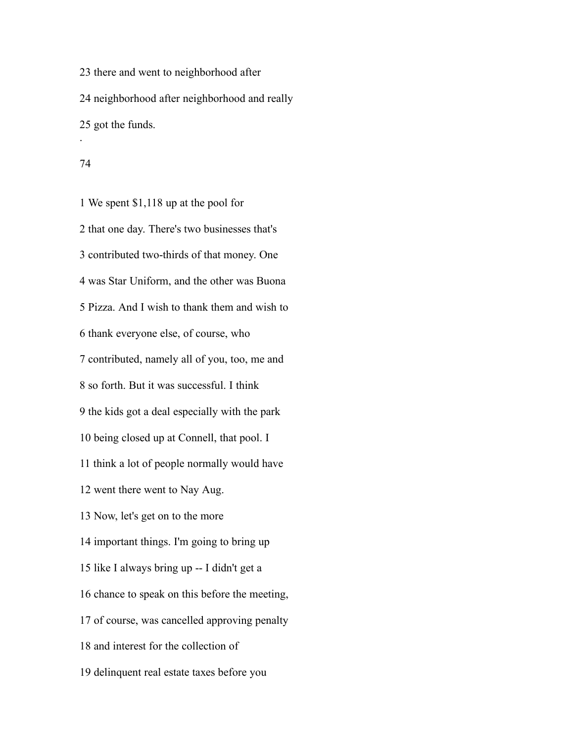there and went to neighborhood after neighborhood after neighborhood and really got the funds. .

#### 

 We spent \$1,118 up at the pool for that one day. There's two businesses that's contributed two-thirds of that money. One was Star Uniform, and the other was Buona Pizza. And I wish to thank them and wish to thank everyone else, of course, who contributed, namely all of you, too, me and so forth. But it was successful. I think the kids got a deal especially with the park being closed up at Connell, that pool. I think a lot of people normally would have went there went to Nay Aug. Now, let's get on to the more important things. I'm going to bring up like I always bring up -- I didn't get a chance to speak on this before the meeting, of course, was cancelled approving penalty and interest for the collection of delinquent real estate taxes before you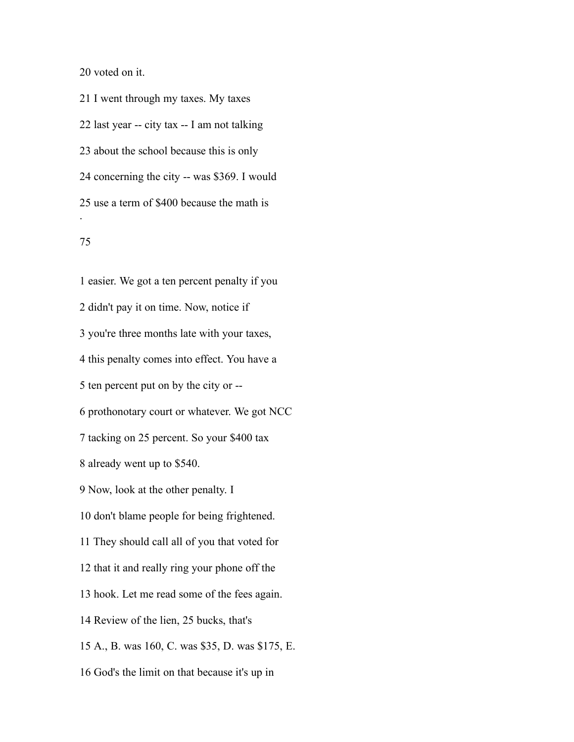voted on it.

 I went through my taxes. My taxes last year -- city tax -- I am not talking about the school because this is only concerning the city -- was \$369. I would use a term of \$400 because the math is .

# 

 easier. We got a ten percent penalty if you didn't pay it on time. Now, notice if you're three months late with your taxes, this penalty comes into effect. You have a ten percent put on by the city or -- prothonotary court or whatever. We got NCC tacking on 25 percent. So your \$400 tax already went up to \$540. Now, look at the other penalty. I don't blame people for being frightened. They should call all of you that voted for that it and really ring your phone off the hook. Let me read some of the fees again. Review of the lien, 25 bucks, that's A., B. was 160, C. was \$35, D. was \$175, E. God's the limit on that because it's up in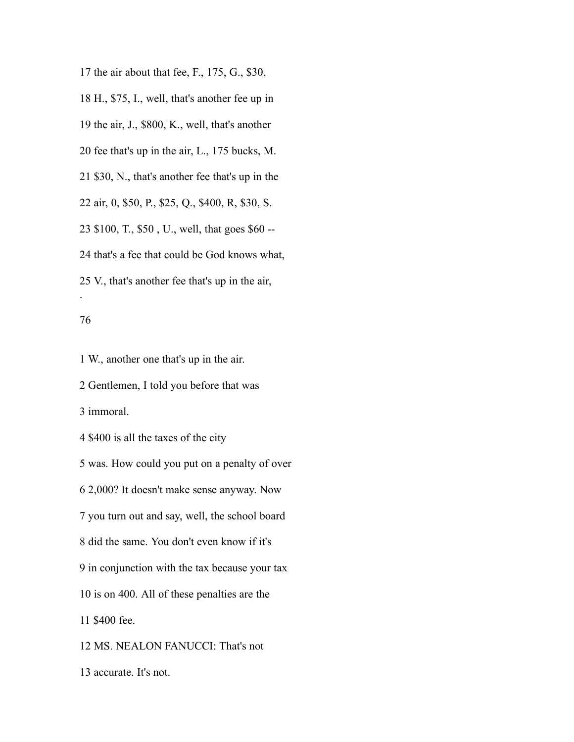the air about that fee, F., 175, G., \$30, H., \$75, I., well, that's another fee up in the air, J., \$800, K., well, that's another fee that's up in the air, L., 175 bucks, M. \$30, N., that's another fee that's up in the air, 0, \$50, P., \$25, Q., \$400, R, \$30, S. \$100, T., \$50 , U., well, that goes \$60 -- that's a fee that could be God knows what, V., that's another fee that's up in the air, .

## 

W., another one that's up in the air.

Gentlemen, I told you before that was

immoral.

\$400 is all the taxes of the city

was. How could you put on a penalty of over

2,000? It doesn't make sense anyway. Now

you turn out and say, well, the school board

did the same. You don't even know if it's

in conjunction with the tax because your tax

is on 400. All of these penalties are the

\$400 fee.

MS. NEALON FANUCCI: That's not

accurate. It's not.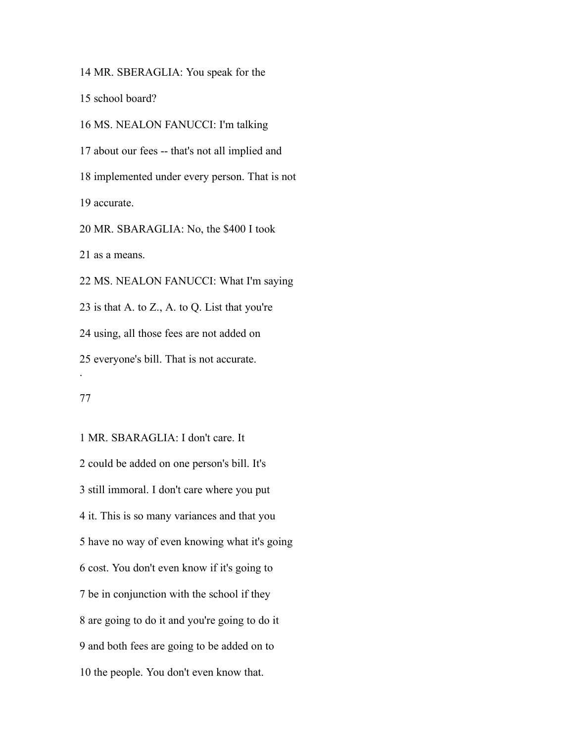MR. SBERAGLIA: You speak for the

school board?

 MS. NEALON FANUCCI: I'm talking about our fees -- that's not all implied and implemented under every person. That is not accurate. MR. SBARAGLIA: No, the \$400 I took as a means. MS. NEALON FANUCCI: What I'm saying is that A. to Z., A. to Q. List that you're using, all those fees are not added on everyone's bill. That is not accurate. .

 MR. SBARAGLIA: I don't care. It could be added on one person's bill. It's still immoral. I don't care where you put it. This is so many variances and that you have no way of even knowing what it's going cost. You don't even know if it's going to be in conjunction with the school if they are going to do it and you're going to do it and both fees are going to be added on to the people. You don't even know that.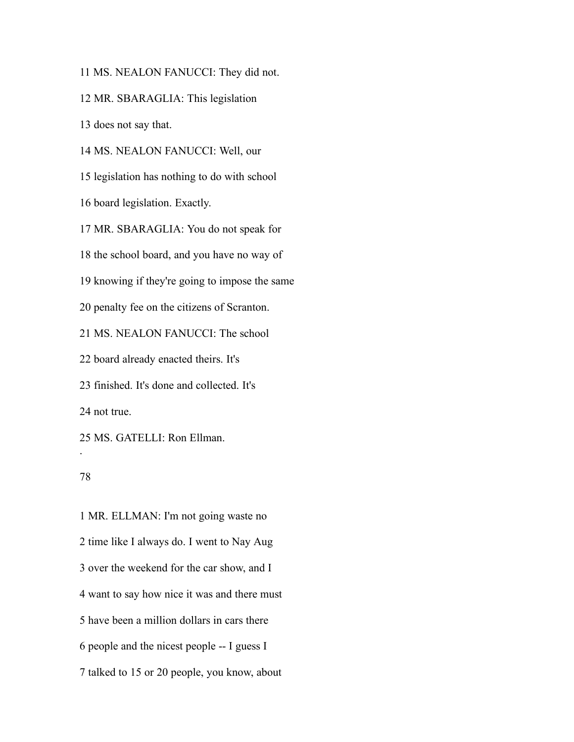MS. NEALON FANUCCI: They did not.

MR. SBARAGLIA: This legislation

does not say that.

MS. NEALON FANUCCI: Well, our

legislation has nothing to do with school

board legislation. Exactly.

MR. SBARAGLIA: You do not speak for

the school board, and you have no way of

knowing if they're going to impose the same

penalty fee on the citizens of Scranton.

MS. NEALON FANUCCI: The school

board already enacted theirs. It's

finished. It's done and collected. It's

not true.

 MS. GATELLI: Ron Ellman. .

## 

 MR. ELLMAN: I'm not going waste no time like I always do. I went to Nay Aug over the weekend for the car show, and I want to say how nice it was and there must have been a million dollars in cars there people and the nicest people -- I guess I talked to 15 or 20 people, you know, about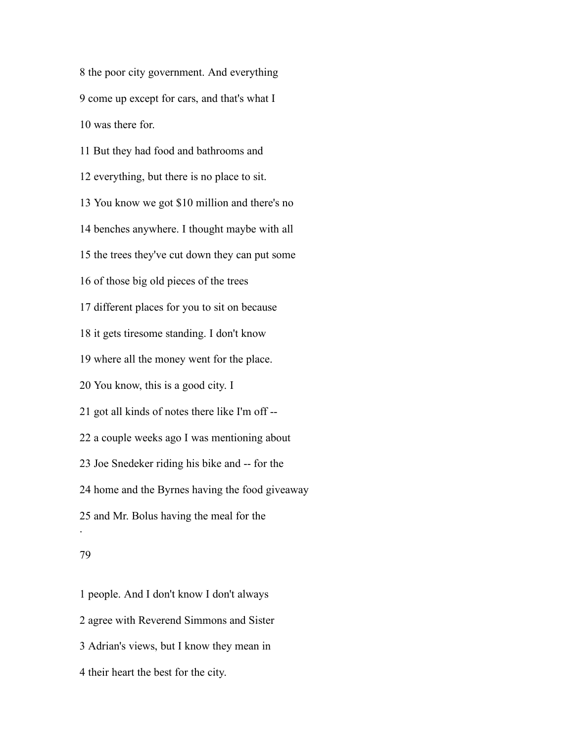the poor city government. And everything come up except for cars, and that's what I was there for.

 But they had food and bathrooms and everything, but there is no place to sit. You know we got \$10 million and there's no benches anywhere. I thought maybe with all the trees they've cut down they can put some of those big old pieces of the trees different places for you to sit on because it gets tiresome standing. I don't know where all the money went for the place. You know, this is a good city. I got all kinds of notes there like I'm off -- a couple weeks ago I was mentioning about Joe Snedeker riding his bike and -- for the home and the Byrnes having the food giveaway and Mr. Bolus having the meal for the .

### 

 people. And I don't know I don't always agree with Reverend Simmons and Sister Adrian's views, but I know they mean in their heart the best for the city.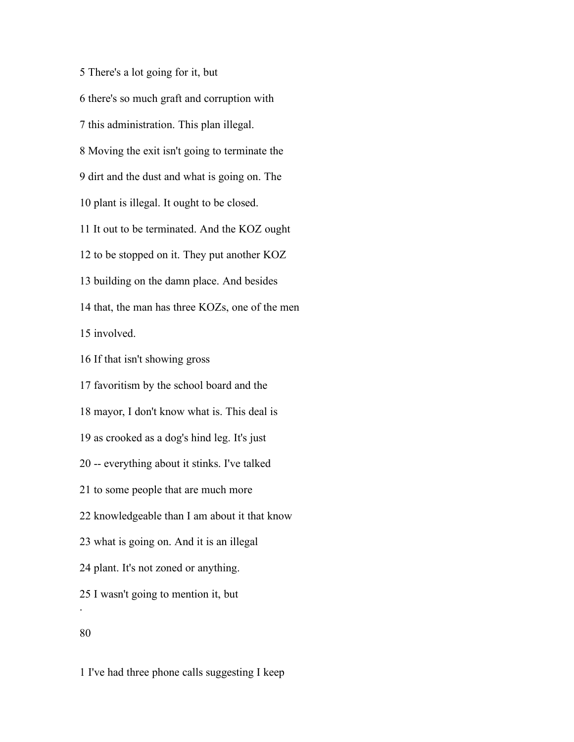There's a lot going for it, but there's so much graft and corruption with this administration. This plan illegal. Moving the exit isn't going to terminate the dirt and the dust and what is going on. The plant is illegal. It ought to be closed. It out to be terminated. And the KOZ ought to be stopped on it. They put another KOZ building on the damn place. And besides that, the man has three KOZs, one of the men involved. If that isn't showing gross favoritism by the school board and the mayor, I don't know what is. This deal is as crooked as a dog's hind leg. It's just -- everything about it stinks. I've talked to some people that are much more knowledgeable than I am about it that know what is going on. And it is an illegal plant. It's not zoned or anything. I wasn't going to mention it, but . 

I've had three phone calls suggesting I keep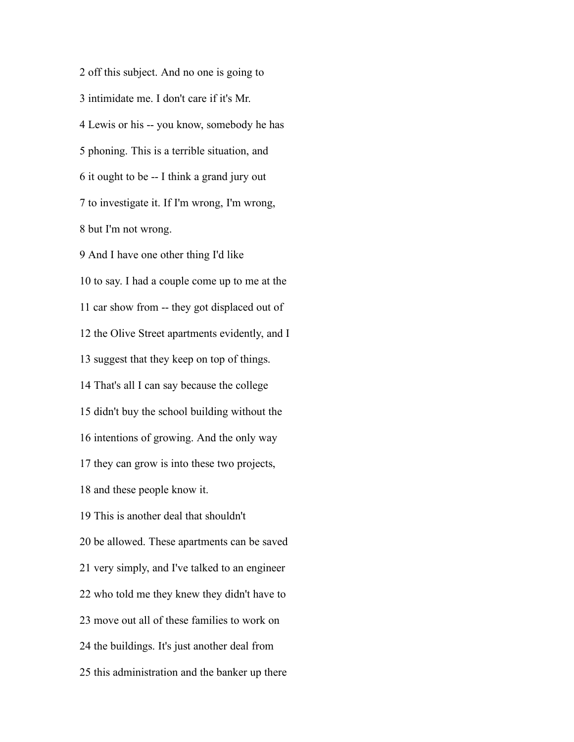off this subject. And no one is going to intimidate me. I don't care if it's Mr. Lewis or his -- you know, somebody he has phoning. This is a terrible situation, and it ought to be -- I think a grand jury out to investigate it. If I'm wrong, I'm wrong, but I'm not wrong. And I have one other thing I'd like

 to say. I had a couple come up to me at the car show from -- they got displaced out of the Olive Street apartments evidently, and I suggest that they keep on top of things. That's all I can say because the college didn't buy the school building without the intentions of growing. And the only way they can grow is into these two projects, and these people know it. This is another deal that shouldn't be allowed. These apartments can be saved very simply, and I've talked to an engineer who told me they knew they didn't have to move out all of these families to work on the buildings. It's just another deal from this administration and the banker up there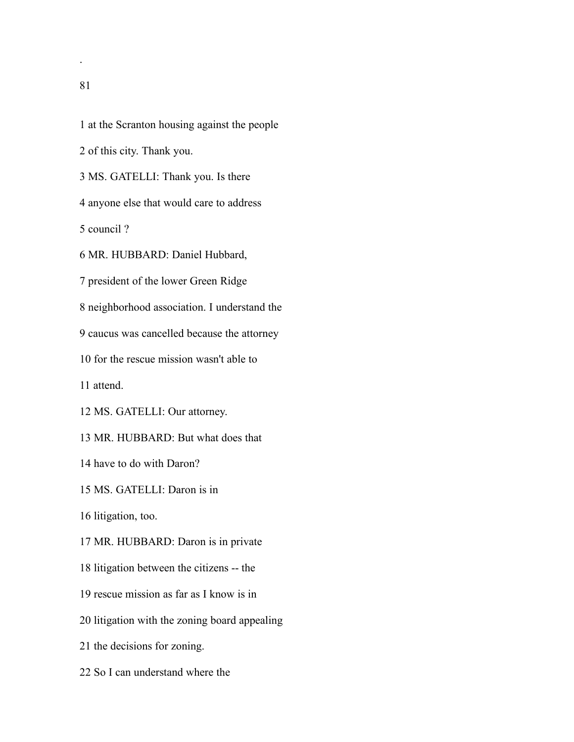at the Scranton housing against the people

of this city. Thank you.

MS. GATELLI: Thank you. Is there

anyone else that would care to address

council ?

MR. HUBBARD: Daniel Hubbard,

president of the lower Green Ridge

neighborhood association. I understand the

caucus was cancelled because the attorney

for the rescue mission wasn't able to

attend.

MS. GATELLI: Our attorney.

MR. HUBBARD: But what does that

have to do with Daron?

MS. GATELLI: Daron is in

litigation, too.

MR. HUBBARD: Daron is in private

litigation between the citizens -- the

rescue mission as far as I know is in

litigation with the zoning board appealing

the decisions for zoning.

So I can understand where the

.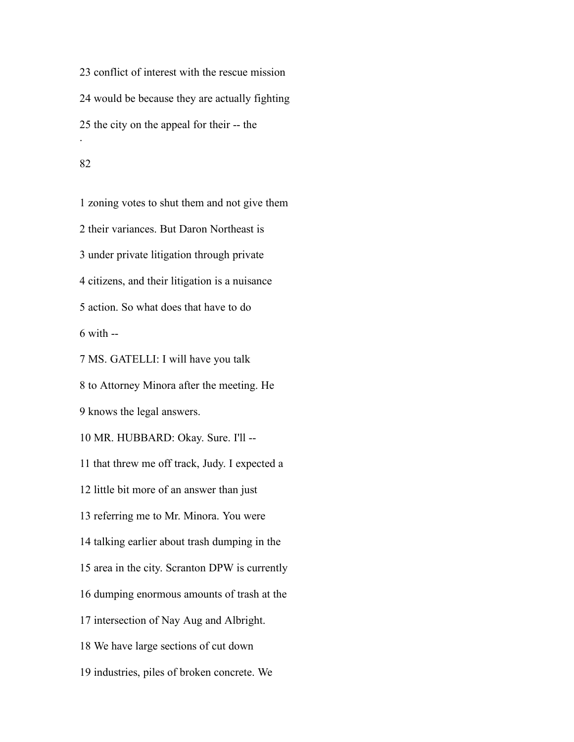conflict of interest with the rescue mission would be because they are actually fighting the city on the appeal for their -- the .

#### 

 zoning votes to shut them and not give them their variances. But Daron Northeast is under private litigation through private citizens, and their litigation is a nuisance action. So what does that have to do with  $-$  MS. GATELLI: I will have you talk to Attorney Minora after the meeting. He knows the legal answers. MR. HUBBARD: Okay. Sure. I'll -- that threw me off track, Judy. I expected a little bit more of an answer than just referring me to Mr. Minora. You were

talking earlier about trash dumping in the

area in the city. Scranton DPW is currently

dumping enormous amounts of trash at the

intersection of Nay Aug and Albright.

We have large sections of cut down

industries, piles of broken concrete. We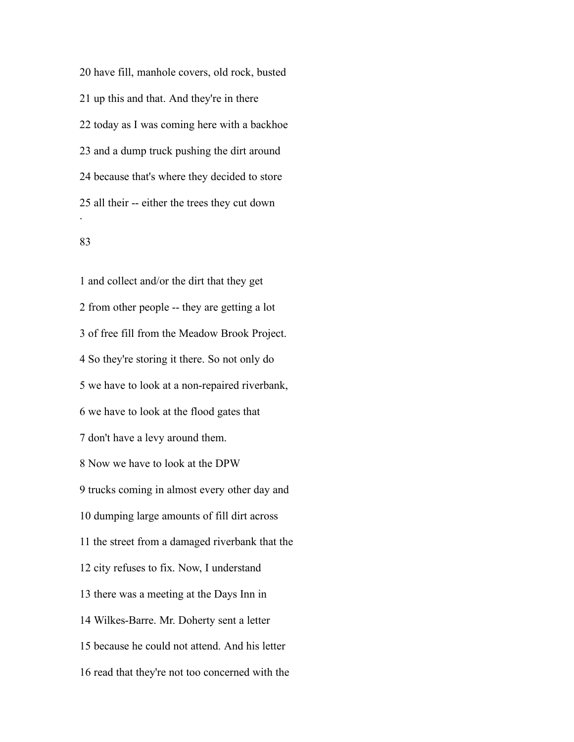have fill, manhole covers, old rock, busted up this and that. And they're in there today as I was coming here with a backhoe and a dump truck pushing the dirt around because that's where they decided to store all their -- either the trees they cut down .

## 

 and collect and/or the dirt that they get from other people -- they are getting a lot of free fill from the Meadow Brook Project. So they're storing it there. So not only do we have to look at a non-repaired riverbank, we have to look at the flood gates that don't have a levy around them. Now we have to look at the DPW trucks coming in almost every other day and dumping large amounts of fill dirt across the street from a damaged riverbank that the city refuses to fix. Now, I understand there was a meeting at the Days Inn in Wilkes-Barre. Mr. Doherty sent a letter because he could not attend. And his letter read that they're not too concerned with the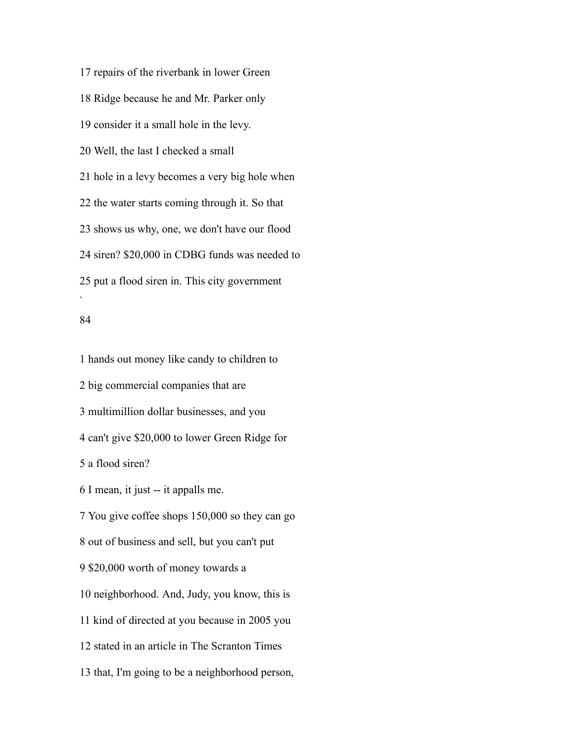repairs of the riverbank in lower Green Ridge because he and Mr. Parker only consider it a small hole in the levy. Well, the last I checked a small hole in a levy becomes a very big hole when the water starts coming through it. So that shows us why, one, we don't have our flood siren? \$20,000 in CDBG funds was needed to put a flood siren in. This city government .

### 

 hands out money like candy to children to big commercial companies that are multimillion dollar businesses, and you can't give \$20,000 to lower Green Ridge for a flood siren? I mean, it just -- it appalls me. You give coffee shops 150,000 so they can go out of business and sell, but you can't put \$20,000 worth of money towards a neighborhood. And, Judy, you know, this is kind of directed at you because in 2005 you stated in an article in The Scranton Times that, I'm going to be a neighborhood person,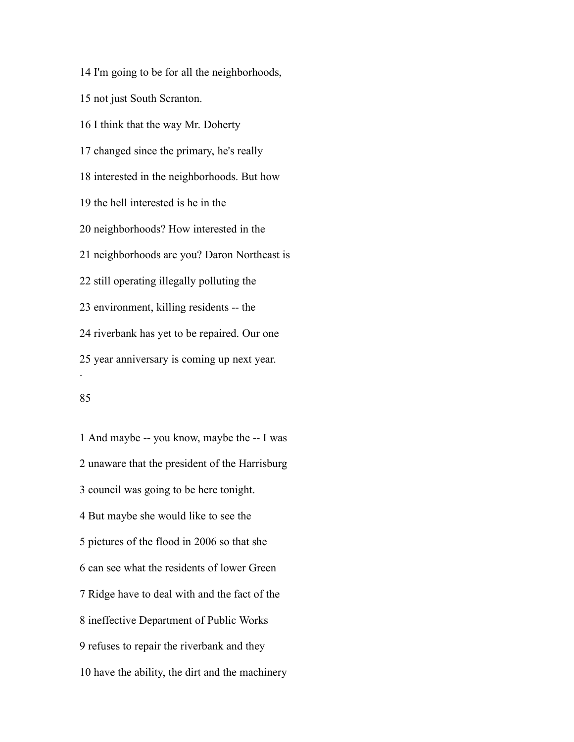I'm going to be for all the neighborhoods, not just South Scranton. I think that the way Mr. Doherty changed since the primary, he's really interested in the neighborhoods. But how the hell interested is he in the neighborhoods? How interested in the neighborhoods are you? Daron Northeast is still operating illegally polluting the environment, killing residents -- the riverbank has yet to be repaired. Our one year anniversary is coming up next year. .

## 

 And maybe -- you know, maybe the -- I was unaware that the president of the Harrisburg council was going to be here tonight. But maybe she would like to see the pictures of the flood in 2006 so that she can see what the residents of lower Green Ridge have to deal with and the fact of the ineffective Department of Public Works refuses to repair the riverbank and they have the ability, the dirt and the machinery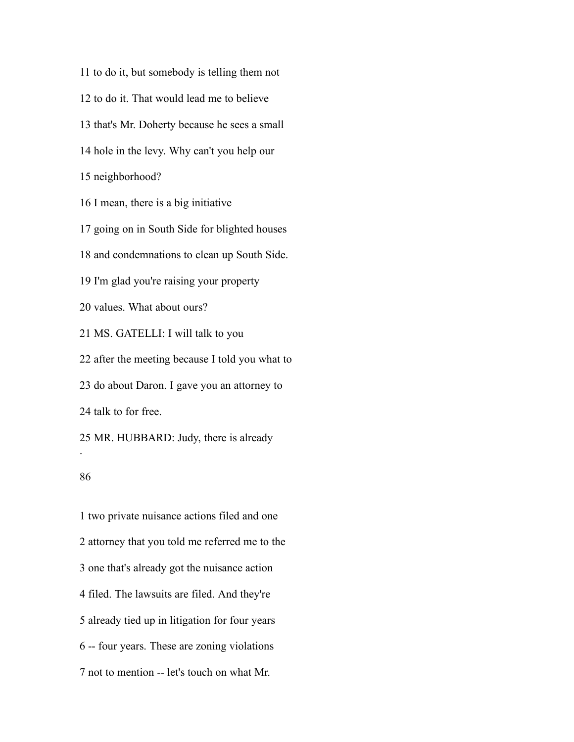to do it, but somebody is telling them not to do it. That would lead me to believe that's Mr. Doherty because he sees a small hole in the levy. Why can't you help our neighborhood? I mean, there is a big initiative going on in South Side for blighted houses and condemnations to clean up South Side. I'm glad you're raising your property values. What about ours? MS. GATELLI: I will talk to you after the meeting because I told you what to do about Daron. I gave you an attorney to talk to for free. MR. HUBBARD: Judy, there is already .

### 

 two private nuisance actions filed and one attorney that you told me referred me to the one that's already got the nuisance action filed. The lawsuits are filed. And they're already tied up in litigation for four years -- four years. These are zoning violations not to mention -- let's touch on what Mr.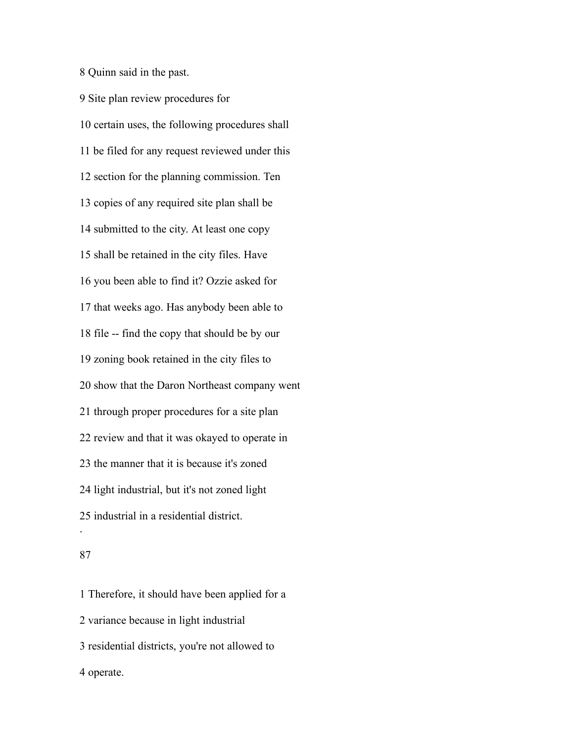Quinn said in the past.

 Site plan review procedures for certain uses, the following procedures shall be filed for any request reviewed under this section for the planning commission. Ten copies of any required site plan shall be submitted to the city. At least one copy shall be retained in the city files. Have you been able to find it? Ozzie asked for that weeks ago. Has anybody been able to file -- find the copy that should be by our zoning book retained in the city files to show that the Daron Northeast company went through proper procedures for a site plan review and that it was okayed to operate in the manner that it is because it's zoned light industrial, but it's not zoned light industrial in a residential district. .

### 

 Therefore, it should have been applied for a variance because in light industrial residential districts, you're not allowed to operate.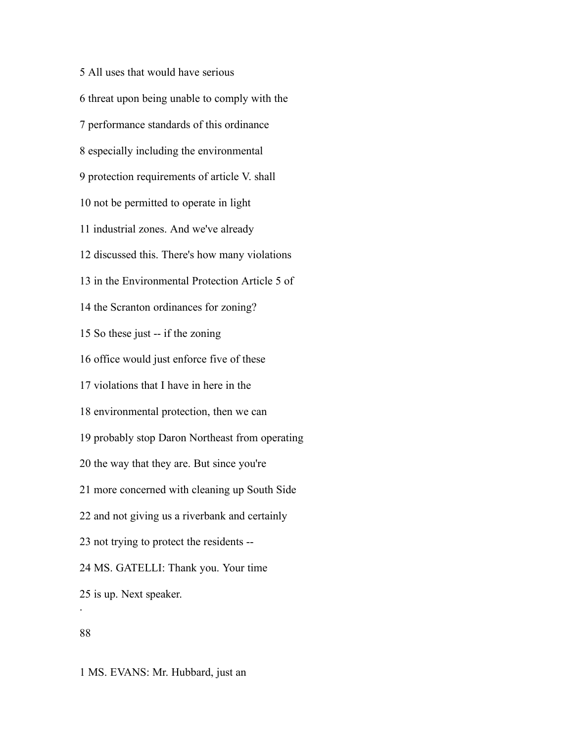All uses that would have serious threat upon being unable to comply with the performance standards of this ordinance especially including the environmental protection requirements of article V. shall not be permitted to operate in light industrial zones. And we've already discussed this. There's how many violations in the Environmental Protection Article 5 of the Scranton ordinances for zoning? So these just -- if the zoning office would just enforce five of these violations that I have in here in the environmental protection, then we can probably stop Daron Northeast from operating the way that they are. But since you're more concerned with cleaning up South Side and not giving us a riverbank and certainly not trying to protect the residents -- MS. GATELLI: Thank you. Your time is up. Next speaker. .

# 

MS. EVANS: Mr. Hubbard, just an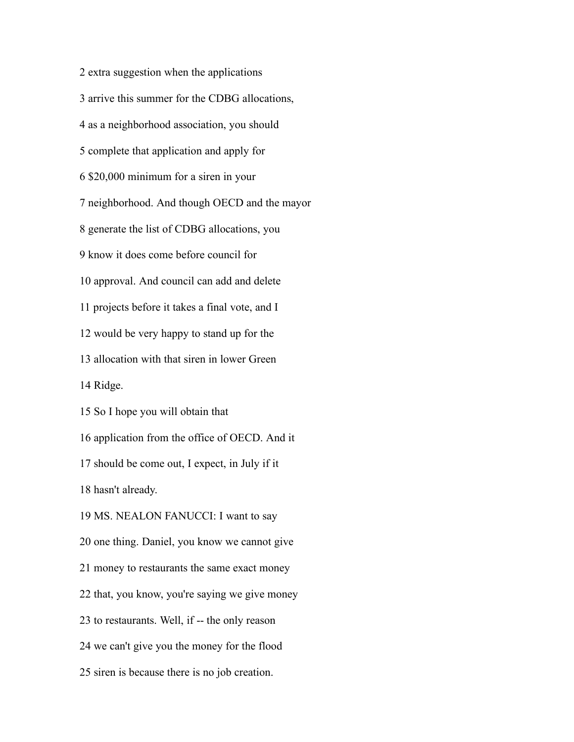extra suggestion when the applications arrive this summer for the CDBG allocations, as a neighborhood association, you should complete that application and apply for \$20,000 minimum for a siren in your neighborhood. And though OECD and the mayor generate the list of CDBG allocations, you know it does come before council for approval. And council can add and delete projects before it takes a final vote, and I would be very happy to stand up for the allocation with that siren in lower Green Ridge. So I hope you will obtain that application from the office of OECD. And it should be come out, I expect, in July if it hasn't already. MS. NEALON FANUCCI: I want to say one thing. Daniel, you know we cannot give money to restaurants the same exact money that, you know, you're saying we give money to restaurants. Well, if -- the only reason we can't give you the money for the flood siren is because there is no job creation.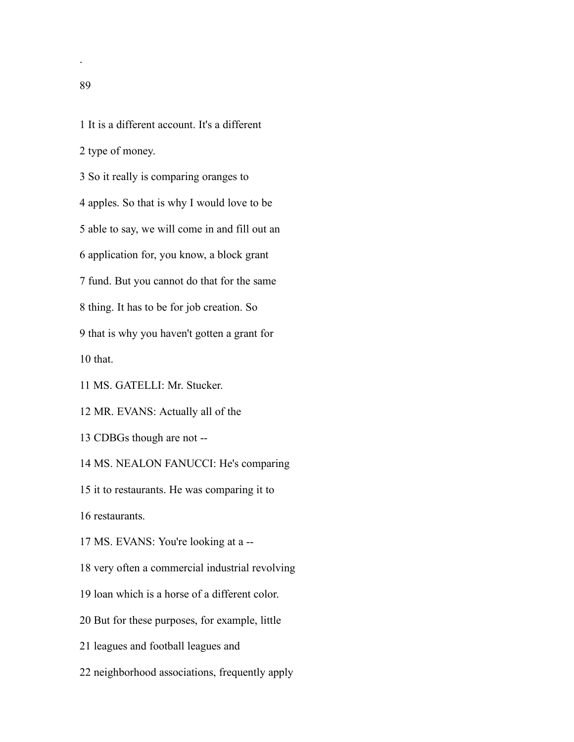It is a different account. It's a different

type of money.

So it really is comparing oranges to

apples. So that is why I would love to be

able to say, we will come in and fill out an

application for, you know, a block grant

fund. But you cannot do that for the same

thing. It has to be for job creation. So

that is why you haven't gotten a grant for

that.

MS. GATELLI: Mr. Stucker.

MR. EVANS: Actually all of the

CDBGs though are not --

MS. NEALON FANUCCI: He's comparing

it to restaurants. He was comparing it to

restaurants.

MS. EVANS: You're looking at a --

very often a commercial industrial revolving

loan which is a horse of a different color.

But for these purposes, for example, little

leagues and football leagues and

neighborhood associations, frequently apply

.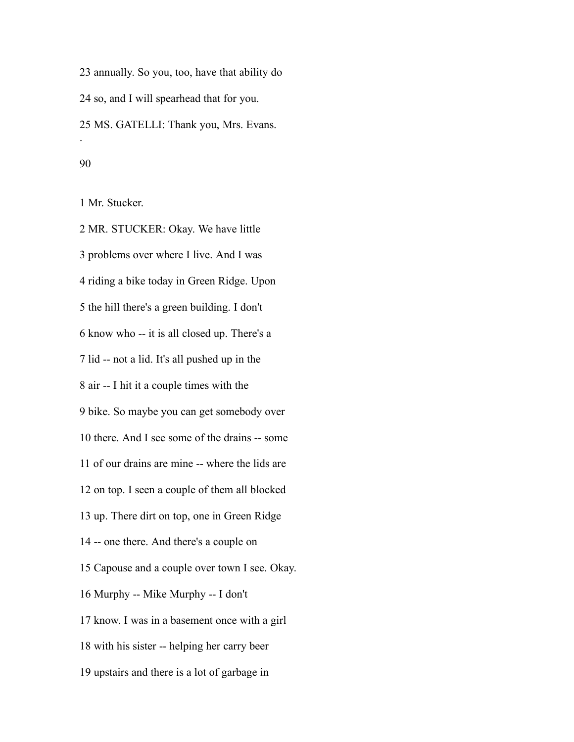annually. So you, too, have that ability do so, and I will spearhead that for you. MS. GATELLI: Thank you, Mrs. Evans. . 

Mr. Stucker.

 MR. STUCKER: Okay. We have little problems over where I live. And I was riding a bike today in Green Ridge. Upon the hill there's a green building. I don't know who -- it is all closed up. There's a lid -- not a lid. It's all pushed up in the air -- I hit it a couple times with the bike. So maybe you can get somebody over there. And I see some of the drains -- some of our drains are mine -- where the lids are on top. I seen a couple of them all blocked up. There dirt on top, one in Green Ridge -- one there. And there's a couple on Capouse and a couple over town I see. Okay. Murphy -- Mike Murphy -- I don't know. I was in a basement once with a girl with his sister -- helping her carry beer upstairs and there is a lot of garbage in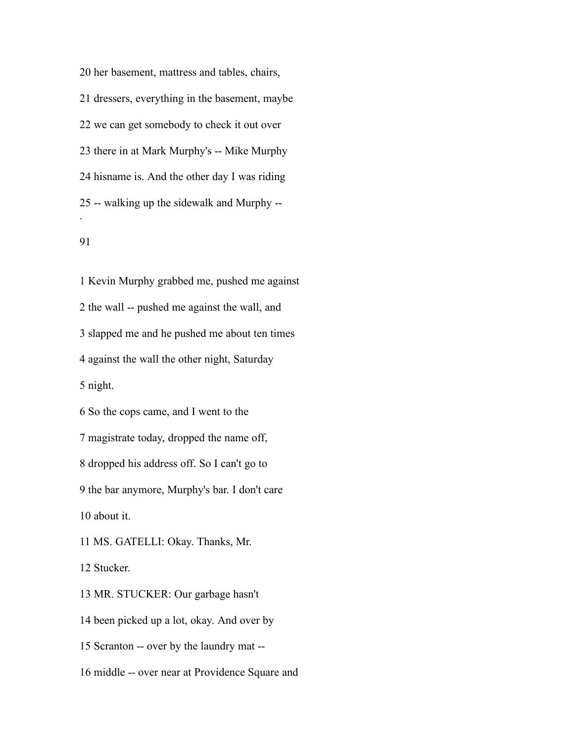her basement, mattress and tables, chairs, dressers, everything in the basement, maybe we can get somebody to check it out over there in at Mark Murphy's -- Mike Murphy hisname is. And the other day I was riding -- walking up the sidewalk and Murphy -- .

 Kevin Murphy grabbed me, pushed me against the wall -- pushed me against the wall, and slapped me and he pushed me about ten times against the wall the other night, Saturday night. So the cops came, and I went to the magistrate today, dropped the name off, dropped his address off. So I can't go to the bar anymore, Murphy's bar. I don't care about it. MS. GATELLI: Okay. Thanks, Mr. Stucker. MR. STUCKER: Our garbage hasn't been picked up a lot, okay. And over by

Scranton -- over by the laundry mat --

middle -- over near at Providence Square and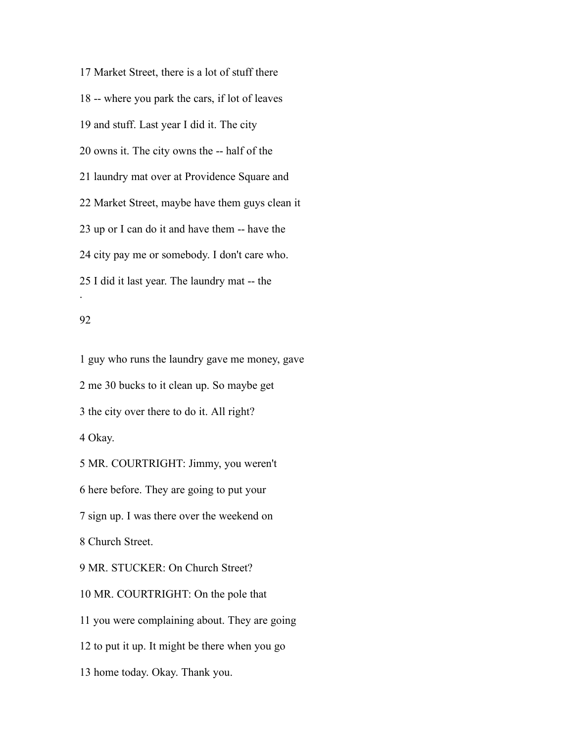Market Street, there is a lot of stuff there -- where you park the cars, if lot of leaves and stuff. Last year I did it. The city owns it. The city owns the -- half of the laundry mat over at Providence Square and Market Street, maybe have them guys clean it up or I can do it and have them -- have the city pay me or somebody. I don't care who. I did it last year. The laundry mat -- the .

### 

 guy who runs the laundry gave me money, gave me 30 bucks to it clean up. So maybe get the city over there to do it. All right? Okay. MR. COURTRIGHT: Jimmy, you weren't here before. They are going to put your sign up. I was there over the weekend on Church Street. MR. STUCKER: On Church Street? MR. COURTRIGHT: On the pole that you were complaining about. They are going to put it up. It might be there when you go home today. Okay. Thank you.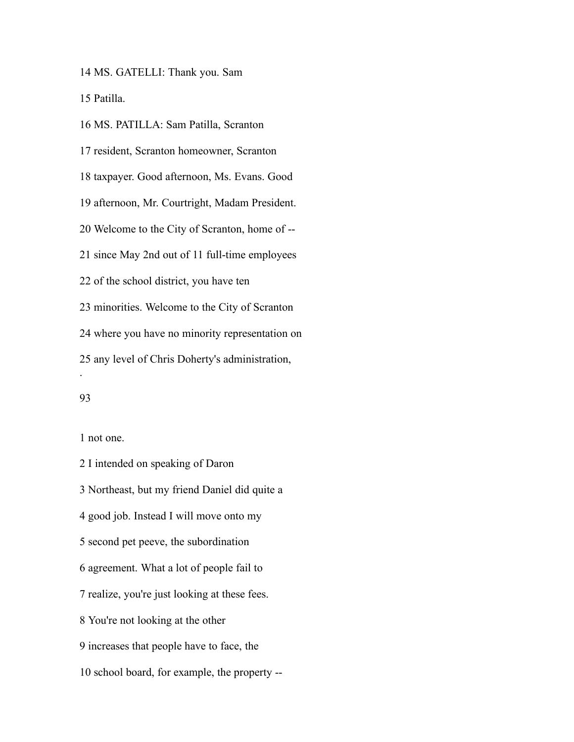MS. GATELLI: Thank you. Sam

Patilla.

 MS. PATILLA: Sam Patilla, Scranton resident, Scranton homeowner, Scranton taxpayer. Good afternoon, Ms. Evans. Good afternoon, Mr. Courtright, Madam President. Welcome to the City of Scranton, home of -- since May 2nd out of 11 full-time employees of the school district, you have ten minorities. Welcome to the City of Scranton where you have no minority representation on any level of Chris Doherty's administration, .

## 

not one.

 I intended on speaking of Daron Northeast, but my friend Daniel did quite a good job. Instead I will move onto my second pet peeve, the subordination agreement. What a lot of people fail to realize, you're just looking at these fees. You're not looking at the other increases that people have to face, the school board, for example, the property --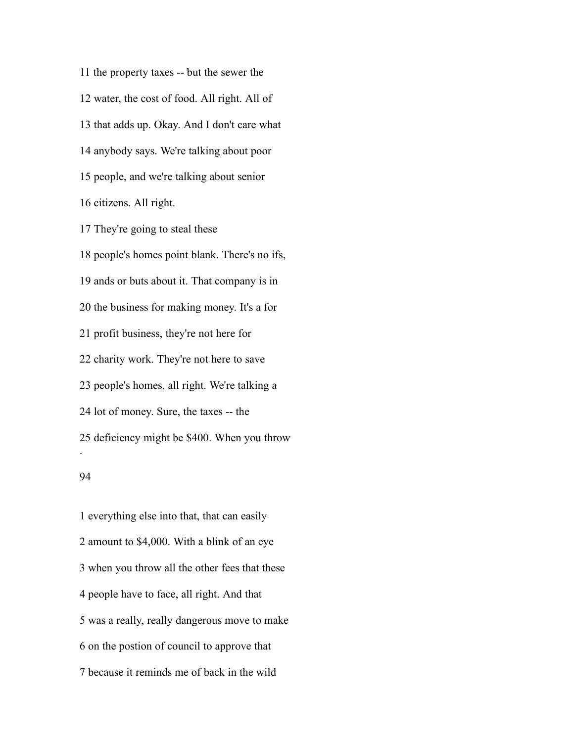the property taxes -- but the sewer the water, the cost of food. All right. All of that adds up. Okay. And I don't care what anybody says. We're talking about poor people, and we're talking about senior citizens. All right. They're going to steal these

 people's homes point blank. There's no ifs, ands or buts about it. That company is in the business for making money. It's a for profit business, they're not here for charity work. They're not here to save people's homes, all right. We're talking a lot of money. Sure, the taxes -- the deficiency might be \$400. When you throw .

#### 

 everything else into that, that can easily amount to \$4,000. With a blink of an eye when you throw all the other fees that these people have to face, all right. And that was a really, really dangerous move to make on the postion of council to approve that because it reminds me of back in the wild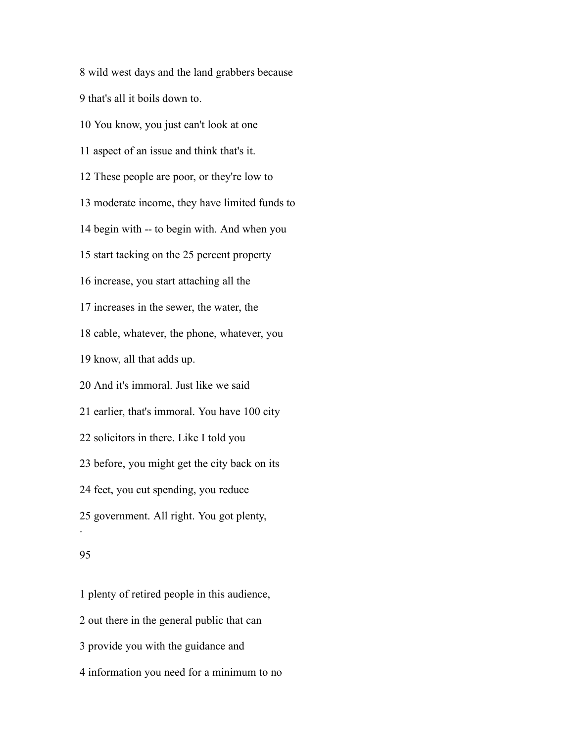wild west days and the land grabbers because that's all it boils down to. You know, you just can't look at one aspect of an issue and think that's it. These people are poor, or they're low to moderate income, they have limited funds to begin with -- to begin with. And when you start tacking on the 25 percent property increase, you start attaching all the increases in the sewer, the water, the cable, whatever, the phone, whatever, you know, all that adds up. And it's immoral. Just like we said earlier, that's immoral. You have 100 city solicitors in there. Like I told you before, you might get the city back on its feet, you cut spending, you reduce government. All right. You got plenty, . 

 plenty of retired people in this audience, out there in the general public that can provide you with the guidance and information you need for a minimum to no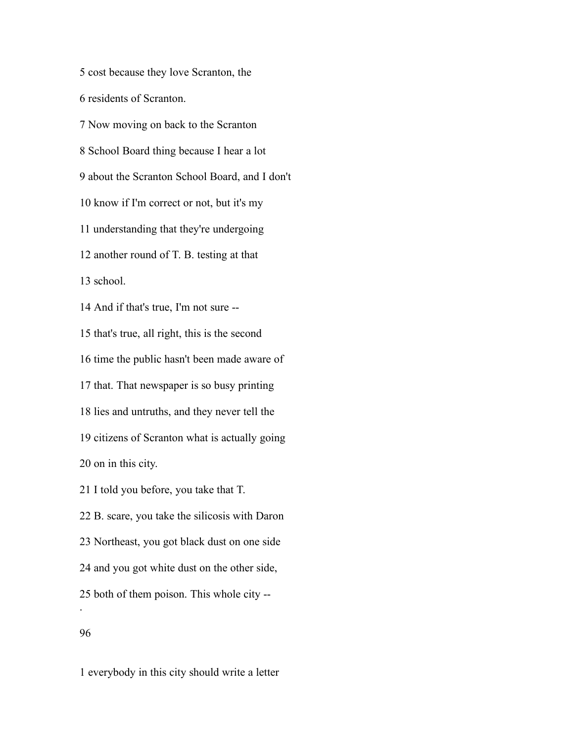cost because they love Scranton, the residents of Scranton. Now moving on back to the Scranton School Board thing because I hear a lot about the Scranton School Board, and I don't know if I'm correct or not, but it's my understanding that they're undergoing another round of T. B. testing at that school. And if that's true, I'm not sure -- that's true, all right, this is the second time the public hasn't been made aware of that. That newspaper is so busy printing lies and untruths, and they never tell the citizens of Scranton what is actually going on in this city. I told you before, you take that T. B. scare, you take the silicosis with Daron Northeast, you got black dust on one side and you got white dust on the other side,

both of them poison. This whole city --

.

everybody in this city should write a letter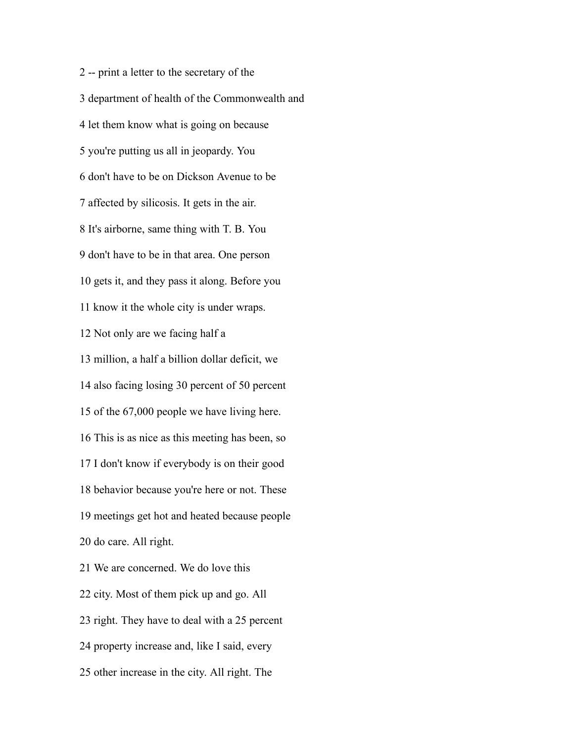-- print a letter to the secretary of the department of health of the Commonwealth and let them know what is going on because you're putting us all in jeopardy. You don't have to be on Dickson Avenue to be affected by silicosis. It gets in the air. It's airborne, same thing with T. B. You don't have to be in that area. One person gets it, and they pass it along. Before you know it the whole city is under wraps. Not only are we facing half a million, a half a billion dollar deficit, we also facing losing 30 percent of 50 percent of the 67,000 people we have living here. This is as nice as this meeting has been, so I don't know if everybody is on their good behavior because you're here or not. These meetings get hot and heated because people do care. All right. We are concerned. We do love this city. Most of them pick up and go. All right. They have to deal with a 25 percent

property increase and, like I said, every

other increase in the city. All right. The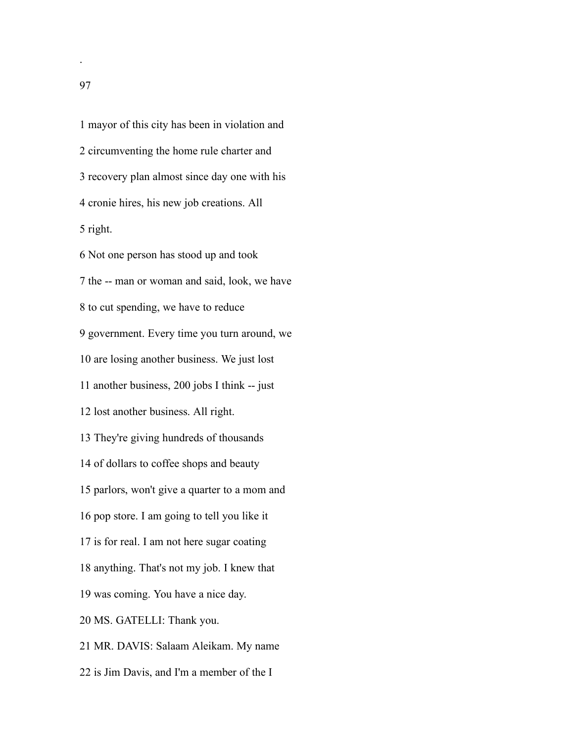mayor of this city has been in violation and circumventing the home rule charter and recovery plan almost since day one with his cronie hires, his new job creations. All right.

 Not one person has stood up and took the -- man or woman and said, look, we have to cut spending, we have to reduce government. Every time you turn around, we are losing another business. We just lost another business, 200 jobs I think -- just lost another business. All right. They're giving hundreds of thousands of dollars to coffee shops and beauty parlors, won't give a quarter to a mom and pop store. I am going to tell you like it is for real. I am not here sugar coating anything. That's not my job. I knew that was coming. You have a nice day. MS. GATELLI: Thank you. MR. DAVIS: Salaam Aleikam. My name is Jim Davis, and I'm a member of the I

.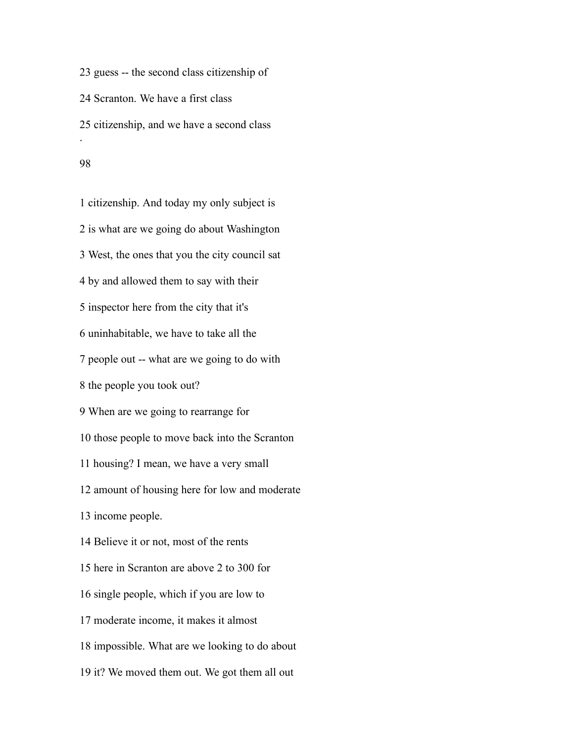guess -- the second class citizenship of Scranton. We have a first class citizenship, and we have a second class . 

 citizenship. And today my only subject is is what are we going do about Washington West, the ones that you the city council sat by and allowed them to say with their inspector here from the city that it's uninhabitable, we have to take all the people out -- what are we going to do with the people you took out? When are we going to rearrange for those people to move back into the Scranton housing? I mean, we have a very small amount of housing here for low and moderate income people. Believe it or not, most of the rents here in Scranton are above 2 to 300 for single people, which if you are low to moderate income, it makes it almost impossible. What are we looking to do about

it? We moved them out. We got them all out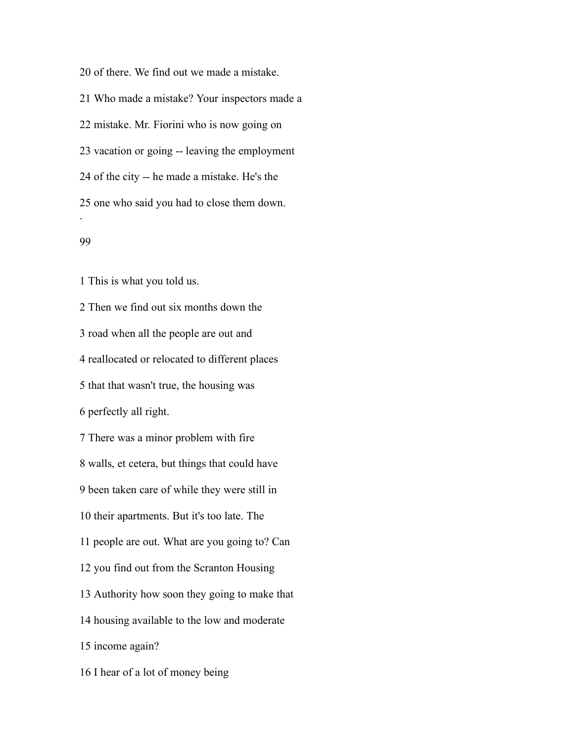of there. We find out we made a mistake. Who made a mistake? Your inspectors made a mistake. Mr. Fiorini who is now going on vacation or going -- leaving the employment of the city -- he made a mistake. He's the one who said you had to close them down. .

# 

This is what you told us.

 Then we find out six months down the road when all the people are out and reallocated or relocated to different places that that wasn't true, the housing was perfectly all right. There was a minor problem with fire walls, et cetera, but things that could have been taken care of while they were still in their apartments. But it's too late. The people are out. What are you going to? Can you find out from the Scranton Housing Authority how soon they going to make that housing available to the low and moderate income again? I hear of a lot of money being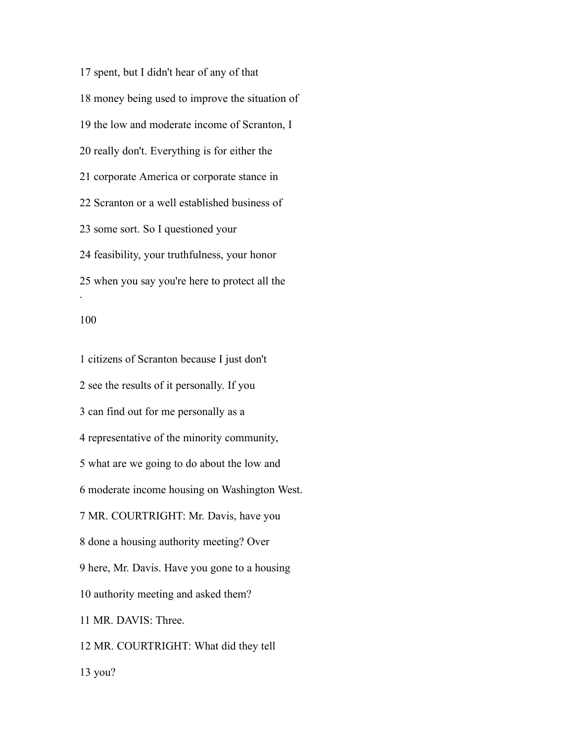spent, but I didn't hear of any of that money being used to improve the situation of the low and moderate income of Scranton, I really don't. Everything is for either the corporate America or corporate stance in Scranton or a well established business of some sort. So I questioned your feasibility, your truthfulness, your honor when you say you're here to protect all the .

### 

 citizens of Scranton because I just don't see the results of it personally. If you can find out for me personally as a representative of the minority community, what are we going to do about the low and moderate income housing on Washington West. MR. COURTRIGHT: Mr. Davis, have you done a housing authority meeting? Over here, Mr. Davis. Have you gone to a housing authority meeting and asked them? MR. DAVIS: Three. MR. COURTRIGHT: What did they tell

you?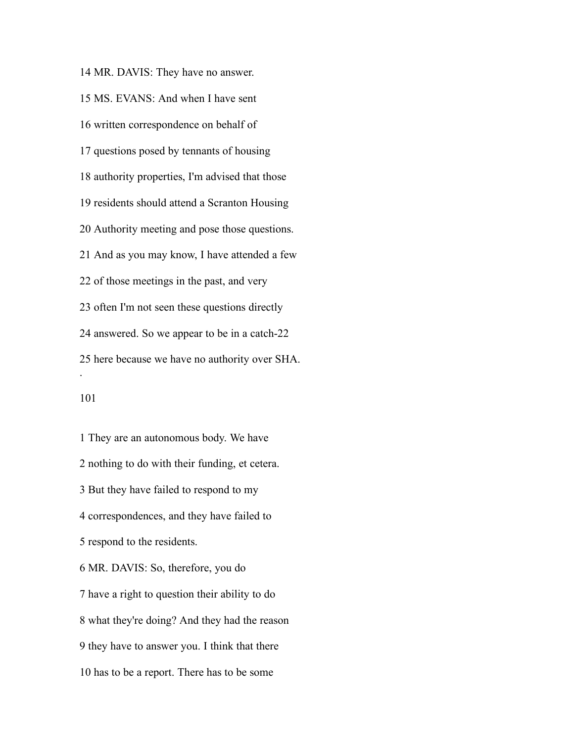MR. DAVIS: They have no answer. MS. EVANS: And when I have sent written correspondence on behalf of questions posed by tennants of housing authority properties, I'm advised that those residents should attend a Scranton Housing Authority meeting and pose those questions. And as you may know, I have attended a few of those meetings in the past, and very often I'm not seen these questions directly answered. So we appear to be in a catch-22 here because we have no authority over SHA. .

 They are an autonomous body. We have nothing to do with their funding, et cetera. But they have failed to respond to my correspondences, and they have failed to respond to the residents. MR. DAVIS: So, therefore, you do have a right to question their ability to do what they're doing? And they had the reason they have to answer you. I think that there has to be a report. There has to be some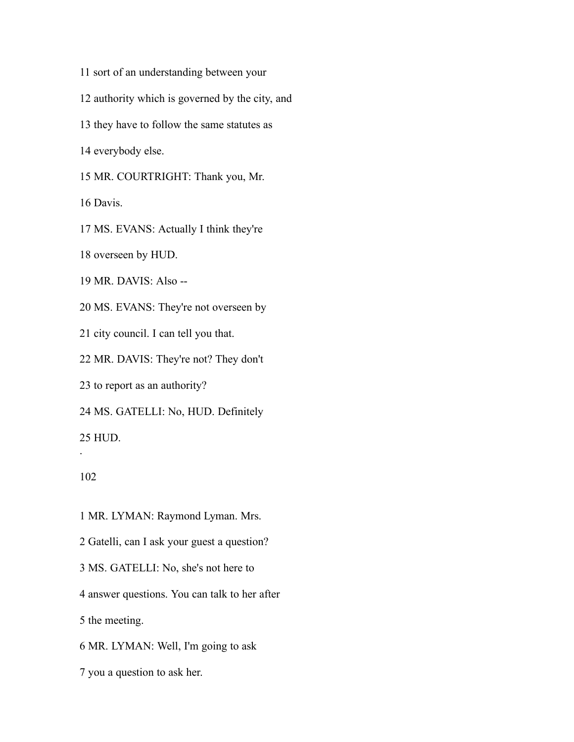- sort of an understanding between your
- authority which is governed by the city, and
- they have to follow the same statutes as

everybody else.

MR. COURTRIGHT: Thank you, Mr.

Davis.

MS. EVANS: Actually I think they're

overseen by HUD.

MR. DAVIS: Also --

MS. EVANS: They're not overseen by

city council. I can tell you that.

MR. DAVIS: They're not? They don't

to report as an authority?

MS. GATELLI: No, HUD. Definitely

HUD.

# 

.

MR. LYMAN: Raymond Lyman. Mrs.

Gatelli, can I ask your guest a question?

MS. GATELLI: No, she's not here to

answer questions. You can talk to her after

the meeting.

MR. LYMAN: Well, I'm going to ask

you a question to ask her.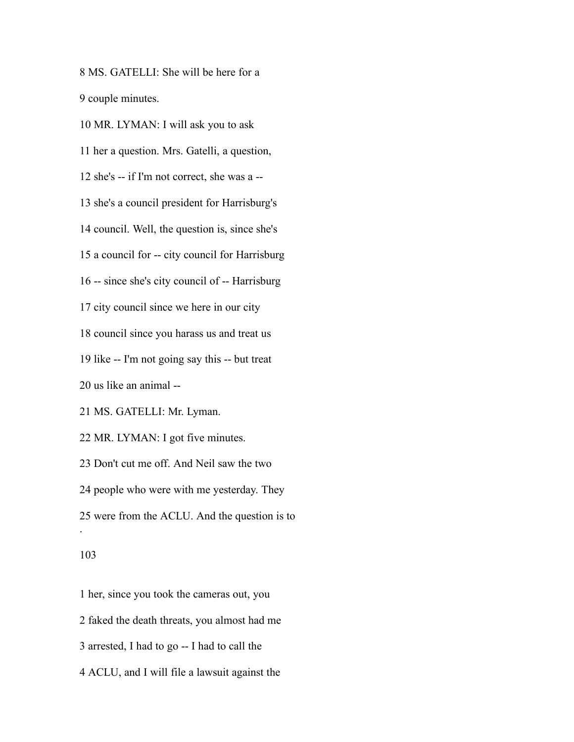MS. GATELLI: She will be here for a couple minutes.

MR. LYMAN: I will ask you to ask

her a question. Mrs. Gatelli, a question,

she's -- if I'm not correct, she was a --

she's a council president for Harrisburg's

council. Well, the question is, since she's

a council for -- city council for Harrisburg

-- since she's city council of -- Harrisburg

city council since we here in our city

council since you harass us and treat us

like -- I'm not going say this -- but treat

us like an animal --

MS. GATELLI: Mr. Lyman.

MR. LYMAN: I got five minutes.

Don't cut me off. And Neil saw the two

people who were with me yesterday. They

were from the ACLU. And the question is to

#### 

.

 her, since you took the cameras out, you faked the death threats, you almost had me arrested, I had to go -- I had to call the ACLU, and I will file a lawsuit against the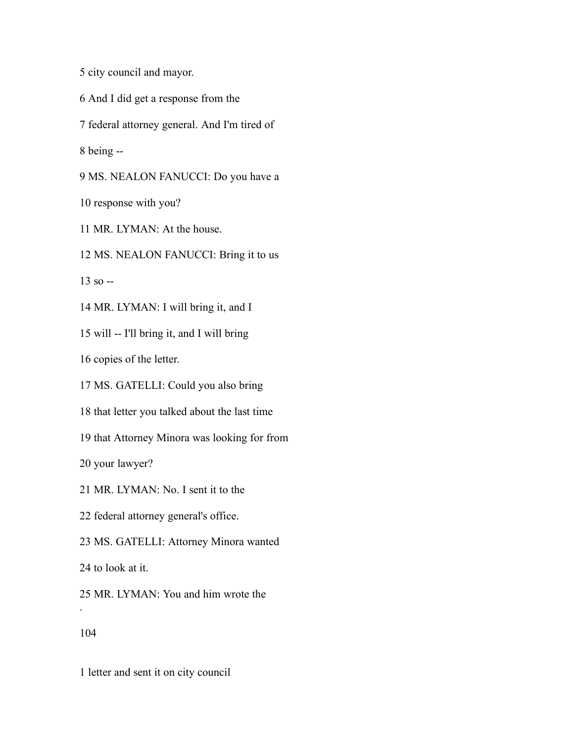city council and mayor.

- And I did get a response from the
- federal attorney general. And I'm tired of

being --

MS. NEALON FANUCCI: Do you have a

response with you?

MR. LYMAN: At the house.

MS. NEALON FANUCCI: Bring it to us

so  $-$ 

MR. LYMAN: I will bring it, and I

will -- I'll bring it, and I will bring

copies of the letter.

MS. GATELLI: Could you also bring

that letter you talked about the last time

that Attorney Minora was looking for from

your lawyer?

MR. LYMAN: No. I sent it to the

federal attorney general's office.

MS. GATELLI: Attorney Minora wanted

to look at it.

MR. LYMAN: You and him wrote the

.

letter and sent it on city council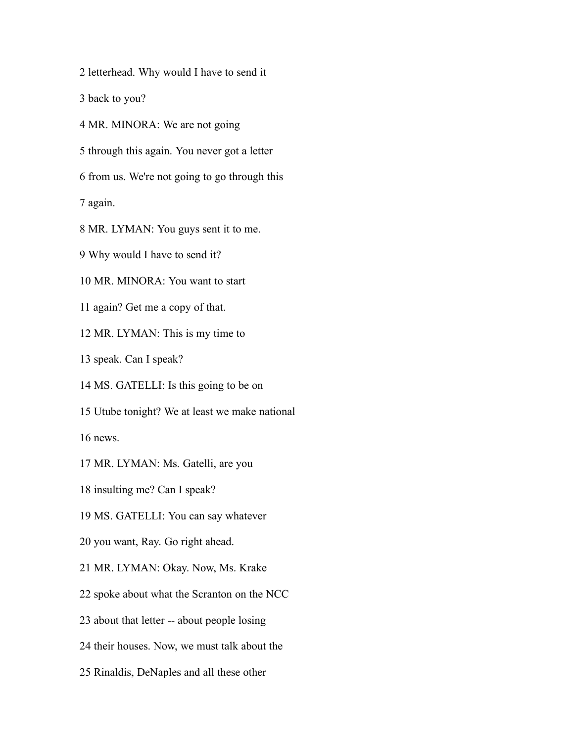letterhead. Why would I have to send it

back to you?

MR. MINORA: We are not going

through this again. You never got a letter

from us. We're not going to go through this

again.

MR. LYMAN: You guys sent it to me.

Why would I have to send it?

MR. MINORA: You want to start

again? Get me a copy of that.

MR. LYMAN: This is my time to

speak. Can I speak?

MS. GATELLI: Is this going to be on

Utube tonight? We at least we make national

news.

MR. LYMAN: Ms. Gatelli, are you

insulting me? Can I speak?

MS. GATELLI: You can say whatever

you want, Ray. Go right ahead.

MR. LYMAN: Okay. Now, Ms. Krake

spoke about what the Scranton on the NCC

about that letter -- about people losing

their houses. Now, we must talk about the

Rinaldis, DeNaples and all these other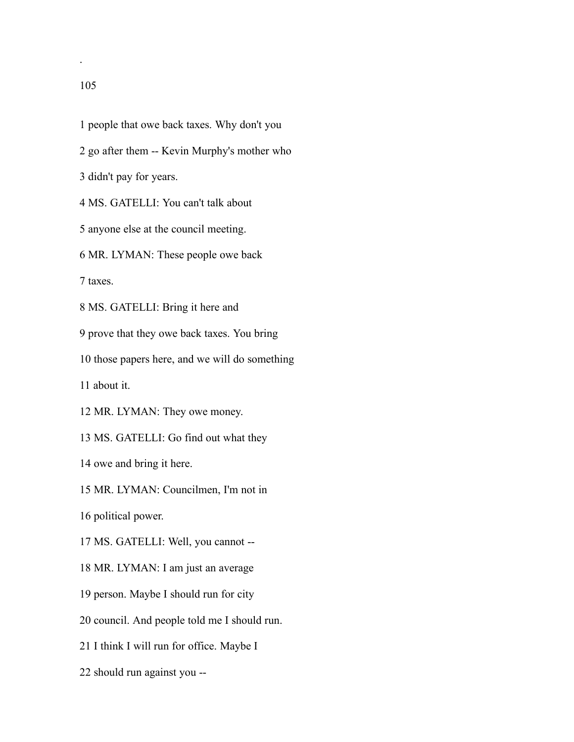.

 people that owe back taxes. Why don't you go after them -- Kevin Murphy's mother who didn't pay for years. MS. GATELLI: You can't talk about anyone else at the council meeting. MR. LYMAN: These people owe back taxes. MS. GATELLI: Bring it here and prove that they owe back taxes. You bring those papers here, and we will do something about it. MR. LYMAN: They owe money. MS. GATELLI: Go find out what they owe and bring it here. MR. LYMAN: Councilmen, I'm not in political power. MS. GATELLI: Well, you cannot -- MR. LYMAN: I am just an average person. Maybe I should run for city council. And people told me I should run. I think I will run for office. Maybe I

should run against you --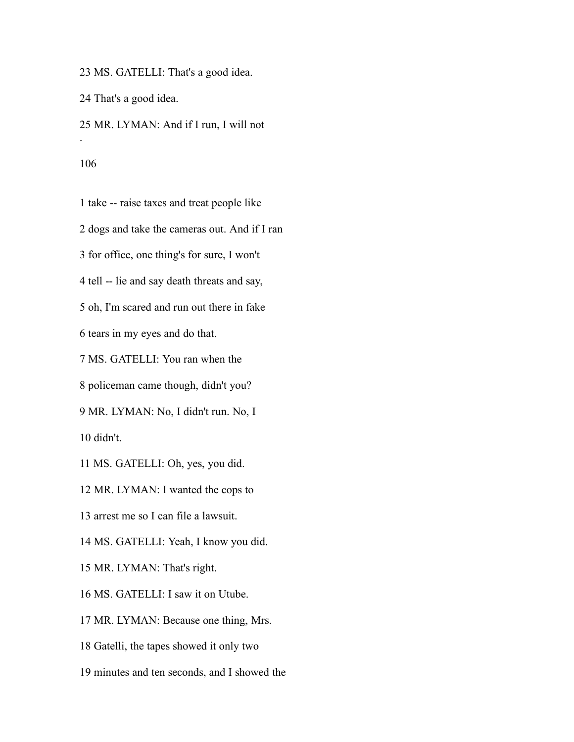MS. GATELLI: That's a good idea.

That's a good idea.

 MR. LYMAN: And if I run, I will not .

 take -- raise taxes and treat people like dogs and take the cameras out. And if I ran for office, one thing's for sure, I won't tell -- lie and say death threats and say, oh, I'm scared and run out there in fake tears in my eyes and do that. MS. GATELLI: You ran when the policeman came though, didn't you? MR. LYMAN: No, I didn't run. No, I didn't.

MS. GATELLI: Oh, yes, you did.

MR. LYMAN: I wanted the cops to

arrest me so I can file a lawsuit.

MS. GATELLI: Yeah, I know you did.

MR. LYMAN: That's right.

MS. GATELLI: I saw it on Utube.

MR. LYMAN: Because one thing, Mrs.

Gatelli, the tapes showed it only two

minutes and ten seconds, and I showed the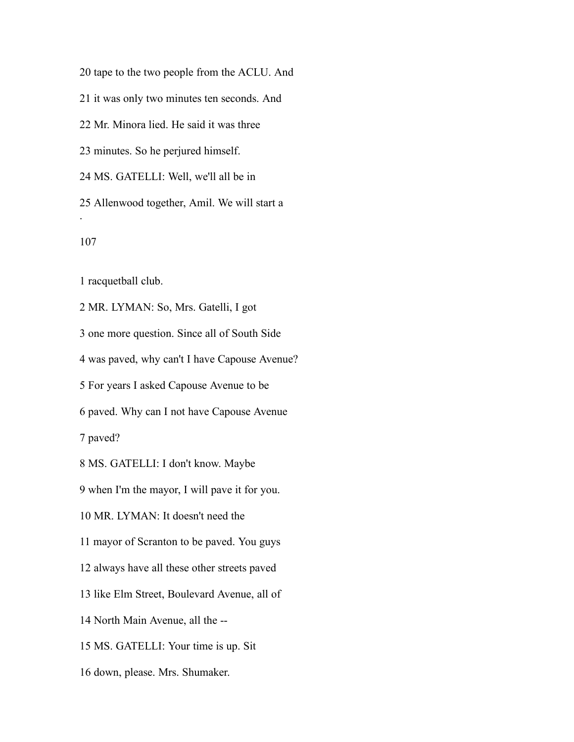tape to the two people from the ACLU. And

it was only two minutes ten seconds. And

Mr. Minora lied. He said it was three

minutes. So he perjured himself.

MS. GATELLI: Well, we'll all be in

 Allenwood together, Amil. We will start a .

racquetball club.

 MR. LYMAN: So, Mrs. Gatelli, I got one more question. Since all of South Side was paved, why can't I have Capouse Avenue? For years I asked Capouse Avenue to be paved. Why can I not have Capouse Avenue paved? MS. GATELLI: I don't know. Maybe when I'm the mayor, I will pave it for you. MR. LYMAN: It doesn't need the mayor of Scranton to be paved. You guys always have all these other streets paved like Elm Street, Boulevard Avenue, all of North Main Avenue, all the -- MS. GATELLI: Your time is up. Sit down, please. Mrs. Shumaker.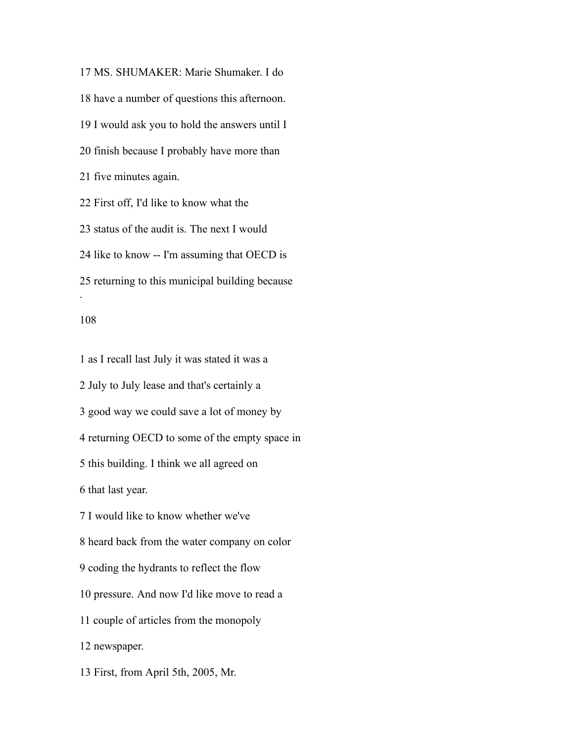MS. SHUMAKER: Marie Shumaker. I do have a number of questions this afternoon. I would ask you to hold the answers until I finish because I probably have more than five minutes again. First off, I'd like to know what the status of the audit is. The next I would like to know -- I'm assuming that OECD is returning to this municipal building because .

# 

 as I recall last July it was stated it was a July to July lease and that's certainly a good way we could save a lot of money by returning OECD to some of the empty space in this building. I think we all agreed on that last year. I would like to know whether we've heard back from the water company on color coding the hydrants to reflect the flow pressure. And now I'd like move to read a couple of articles from the monopoly newspaper. First, from April 5th, 2005, Mr.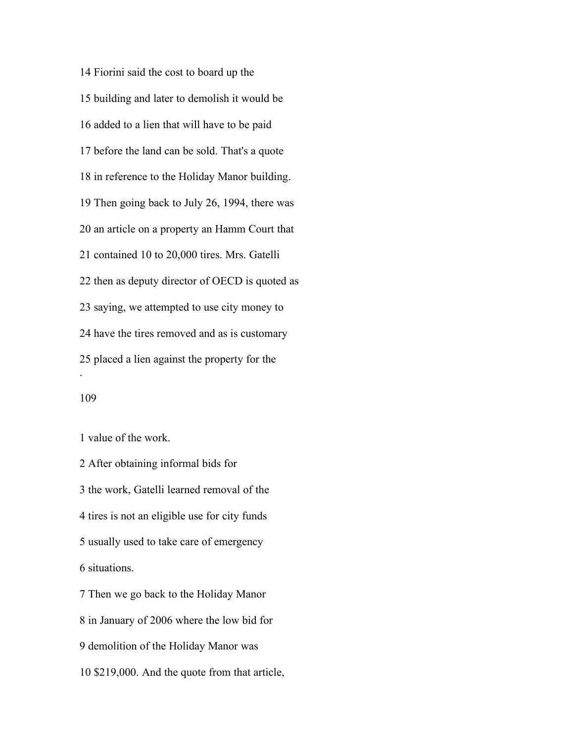Fiorini said the cost to board up the building and later to demolish it would be added to a lien that will have to be paid before the land can be sold. That's a quote in reference to the Holiday Manor building. Then going back to July 26, 1994, there was an article on a property an Hamm Court that contained 10 to 20,000 tires. Mrs. Gatelli then as deputy director of OECD is quoted as saying, we attempted to use city money to have the tires removed and as is customary placed a lien against the property for the .

value of the work.

 After obtaining informal bids for the work, Gatelli learned removal of the tires is not an eligible use for city funds usually used to take care of emergency situations. Then we go back to the Holiday Manor

in January of 2006 where the low bid for

demolition of the Holiday Manor was

\$219,000. And the quote from that article,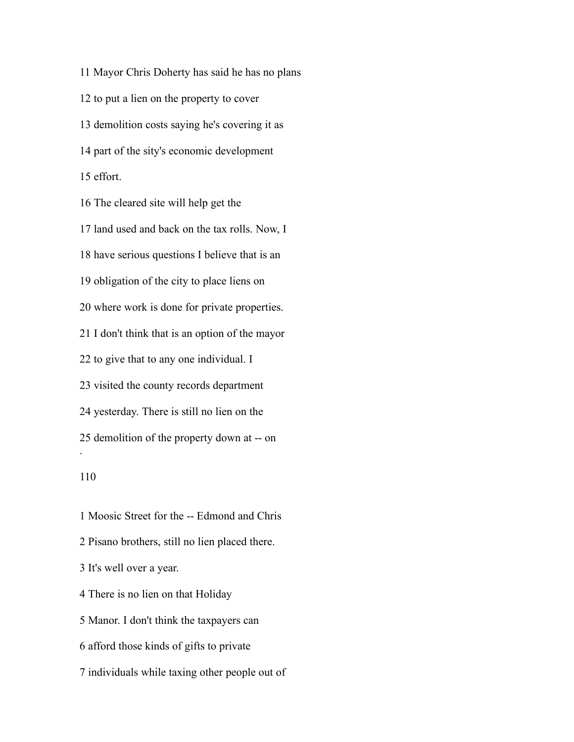Mayor Chris Doherty has said he has no plans to put a lien on the property to cover demolition costs saying he's covering it as part of the sity's economic development effort. The cleared site will help get the land used and back on the tax rolls. Now, I have serious questions I believe that is an obligation of the city to place liens on where work is done for private properties. I don't think that is an option of the mayor to give that to any one individual. I visited the county records department yesterday. There is still no lien on the demolition of the property down at -- on . 

 Moosic Street for the -- Edmond and Chris Pisano brothers, still no lien placed there. It's well over a year. There is no lien on that Holiday Manor. I don't think the taxpayers can afford those kinds of gifts to private individuals while taxing other people out of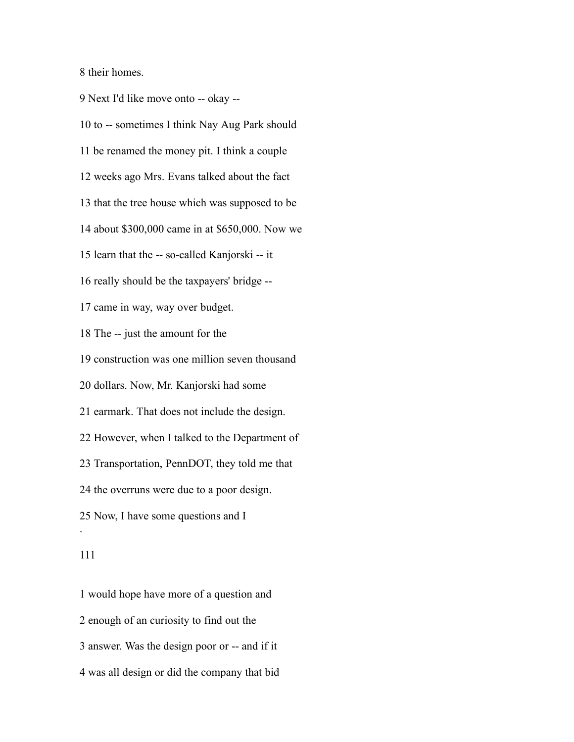their homes.

 Next I'd like move onto -- okay -- to -- sometimes I think Nay Aug Park should be renamed the money pit. I think a couple weeks ago Mrs. Evans talked about the fact that the tree house which was supposed to be about \$300,000 came in at \$650,000. Now we learn that the -- so-called Kanjorski -- it really should be the taxpayers' bridge -- came in way, way over budget. The -- just the amount for the construction was one million seven thousand dollars. Now, Mr. Kanjorski had some earmark. That does not include the design. However, when I talked to the Department of Transportation, PennDOT, they told me that the overruns were due to a poor design. Now, I have some questions and I .

 would hope have more of a question and enough of an curiosity to find out the answer. Was the design poor or -- and if it was all design or did the company that bid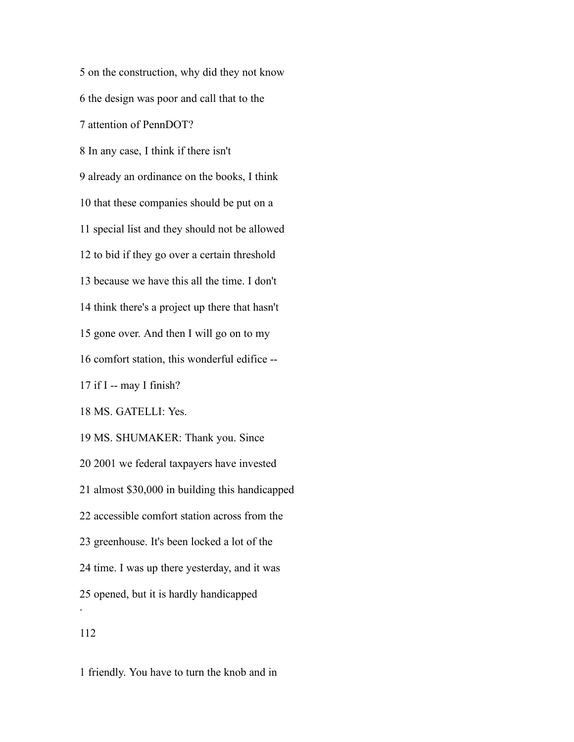on the construction, why did they not know the design was poor and call that to the attention of PennDOT? In any case, I think if there isn't already an ordinance on the books, I think that these companies should be put on a special list and they should not be allowed to bid if they go over a certain threshold because we have this all the time. I don't think there's a project up there that hasn't gone over. And then I will go on to my comfort station, this wonderful edifice -- if I -- may I finish? MS. GATELLI: Yes. MS. SHUMAKER: Thank you. Since 2001 we federal taxpayers have invested almost \$30,000 in building this handicapped accessible comfort station across from the greenhouse. It's been locked a lot of the time. I was up there yesterday, and it was opened, but it is hardly handicapped . 

friendly. You have to turn the knob and in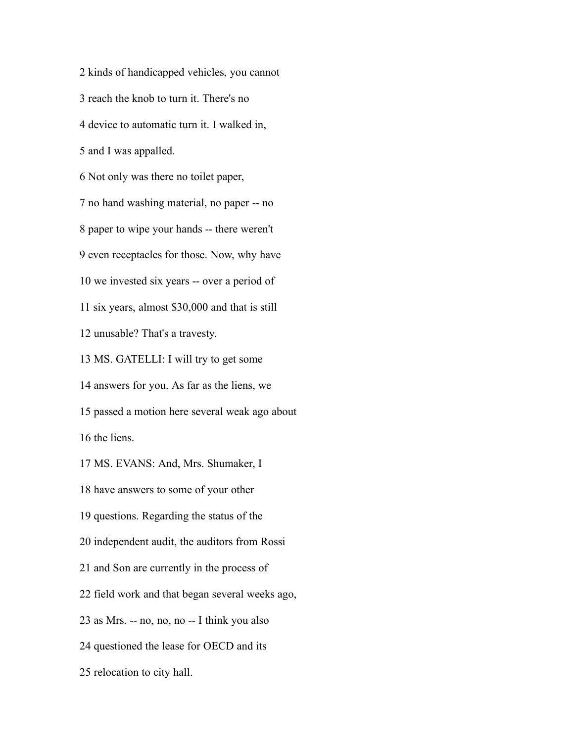kinds of handicapped vehicles, you cannot reach the knob to turn it. There's no device to automatic turn it. I walked in, and I was appalled. Not only was there no toilet paper, no hand washing material, no paper -- no paper to wipe your hands -- there weren't even receptacles for those. Now, why have we invested six years -- over a period of six years, almost \$30,000 and that is still unusable? That's a travesty. MS. GATELLI: I will try to get some answers for you. As far as the liens, we passed a motion here several weak ago about the liens. MS. EVANS: And, Mrs. Shumaker, I have answers to some of your other questions. Regarding the status of the independent audit, the auditors from Rossi and Son are currently in the process of field work and that began several weeks ago, as Mrs. -- no, no, no -- I think you also questioned the lease for OECD and its

relocation to city hall.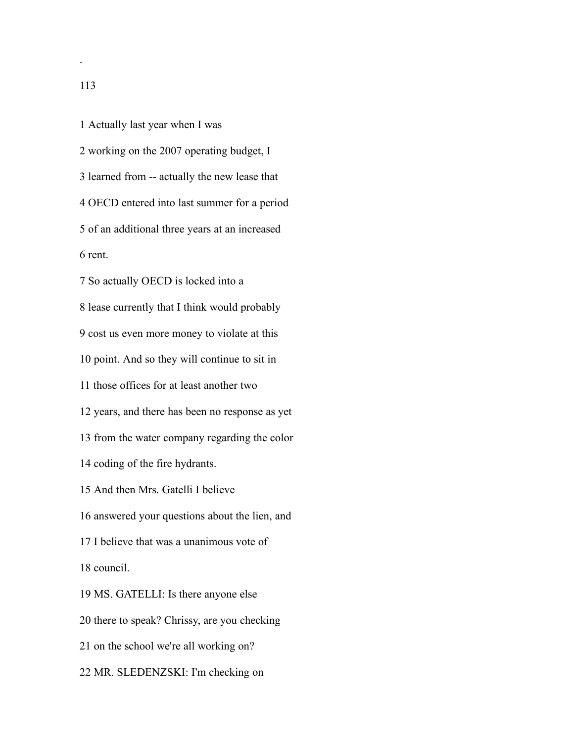working on the 2007 operating budget, I learned from -- actually the new lease that OECD entered into last summer for a period of an additional three years at an increased rent.

Actually last year when I was

 So actually OECD is locked into a lease currently that I think would probably cost us even more money to violate at this point. And so they will continue to sit in those offices for at least another two years, and there has been no response as yet from the water company regarding the color coding of the fire hydrants. And then Mrs. Gatelli I believe answered your questions about the lien, and I believe that was a unanimous vote of council. MS. GATELLI: Is there anyone else there to speak? Chrissy, are you checking on the school we're all working on? MR. SLEDENZSKI: I'm checking on

.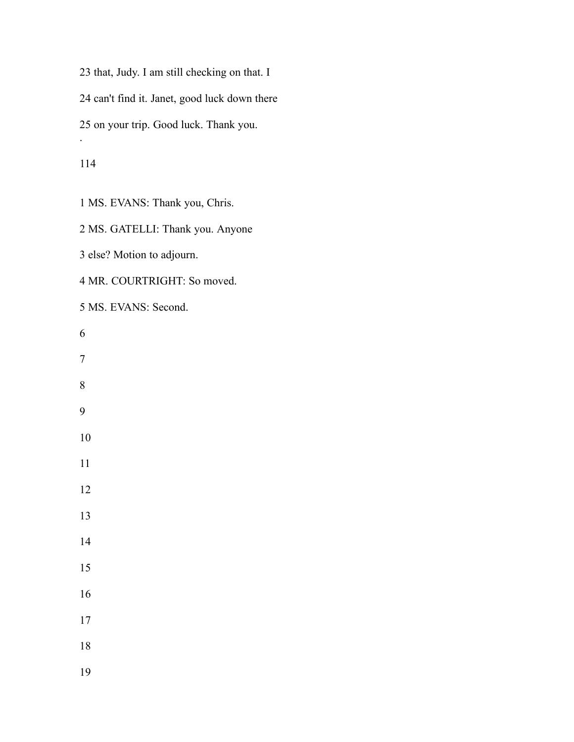that, Judy. I am still checking on that. I can't find it. Janet, good luck down there on your trip. Good luck. Thank you. .

MS. EVANS: Thank you, Chris.

MS. GATELLI: Thank you. Anyone

else? Motion to adjourn.

MR. COURTRIGHT: So moved.

MS. EVANS: Second.

- 
-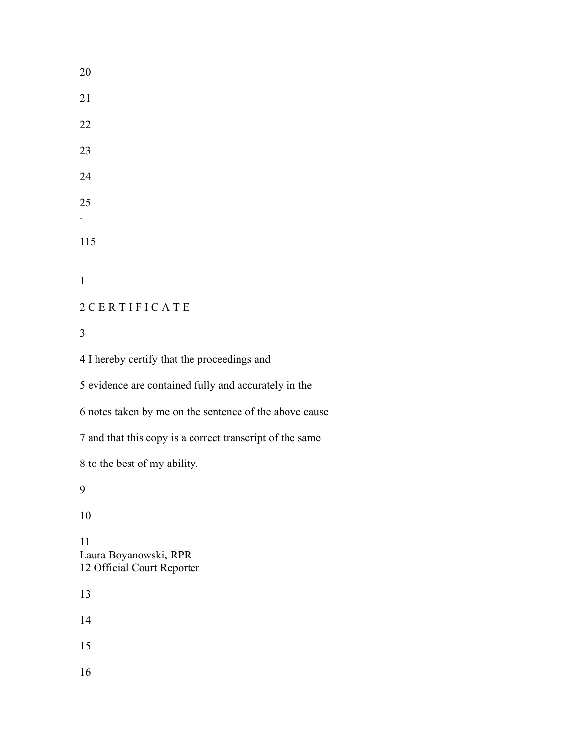. C E R T I F I C A T E I hereby certify that the proceedings and evidence are contained fully and accurately in the notes taken by me on the sentence of the above cause and that this copy is a correct transcript of the same to the best of my ability. 

 Laura Boyanowski, RPR Official Court Reporter